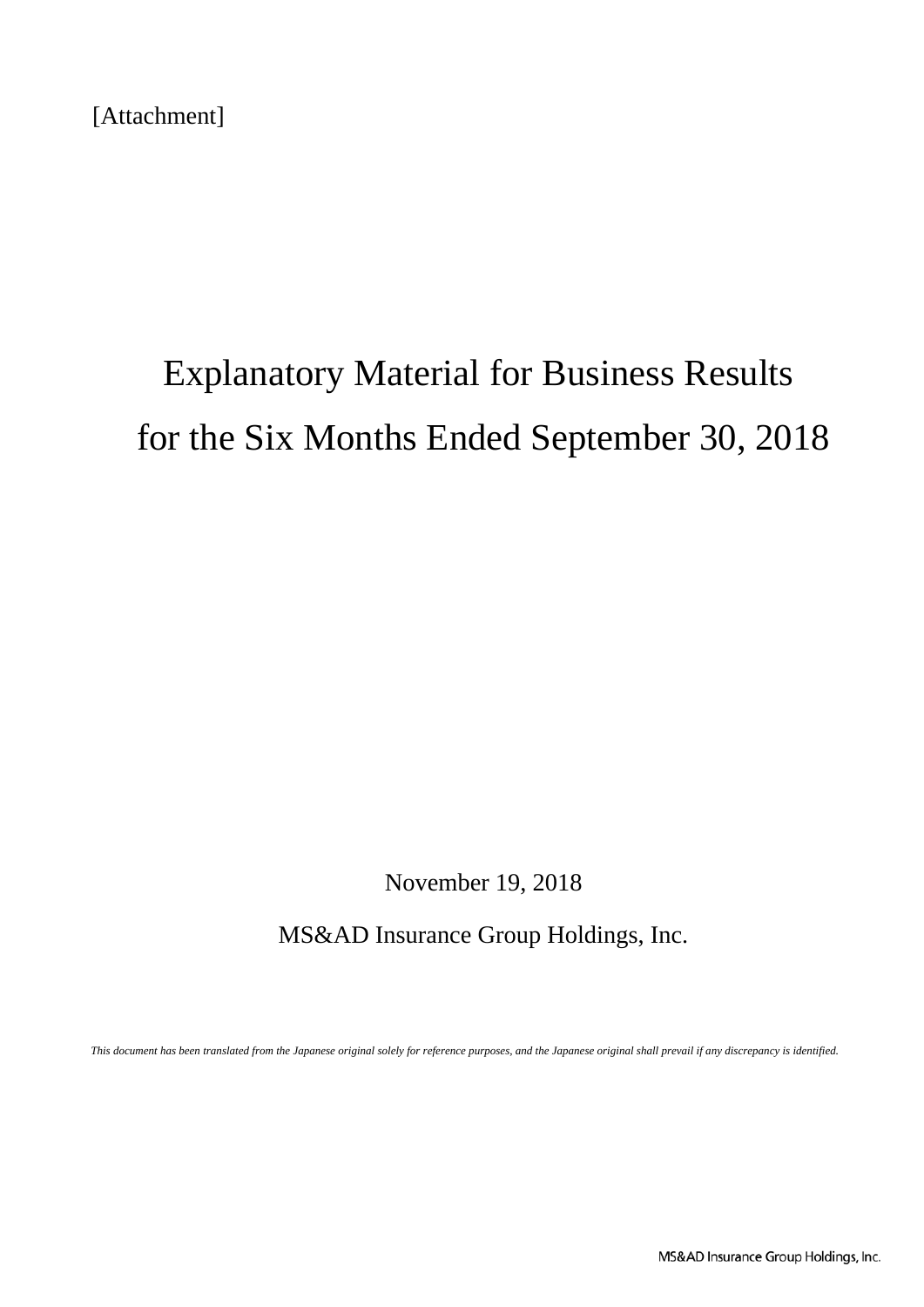[Attachment]

# Explanatory Material for Business Results for the Six Months Ended September 30, 2018

November 19, 2018

MS&AD Insurance Group Holdings, Inc.

*This document has been translated from the Japanese original solely for reference purposes, and the Japanese original shall prevail if any discrepancy is identified.*

MS&AD Insurance Group Holdings, Inc.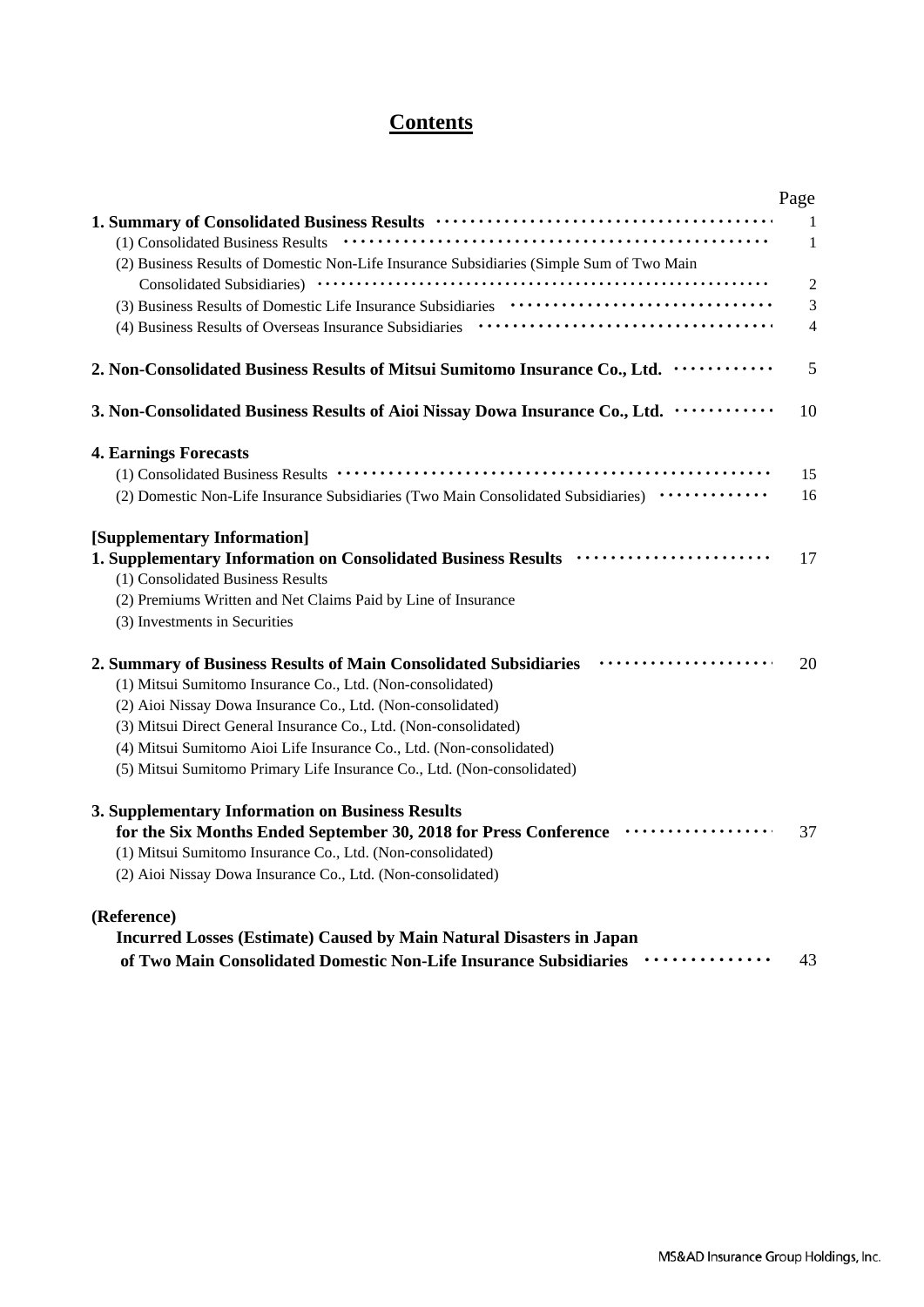# **Contents**

|                                                                                                                                                | Page           |
|------------------------------------------------------------------------------------------------------------------------------------------------|----------------|
|                                                                                                                                                | 1              |
|                                                                                                                                                | $\mathbf{1}$   |
| (2) Business Results of Domestic Non-Life Insurance Subsidiaries (Simple Sum of Two Main                                                       |                |
|                                                                                                                                                | $\overline{2}$ |
|                                                                                                                                                | 3              |
|                                                                                                                                                | $\overline{4}$ |
| 2. Non-Consolidated Business Results of Mitsui Sumitomo Insurance Co., Ltd.                                                                    | 5              |
| 3. Non-Consolidated Business Results of Aioi Nissay Dowa Insurance Co., Ltd.                                                                   | 10             |
| <b>4. Earnings Forecasts</b>                                                                                                                   |                |
|                                                                                                                                                | 15             |
| (2) Domestic Non-Life Insurance Subsidiaries (Two Main Consolidated Subsidiaries) ·············                                                | 16             |
| [Supplementary Information]                                                                                                                    |                |
| 1. Supplementary Information on Consolidated Business Results <i>www.wrmmmmmmmmmmmmmmmmmmmmmmmmmmmmmm</i><br>(1) Consolidated Business Results | 17             |
| (2) Premiums Written and Net Claims Paid by Line of Insurance                                                                                  |                |
| (3) Investments in Securities                                                                                                                  |                |
| 2. Summary of Business Results of Main Consolidated Subsidiaries                                                                               | 20             |
| (1) Mitsui Sumitomo Insurance Co., Ltd. (Non-consolidated)                                                                                     |                |
| (2) Aioi Nissay Dowa Insurance Co., Ltd. (Non-consolidated)                                                                                    |                |
| (3) Mitsui Direct General Insurance Co., Ltd. (Non-consolidated)                                                                               |                |
| (4) Mitsui Sumitomo Aioi Life Insurance Co., Ltd. (Non-consolidated)                                                                           |                |
| (5) Mitsui Sumitomo Primary Life Insurance Co., Ltd. (Non-consolidated)                                                                        |                |
| 3. Supplementary Information on Business Results                                                                                               |                |
| for the Six Months Ended September 30, 2018 for Press Conference                                                                               | 37             |
| (1) Mitsui Sumitomo Insurance Co., Ltd. (Non-consolidated)                                                                                     |                |
| (2) Aioi Nissay Dowa Insurance Co., Ltd. (Non-consolidated)                                                                                    |                |
| (Reference)                                                                                                                                    |                |
| <b>Incurred Losses (Estimate) Caused by Main Natural Disasters in Japan</b>                                                                    |                |

|  | records and the contract of the contract of the contract of the contract of the contract of the contract of the |                                                                                     |  |     |
|--|-----------------------------------------------------------------------------------------------------------------|-------------------------------------------------------------------------------------|--|-----|
|  |                                                                                                                 | of Two Main Consolidated Domestic Non-Life Insurance Subsidiaries <i>mumeroning</i> |  | -43 |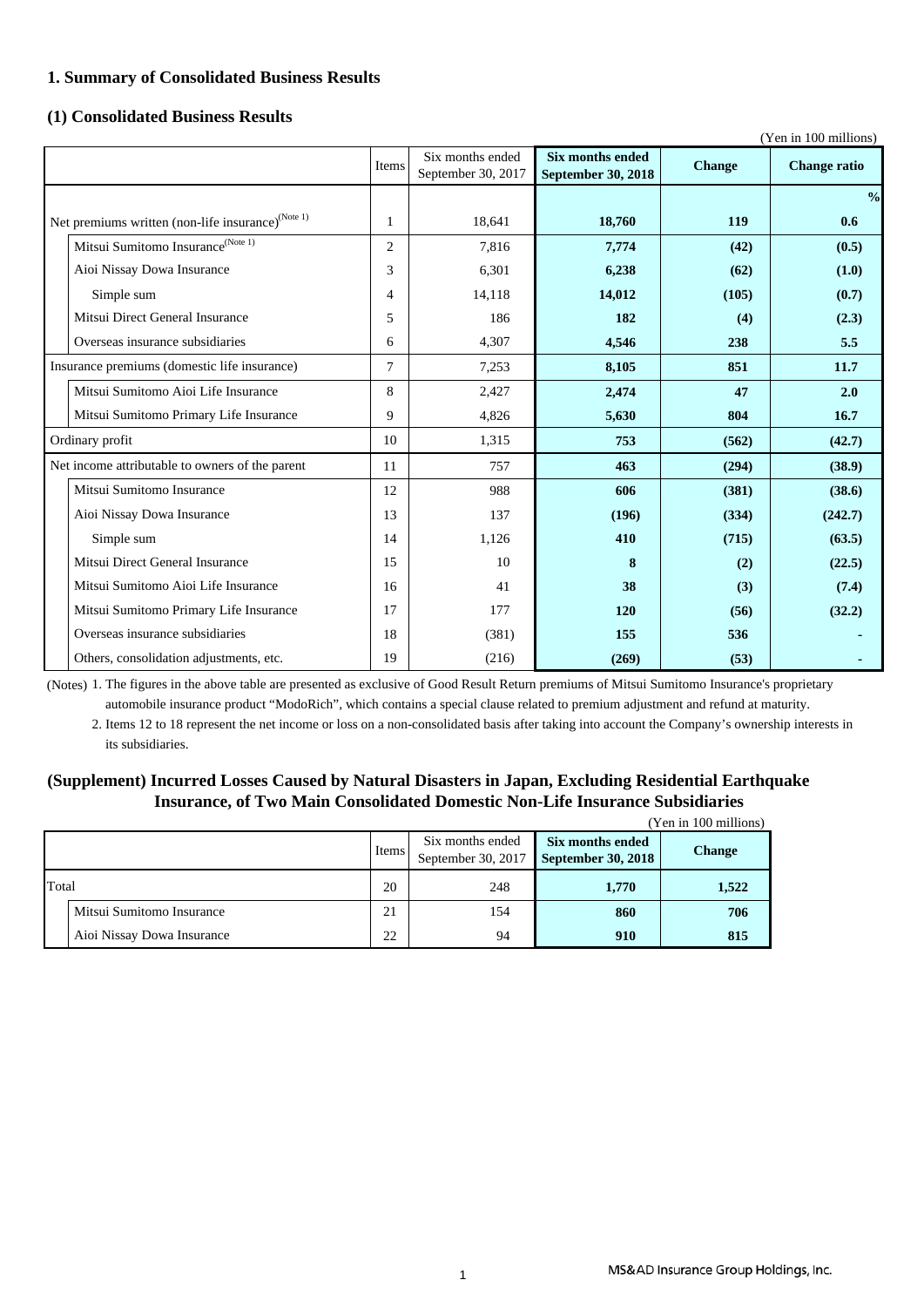### **1. Summary of Consolidated Business Results**

### **(1) Consolidated Business Results**

|                                                               |                |                    |                           |               | (Yen in 100 millions) |
|---------------------------------------------------------------|----------------|--------------------|---------------------------|---------------|-----------------------|
|                                                               | Items          | Six months ended   | <b>Six months ended</b>   | <b>Change</b> | <b>Change ratio</b>   |
|                                                               |                | September 30, 2017 | <b>September 30, 2018</b> |               |                       |
|                                                               |                |                    |                           |               | $\frac{0}{0}$         |
| Net premiums written (non-life insurance) <sup>(Note 1)</sup> | $\mathbf{1}$   | 18,641             | 18,760                    | 119           | 0.6                   |
| Mitsui Sumitomo Insurance <sup>(Note 1)</sup>                 | $\overline{2}$ | 7.816              | 7,774                     | (42)          | (0.5)                 |
| Aioi Nissay Dowa Insurance                                    | 3              | 6,301              | 6,238                     | (62)          | (1.0)                 |
| Simple sum                                                    | 4              | 14,118             | 14,012                    | (105)         | (0.7)                 |
| Mitsui Direct General Insurance                               | 5              | 186                | 182                       | (4)           | (2.3)                 |
| Overseas insurance subsidiaries                               | 6              | 4,307              | 4,546                     | 238           | 5.5                   |
| Insurance premiums (domestic life insurance)                  | $\tau$         | 7,253              | 8,105                     | 851           | 11.7                  |
| Mitsui Sumitomo Aioi Life Insurance                           | 8              | 2,427              | 2,474                     | 47            | 2.0                   |
| Mitsui Sumitomo Primary Life Insurance                        | 9              | 4,826              | 5,630                     | 804           | 16.7                  |
| Ordinary profit                                               | 10             | 1,315              | 753                       | (562)         | (42.7)                |
| Net income attributable to owners of the parent               | 11             | 757                | 463                       | (294)         | (38.9)                |
| Mitsui Sumitomo Insurance                                     | 12             | 988                | 606                       | (381)         | (38.6)                |
| Aioi Nissay Dowa Insurance                                    | 13             | 137                | (196)                     | (334)         | (242.7)               |
| Simple sum                                                    | 14             | 1,126              | 410                       | (715)         | (63.5)                |
| Mitsui Direct General Insurance                               | 15             | 10                 | 8                         | (2)           | (22.5)                |
| Mitsui Sumitomo Aioi Life Insurance                           | 16             | 41                 | 38                        | (3)           | (7.4)                 |
| Mitsui Sumitomo Primary Life Insurance                        | 17             | 177                | 120                       | (56)          | (32.2)                |
| Overseas insurance subsidiaries                               | 18             | (381)              | 155                       | 536           |                       |
| Others, consolidation adjustments, etc.                       | 19             | (216)              | (269)                     | (53)          |                       |

(Notes) 1. The figures in the above table are presented as exclusive of Good Result Return premiums of Mitsui Sumitomo Insurance's proprietary automobile insurance product "ModoRich", which contains a special clause related to premium adjustment and refund at maturity.

2. Items 12 to 18 represent the net income or loss on a non-consolidated basis after taking into account the Company's ownership interests in its subsidiaries.

### **(Supplement) Incurred Losses Caused by Natural Disasters in Japan, Excluding Residential Earthquake Insurance, of Two Main Consolidated Domestic Non-Life Insurance Subsidiaries**

|       |                            |    |                                        |                                               | (Yen in 100 millions) |
|-------|----------------------------|----|----------------------------------------|-----------------------------------------------|-----------------------|
|       |                            |    | Six months ended<br>September 30, 2017 | Six months ended<br><b>September 30, 2018</b> | <b>Change</b>         |
| Total |                            | 20 | 248                                    | 1,770                                         | 1,522                 |
|       | Mitsui Sumitomo Insurance  | 21 | 154                                    | 860                                           | 706                   |
|       | Aioi Nissay Dowa Insurance | 22 | 94                                     | 910                                           | 815                   |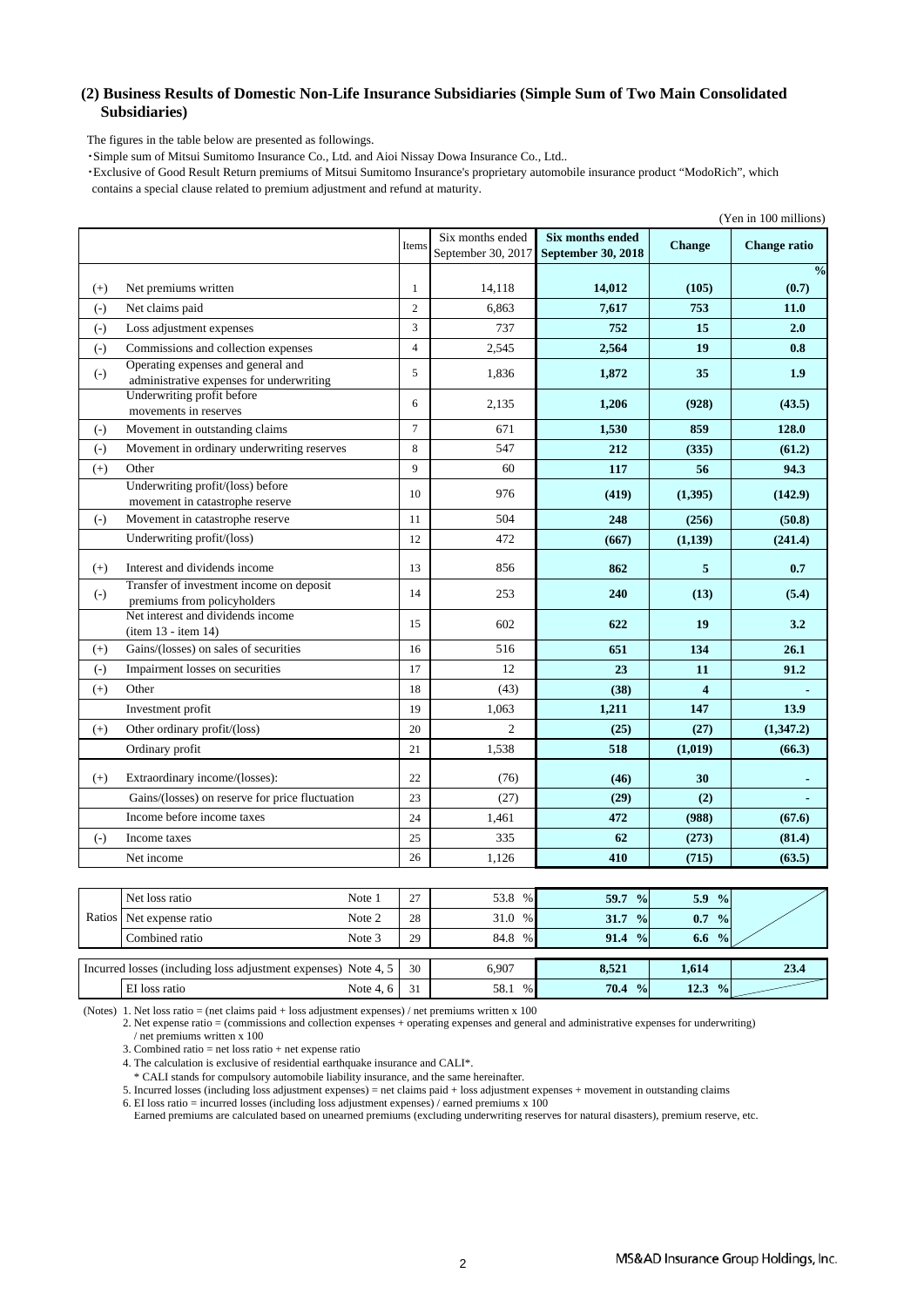### **(2) Business Results of Domestic Non-Life Insurance Subsidiaries (Simple Sum of Two Main Consolidated Subsidiaries)**

The figures in the table below are presented as followings.

・Simple sum of Mitsui Sumitomo Insurance Co., Ltd. and Aioi Nissay Dowa Insurance Co., Ltd..

 ・Exclusive of Good Result Return premiums of Mitsui Sumitomo Insurance's proprietary automobile insurance product "ModoRich", which contains a special clause related to premium adjustment and refund at maturity.

|       |                                                                                |                 |                                        |                                                      |                     | (Yen in 100 millions)  |
|-------|--------------------------------------------------------------------------------|-----------------|----------------------------------------|------------------------------------------------------|---------------------|------------------------|
|       |                                                                                | Items           | Six months ended<br>September 30, 2017 | <b>Six months ended</b><br><b>September 30, 2018</b> | <b>Change</b>       | <b>Change ratio</b>    |
| $(+)$ | Net premiums written                                                           | $\mathbf{1}$    | 14,118                                 | 14,012                                               | (105)               | $\frac{0}{0}$<br>(0.7) |
| $(-)$ | Net claims paid                                                                | $\overline{2}$  | 6.863                                  | 7,617                                                | 753                 | 11.0                   |
| $(-)$ | Loss adjustment expenses                                                       | $\overline{3}$  | 737                                    | 752                                                  | 15                  | 2.0                    |
| $(-)$ | Commissions and collection expenses                                            | $\overline{4}$  | 2,545                                  | 2,564                                                | 19                  | 0.8                    |
| $(-)$ | Operating expenses and general and<br>administrative expenses for underwriting | 5               | 1,836                                  | 1,872                                                | 35                  | 1.9                    |
|       | Underwriting profit before<br>movements in reserves                            | 6               | 2,135                                  | 1,206                                                | (928)               | (43.5)                 |
| $(-)$ | Movement in outstanding claims                                                 | $7\phantom{.0}$ | 671                                    | 1,530                                                | 859                 | 128.0                  |
| $(-)$ | Movement in ordinary underwriting reserves                                     | 8               | 547                                    | 212                                                  | (335)               | (61.2)                 |
| $(+)$ | Other                                                                          | $\overline{9}$  | 60                                     | 117                                                  | 56                  | 94.3                   |
|       | Underwriting profit/(loss) before<br>movement in catastrophe reserve           | 10              | 976                                    | (419)                                                | (1,395)             | (142.9)                |
| $(-)$ | Movement in catastrophe reserve                                                | 11              | 504                                    | 248                                                  | (256)               | (50.8)                 |
|       | Underwriting profit/(loss)                                                     | 12              | 472                                    | (667)                                                | (1,139)             | (241.4)                |
| $(+)$ | Interest and dividends income                                                  | 13              | 856                                    | 862                                                  | 5                   | 0.7                    |
| $(-)$ | Transfer of investment income on deposit<br>premiums from policyholders        | 14              | 253                                    | 240                                                  | (13)                | (5.4)                  |
|       | Net interest and dividends income<br>(item 13 - item 14)                       | 15              | 602                                    | 622                                                  | 19                  | 3.2                    |
| $(+)$ | Gains/(losses) on sales of securities                                          | 16              | 516                                    | 651                                                  | 134                 | 26.1                   |
| $(-)$ | Impairment losses on securities                                                | 17              | 12                                     | 23                                                   | 11                  | 91.2                   |
| $(+)$ | Other                                                                          | 18              | (43)                                   | (38)                                                 | $\overline{\bf{4}}$ |                        |
|       | Investment profit                                                              | 19              | 1.063                                  | 1,211                                                | 147                 | 13.9                   |
| $(+)$ | Other ordinary profit/(loss)                                                   | 20              | $\overline{c}$                         | (25)                                                 | (27)                | (1,347.2)              |
|       | Ordinary profit                                                                | 21              | 1,538                                  | 518                                                  | (1,019)             | (66.3)                 |
| $(+)$ | Extraordinary income/(losses):                                                 | 22              | (76)                                   | (46)                                                 | 30                  |                        |
|       | Gains/(losses) on reserve for price fluctuation                                | 23              | (27)                                   | (29)                                                 | (2)                 |                        |
|       | Income before income taxes                                                     | 24              | 1,461                                  | 472                                                  | (988)               | (67.6)                 |
| $(-)$ | Income taxes                                                                   | 25              | 335                                    | 62                                                   | (273)               | (81.4)                 |
|       | Net income                                                                     | 26              | 1,126                                  | 410                                                  | (715)               | (63.5)                 |

| Net loss ratio                                                 | Note 1   | 27 | 53.8<br>$\%$ | 59.7<br>$\frac{0}{0}$ | 5.9<br>$\frac{0}{0}$  |      |
|----------------------------------------------------------------|----------|----|--------------|-----------------------|-----------------------|------|
| Ratios Net expense ratio                                       | Note 2   | 28 | 31.0 %       | 31.7<br>$\frac{0}{0}$ | $\frac{0}{0}$<br>0.7  |      |
| Combined ratio                                                 | Note 3   | 29 | 84.8 %       | $91.4\frac{9}{6}$     | 6.6<br>$\frac{0}{0}$  |      |
|                                                                |          |    |              |                       |                       |      |
| Incurred losses (including loss adjustment expenses) Note 4, 5 |          | 30 | 6.907        | 8,521                 | 1,614                 | 23.4 |
| EI loss ratio                                                  | Note 4.6 | 31 | 58.1<br>%    | 70.4 %                | 12.3<br>$\frac{0}{0}$ |      |

(Notes) 1. Net loss ratio = (net claims paid + loss adjustment expenses) / net premiums written x 100

2. Net expense ratio = (commissions and collection expenses + operating expenses and general and administrative expenses for underwriting) / net premiums written x 100

3. Combined ratio  $=$  net loss ratio  $+$  net expense ratio

4. The calculation is exclusive of residential earthquake insurance and CALI\*.

\* CALI stands for compulsory automobile liability insurance, and the same hereinafter.

5. Incurred losses (including loss adjustment expenses) = net claims paid + loss adjustment expenses + movement in outstanding claims

6. EI loss ratio = incurred losses (including loss adjustment expenses) / earned premiums x 100

Earned premiums are calculated based on unearned premiums (excluding underwriting reserves for natural disasters), premium reserve, etc.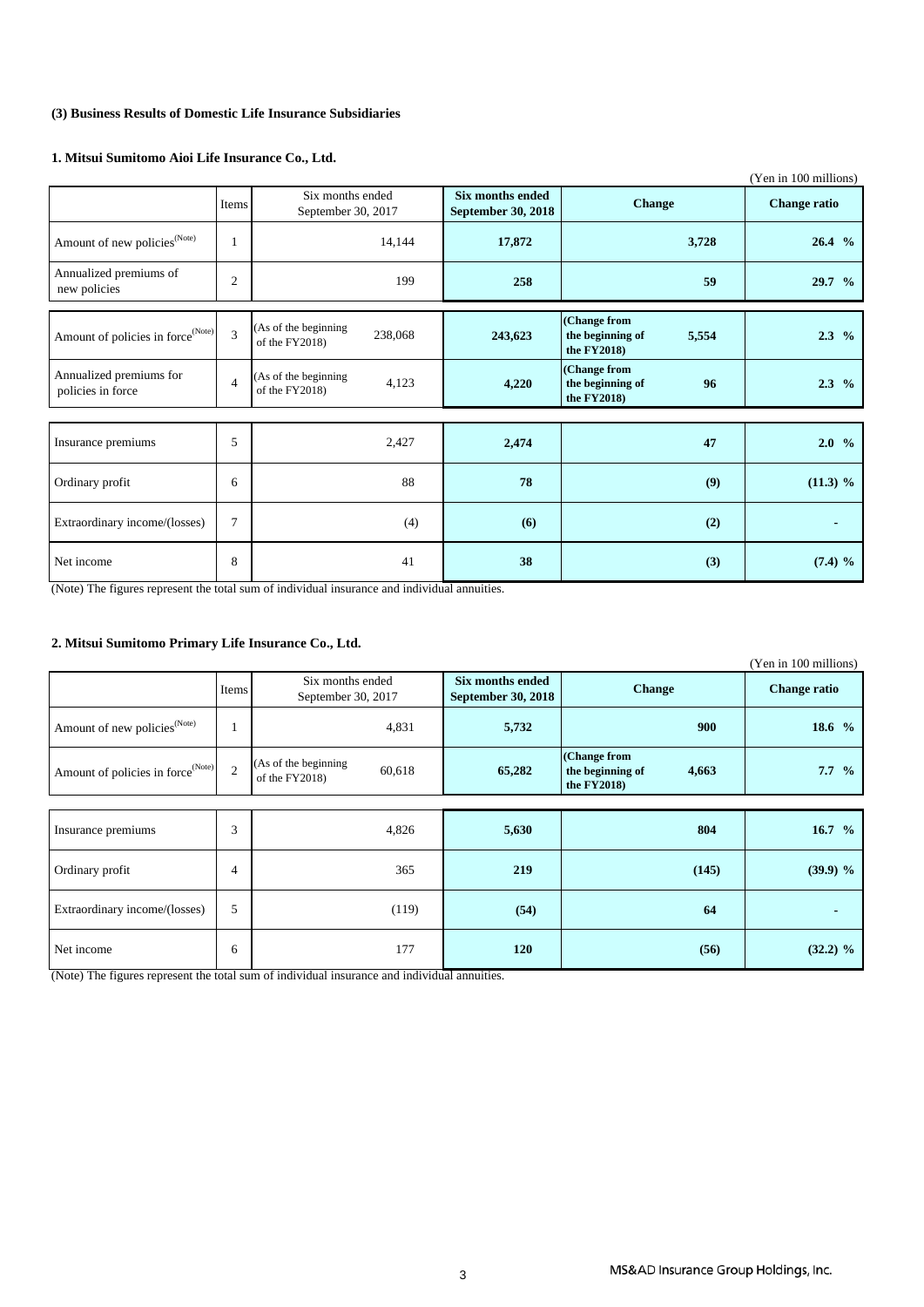### **(3) Business Results of Domestic Life Insurance Subsidiaries**

### **1. Mitsui Sumitomo Aioi Life Insurance Co., Ltd.**

|                                               |                |                                                   |                                                                |                                                          | (Yen in 100 millions) |
|-----------------------------------------------|----------------|---------------------------------------------------|----------------------------------------------------------------|----------------------------------------------------------|-----------------------|
|                                               | Items          | Six months ended<br>September 30, 2017            | <b>Six months ended</b><br><b>Change</b><br>September 30, 2018 |                                                          | <b>Change ratio</b>   |
| Amount of new policies <sup>(Note)</sup>      | 1              | 14,144                                            | 17,872                                                         | 3,728                                                    | 26.4 %                |
| Annualized premiums of<br>new policies        | $\overline{c}$ | 199                                               | 258                                                            | 59                                                       | 29.7 %                |
| Amount of policies in force <sup>(Note)</sup> | 3              | (As of the beginning<br>238,068<br>of the FY2018) | 243,623                                                        | (Change from<br>the beginning of<br>5,554<br>the FY2018) | $2.3\%$               |
| Annualized premiums for<br>policies in force  | $\overline{4}$ | (As of the beginning<br>4,123<br>of the FY2018)   | 4,220                                                          | (Change from<br>the beginning of<br>96<br>the FY2018)    | $2.3\%$               |
|                                               |                |                                                   |                                                                |                                                          |                       |
| Insurance premiums                            | 5              | 2,427                                             | 2,474                                                          | 47                                                       | 2.0%                  |
| Ordinary profit                               | 6              | 88                                                | 78                                                             | (9)                                                      | (11.3) %              |
| Extraordinary income/(losses)                 | 7              | (4)                                               | (6)                                                            | (2)                                                      |                       |
| Net income                                    | 8              | 41                                                | 38                                                             | (3)                                                      | $(7.4)$ %             |

(Note) The figures represent the total sum of individual insurance and individual annuities.

### **2. Mitsui Sumitomo Primary Life Insurance Co., Ltd.**

|                                               |                |                                                     |                                                                |                                                          | (Yen in 100 millions) |
|-----------------------------------------------|----------------|-----------------------------------------------------|----------------------------------------------------------------|----------------------------------------------------------|-----------------------|
|                                               | Items          | Six months ended<br>September 30, 2017              | Six months ended<br><b>Change</b><br><b>September 30, 2018</b> |                                                          | <b>Change ratio</b>   |
| Amount of new policies <sup>(Note)</sup>      |                | 4,831                                               | 5,732                                                          | 900                                                      | 18.6 %                |
| Amount of policies in force <sup>(Note)</sup> | $\overline{2}$ | (As of the beginning<br>60,618<br>of the $FY2018$ ) | 65,282                                                         | (Change from<br>the beginning of<br>4,663<br>the FY2018) | $7.7\%$               |
|                                               |                |                                                     |                                                                |                                                          |                       |
| Insurance premiums                            | 3              | 4,826                                               | 5,630                                                          | 804                                                      | 16.7 $%$              |
| Ordinary profit                               | 4              | 365                                                 | 219                                                            | (145)                                                    | $(39.9)$ %            |
| Extraordinary income/(losses)                 | 5              | (119)                                               | (54)                                                           | 64                                                       |                       |
| Net income                                    | 6              | 177                                                 | 120                                                            | (56)                                                     | $(32.2) \%$           |

(Note) The figures represent the total sum of individual insurance and individual annuities.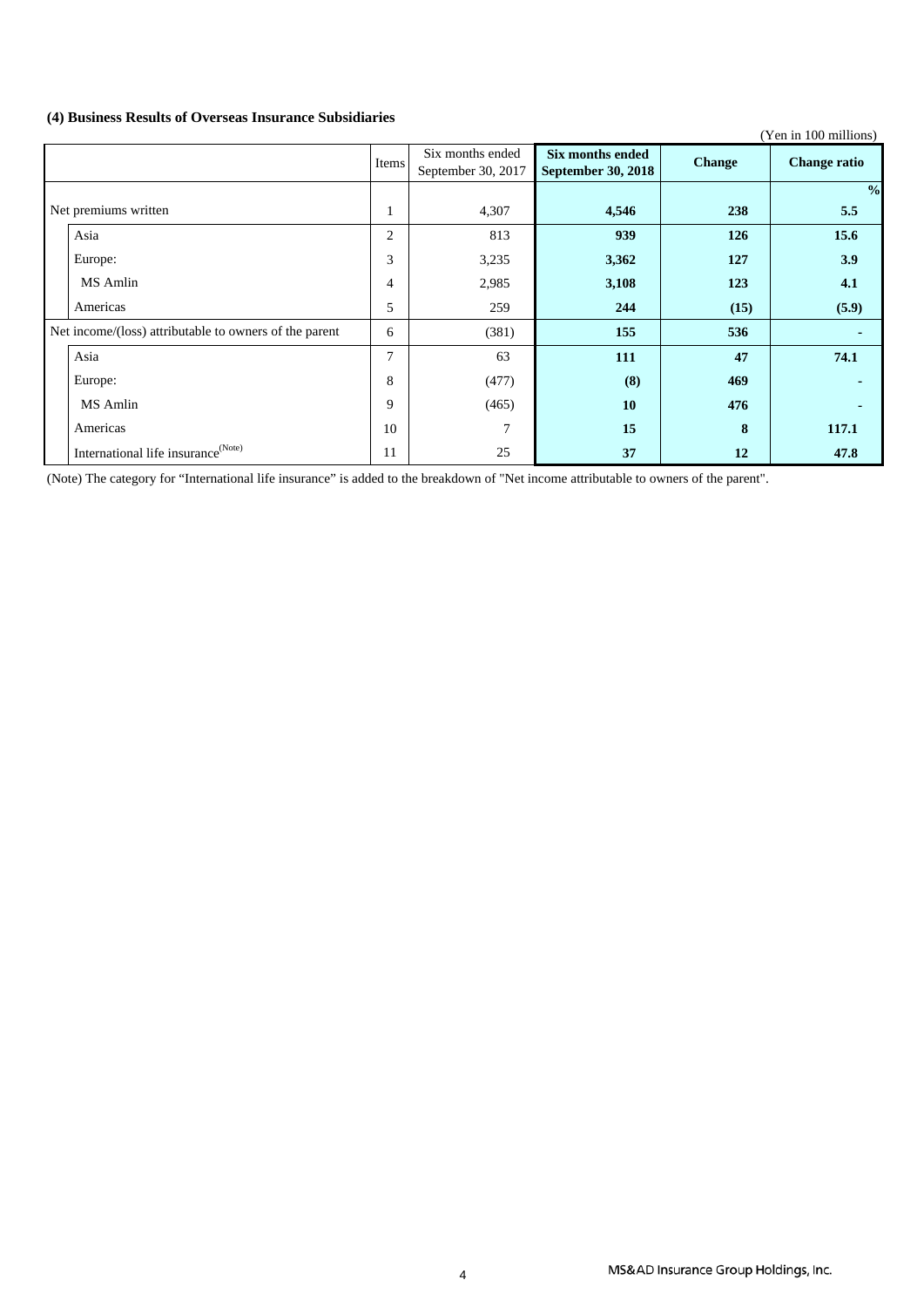### **(4) Business Results of Overseas Insurance Subsidiaries**

|                                                        |         |                                        |                                        |               | (Yen in 100 millions) |
|--------------------------------------------------------|---------|----------------------------------------|----------------------------------------|---------------|-----------------------|
|                                                        | Items   | Six months ended<br>September 30, 2017 | Six months ended<br>September 30, 2018 | <b>Change</b> | <b>Change ratio</b>   |
|                                                        |         |                                        |                                        |               | $\frac{0}{0}$         |
| Net premiums written                                   | $\perp$ | 4,307                                  | 4,546                                  | 238           | 5.5                   |
| Asia                                                   | 2       | 813                                    | 939                                    | 126           | 15.6                  |
| Europe:                                                | 3       | 3,235                                  | 3,362                                  | 127           | 3.9                   |
| MS Amlin                                               | 4       | 2,985                                  | 3,108                                  | 123           | 4.1                   |
| Americas                                               | 5       | 259                                    | 244                                    | (15)          | (5.9)                 |
| Net income/(loss) attributable to owners of the parent | 6       | (381)                                  | 155                                    | 536           |                       |
| Asia                                                   | $\tau$  | 63                                     | 111                                    | 47            | 74.1                  |
| Europe:                                                | 8       | (477)                                  | (8)                                    | 469           |                       |
| MS Amlin                                               | 9       | (465)                                  | 10                                     | 476           |                       |
| Americas                                               | 10      | 7                                      | 15                                     | 8             | 117.1                 |
| International life insurance <sup>(Note)</sup>         | 11      | 25                                     | 37                                     | 12            | 47.8                  |

(Note) The category for "International life insurance" is added to the breakdown of "Net income attributable to owners of the parent".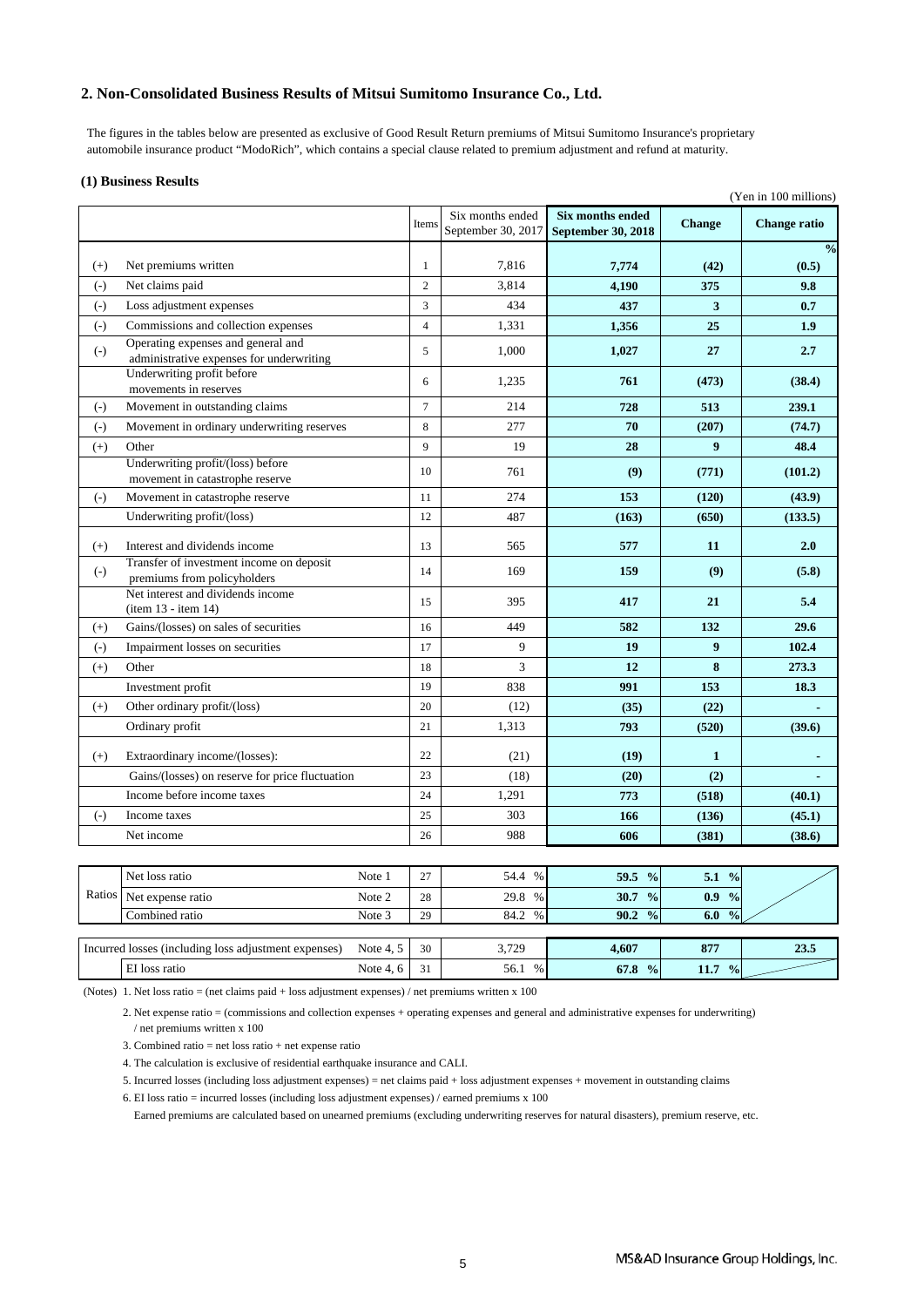### **2. Non-Consolidated Business Results of Mitsui Sumitomo Insurance Co., Ltd.**

 The figures in the tables below are presented as exclusive of Good Result Return premiums of Mitsui Sumitomo Insurance's proprietary automobile insurance product "ModoRich", which contains a special clause related to premium adjustment and refund at maturity.

#### **(1) Business Results**

| $(+)$<br>$(-)$<br>$(-)$<br>$(-)$ | Net premiums written<br>Net claims paid                                 | Items<br>$\mathbf{1}$ | Six months ended<br>September 30, 2017 | <b>Six months ended</b><br><b>September 30, 2018</b> | <b>Change</b>    | <b>Change ratio</b> |
|----------------------------------|-------------------------------------------------------------------------|-----------------------|----------------------------------------|------------------------------------------------------|------------------|---------------------|
|                                  |                                                                         |                       |                                        |                                                      |                  |                     |
|                                  |                                                                         |                       |                                        |                                                      |                  | $\frac{0}{0}$       |
|                                  |                                                                         |                       | 7,816                                  | 7,774                                                | (42)             | (0.5)               |
|                                  |                                                                         | $\overline{c}$        | 3.814                                  | 4,190                                                | 375              | 9.8                 |
|                                  | Loss adjustment expenses                                                | 3                     | 434                                    | 437                                                  | 3                | 0.7                 |
|                                  | Commissions and collection expenses                                     | $\overline{4}$        | 1,331                                  | 1,356                                                | 25               | 1.9                 |
|                                  | Operating expenses and general and                                      |                       |                                        |                                                      |                  |                     |
| $(\text{-})$                     | administrative expenses for underwriting                                | 5                     | 1,000                                  | 1,027                                                | 27               | 2.7                 |
|                                  | Underwriting profit before<br>movements in reserves                     | 6                     | 1,235                                  | 761                                                  | (473)            | (38.4)              |
| $(-)$                            | Movement in outstanding claims                                          | $\overline{7}$        | 214                                    | 728                                                  | 513              | 239.1               |
| $(-)$                            | Movement in ordinary underwriting reserves                              | 8                     | 277                                    | 70                                                   | (207)            | (74.7)              |
| $(+)$<br>Other                   |                                                                         | 9                     | 19                                     | 28                                                   | $\boldsymbol{Q}$ | 48.4                |
|                                  | Underwriting profit/(loss) before<br>movement in catastrophe reserve    | 10                    | 761                                    | (9)                                                  | (771)            | (101.2)             |
| $(-)$                            | Movement in catastrophe reserve                                         | 11                    | 274                                    | 153                                                  | (120)            | (43.9)              |
|                                  | Underwriting profit/(loss)                                              | 12                    | 487                                    | (163)                                                | (650)            | (133.5)             |
|                                  |                                                                         |                       |                                        |                                                      |                  |                     |
| $(+)$                            | Interest and dividends income                                           | 13                    | 565                                    | 577                                                  | 11               | 2.0                 |
| $(-)$                            | Transfer of investment income on deposit<br>premiums from policyholders | 14                    | 169                                    | 159                                                  | (9)              | (5.8)               |
|                                  | Net interest and dividends income<br>(item 13 - item 14)                | 15                    | 395                                    | 417                                                  | 21               | 5.4                 |
| $(+)$                            | Gains/(losses) on sales of securities                                   | 16                    | 449                                    | 582                                                  | 132              | 29.6                |
| $(-)$                            | Impairment losses on securities                                         | 17                    | 9                                      | 19                                                   | 9                | 102.4               |
| Other<br>$(+)$                   |                                                                         | 18                    | 3                                      | 12                                                   | 8                | 273.3               |
|                                  | Investment profit                                                       | 19                    | 838                                    | 991                                                  | 153              | 18.3                |
| $(+)$                            | Other ordinary profit/(loss)                                            | 20                    | (12)                                   | (35)                                                 | (22)             |                     |
|                                  | Ordinary profit                                                         | 21                    | 1,313                                  | 793                                                  | (520)            | (39.6)              |
| $(+)$                            | Extraordinary income/(losses):                                          | 22                    | (21)                                   | (19)                                                 | $\mathbf{1}$     |                     |
|                                  | Gains/(losses) on reserve for price fluctuation                         | 23                    | (18)                                   | (20)                                                 | (2)              |                     |
|                                  | Income before income taxes                                              | 24                    | 1,291                                  | 773                                                  | (518)            | (40.1)              |
| $(-)$                            | Income taxes                                                            | 25                    | 303                                    | 166                                                  | (136)            | (45.1)              |
|                                  | Net income                                                              | 26                    | 988                                    | 606                                                  | (381)            | (38.6)              |

|        | Net loss ratio      | Note   | $\sim$<br>∸    | 54.4<br>% | 59.5<br>$\frac{0}{0}$      | 5.1<br>$\frac{0}{0}$        |  |
|--------|---------------------|--------|----------------|-----------|----------------------------|-----------------------------|--|
| Ratios | Net expense ratio   | Note 2 | $\gamma$<br>∠ర | 29.8<br>% | 30.7<br>$\frac{0}{0}$      | $\frac{0}{\sqrt{2}}$<br>0.9 |  |
|        | -<br>Combined ratio | Note 3 | 29             | 84.2<br>% | 90.2<br>$\frac{0}{\alpha}$ | $\frac{0}{0}$<br>6.0        |  |
|        |                     |        |                |           |                            |                             |  |

| Incurred | (including<br>s adjustment expenses]<br>losses<br><b>TOSS</b> | $\mathbf{v}$<br>Note | 30<br>υU | 3700<br><u>.</u> | 4,607                               | O <sub>2</sub><br>$\mathbf{u}$ | $\sim$ $\sim$<br>45.5 |
|----------|---------------------------------------------------------------|----------------------|----------|------------------|-------------------------------------|--------------------------------|-----------------------|
|          | $-1$<br><b>loss</b><br>ratic                                  | Note                 | , ,      | 56.1<br>$\Omega$ | $\sqrt{2}$<br>$\frac{0}{0}$<br>01.0 | $\frac{0}{0}$<br>11.1          |                       |

(Notes) 1. Net loss ratio = (net claims paid + loss adjustment expenses) / net premiums written x 100

2. Net expense ratio = (commissions and collection expenses + operating expenses and general and administrative expenses for underwriting) / net premiums written x 100

3. Combined ratio = net loss ratio + net expense ratio

4. The calculation is exclusive of residential earthquake insurance and CALI.

5. Incurred losses (including loss adjustment expenses) = net claims paid + loss adjustment expenses + movement in outstanding claims

6. EI loss ratio = incurred losses (including loss adjustment expenses) / earned premiums x 100

Earned premiums are calculated based on unearned premiums (excluding underwriting reserves for natural disasters), premium reserve, etc.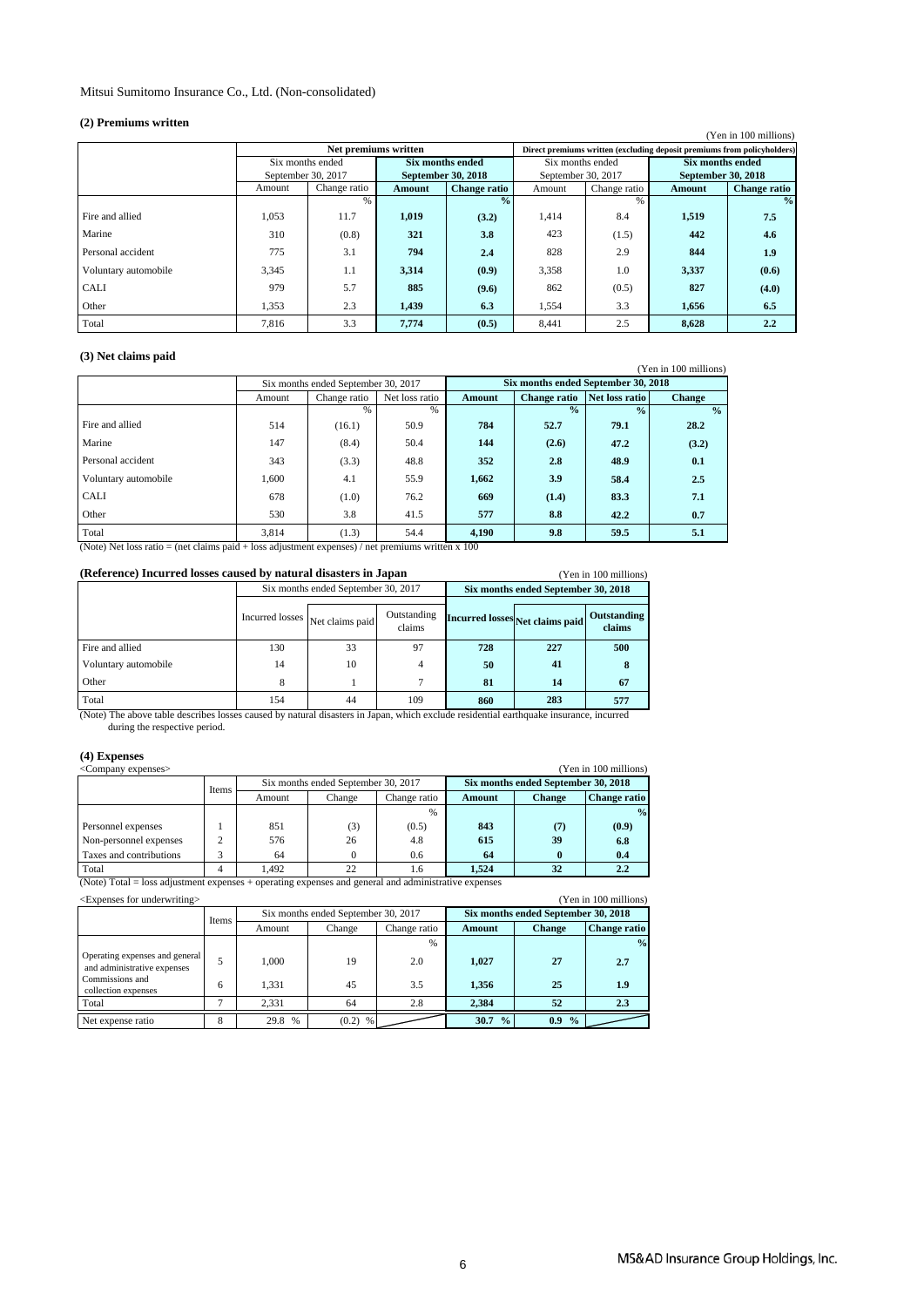### Mitsui Sumitomo Insurance Co., Ltd. (Non-consolidated)

#### **(2) Premiums written**

| (4) I I chhumis Whiteh |                    |                      |                    |                     |                    |              |                                                                         |                       |
|------------------------|--------------------|----------------------|--------------------|---------------------|--------------------|--------------|-------------------------------------------------------------------------|-----------------------|
|                        |                    |                      |                    |                     |                    |              |                                                                         | (Yen in 100 millions) |
|                        |                    | Net premiums written |                    |                     |                    |              | Direct premiums written (excluding deposit premiums from policyholders) |                       |
|                        | Six months ended   |                      | Six months ended   |                     | Six months ended   |              | Six months ended                                                        |                       |
|                        | September 30, 2017 |                      | September 30, 2018 |                     | September 30, 2017 |              | September 30, 2018                                                      |                       |
|                        | Amount             | Change ratio         | Amount             | <b>Change ratio</b> | Amount             | Change ratio | Amount                                                                  | <b>Change ratio</b>   |
|                        |                    | $\frac{0}{6}$        |                    | $\frac{0}{2}$       |                    | %            |                                                                         | $\frac{0}{0}$         |
| Fire and allied        | 1.053              | 11.7                 | 1,019              | (3.2)               | 1,414              | 8.4          | 1,519                                                                   | 7.5                   |
| Marine                 | 310                | (0.8)                | 321                | 3.8                 | 423                | (1.5)        | 442                                                                     | 4.6                   |
| Personal accident      | 775                | 3.1                  | 794                | 2.4                 | 828                | 2.9          | 844                                                                     | 1.9                   |
| Voluntary automobile   | 3,345              | 1.1                  | 3,314              | (0.9)               | 3,358              | 1.0          | 3,337                                                                   | (0.6)                 |
| <b>CALI</b>            | 979                | 5.7                  | 885                | (9.6)               | 862                | (0.5)        | 827                                                                     | (4.0)                 |
| Other                  | 1,353              | 2.3                  | 1,439              | 6.3                 | 1,554              | 3.3          | 1,656                                                                   | 6.5                   |
| Total                  | 7.816              | 3.3                  | 7.774              | (0.5)               | 8.441              | 2.5          | 8,628                                                                   | 2.2                   |

### **(3) Net claims paid**

| (v) Two channo pain  |        |                                     |      |                                     |                     |                |                       |
|----------------------|--------|-------------------------------------|------|-------------------------------------|---------------------|----------------|-----------------------|
|                      |        |                                     |      |                                     |                     |                | (Yen in 100 millions) |
|                      |        | Six months ended September 30, 2017 |      | Six months ended September 30, 2018 |                     |                |                       |
|                      | Amount | Net loss ratio<br>Change ratio      |      | Amount                              | <b>Change ratio</b> | Net loss ratio | <b>Change</b>         |
|                      |        | %                                   | $\%$ |                                     | $\frac{0}{2}$       | $\frac{0}{2}$  | $\frac{0}{2}$         |
| Fire and allied      | 514    | (16.1)                              | 50.9 | 784                                 | 52.7                | 79.1           | 28.2                  |
| Marine               | 147    | (8.4)                               | 50.4 | 144                                 | (2.6)               | 47.2           | (3.2)                 |
| Personal accident    | 343    | (3.3)                               | 48.8 | 352                                 | 2.8                 | 48.9           | 0.1                   |
| Voluntary automobile | 1,600  | 4.1                                 | 55.9 | 1,662                               | 3.9                 | 58.4           | 2.5                   |
| <b>CALI</b>          | 678    | (1.0)                               | 76.2 | 669                                 | (1.4)               | 83.3           | 7.1                   |
| Other                | 530    | 3.8                                 | 41.5 | 577                                 | 8.8                 | 42.2           | 0.7                   |
| Total                | 3,814  | (1.3)                               | 54.4 | 4.190                               | 9.8                 | 59.5           | 5.1                   |

(Note) Net loss ratio = (net claims paid + loss adjustment expenses) / net premiums written x 100

| (Reference) Incurred losses caused by natural disasters in Japan<br>(Yen in 100 millions) |                                     |                                 |                       |                                     |     |                       |  |
|-------------------------------------------------------------------------------------------|-------------------------------------|---------------------------------|-----------------------|-------------------------------------|-----|-----------------------|--|
|                                                                                           | Six months ended September 30, 2017 |                                 |                       | Six months ended September 30, 2018 |     |                       |  |
|                                                                                           |                                     | Incurred losses Net claims paid | Outstanding<br>claims | Incurred losses Net claims paid     |     | Outstanding<br>claims |  |
| Fire and allied                                                                           | 130                                 | 33                              | 97                    | 728                                 | 227 | 500                   |  |
| Voluntary automobile                                                                      | 14                                  | 10                              | 4                     | 50                                  | 41  |                       |  |
| Other                                                                                     | 8                                   |                                 |                       | 81<br>14                            |     | 67                    |  |
| Total                                                                                     | 154                                 | 44                              | 109                   | 860                                 | 283 | 577                   |  |

 during the respective period. (Note) The above table describes losses caused by natural disasters in Japan, which exclude residential earthquake insurance, incurred

### **(4) Expenses**

| (Yen in 100 millions)<br><company expenses=""></company>                                                   |       |        |                                     |              |                                     |               |                     |
|------------------------------------------------------------------------------------------------------------|-------|--------|-------------------------------------|--------------|-------------------------------------|---------------|---------------------|
|                                                                                                            | Items |        | Six months ended September 30, 2017 |              | Six months ended September 30, 2018 |               |                     |
|                                                                                                            |       | Amount | Change                              | Change ratio | Amount                              | <b>Change</b> | <b>Change ratio</b> |
|                                                                                                            |       |        |                                     | %            |                                     |               | $\frac{0}{2}$       |
| Personnel expenses                                                                                         |       | 851    | (3)                                 | (0.5)        | 843                                 | (7)           | (0.9)               |
| Non-personnel expenses                                                                                     | 2     | 576    | 26                                  | 4.8          | 615                                 | 39            | 6.8                 |
| Taxes and contributions                                                                                    | 3     | 64     |                                     | 0.6          | 64                                  |               | 0.4                 |
| Total                                                                                                      | 4     | 1.492  | 22                                  | 1.6          | 1.524                               | 32            | $2.2\,$             |
| $(Note)$ Total – loss adjustment expenses $\pm$ operating expenses and general and administrative expenses |       |        |                                     |              |                                     |               |                     |

(Note) Total = loss adjustment expenses + operating expenses and general and administrative expenses

| <expenses for="" underwriting=""><br/>(Yen in 100 millions)</expenses> |       |                       |                                     |               |                       |                                     |               |
|------------------------------------------------------------------------|-------|-----------------------|-------------------------------------|---------------|-----------------------|-------------------------------------|---------------|
|                                                                        | Items |                       | Six months ended September 30, 2017 |               |                       | Six months ended September 30, 2018 |               |
|                                                                        |       | Amount                | Change                              | Change ratio  | <b>Amount</b>         | <b>Change</b>                       | Change ratio  |
|                                                                        |       |                       |                                     | $\frac{0}{6}$ |                       |                                     | $\frac{0}{0}$ |
| Operating expenses and general<br>and administrative expenses          |       | 1.000                 | 19                                  | 2.0           | 1.027                 | 27                                  | 2.7           |
| Commissions and<br>collection expenses                                 | 6     | 1.331                 | 45                                  | 3.5           | 1.356                 | 25                                  | 1.9           |
| Total                                                                  |       | 2.331                 | 64                                  | 2.8           | 2.384                 | 52                                  | 2.3           |
| Net expense ratio                                                      | 8     | 29.8<br>$\frac{0}{6}$ | (0.2)<br>%                          |               | 30.7<br>$\frac{0}{2}$ | 0.9<br>$\frac{0}{0}$                |               |

### MS&AD Insurance Group Holdings, Inc.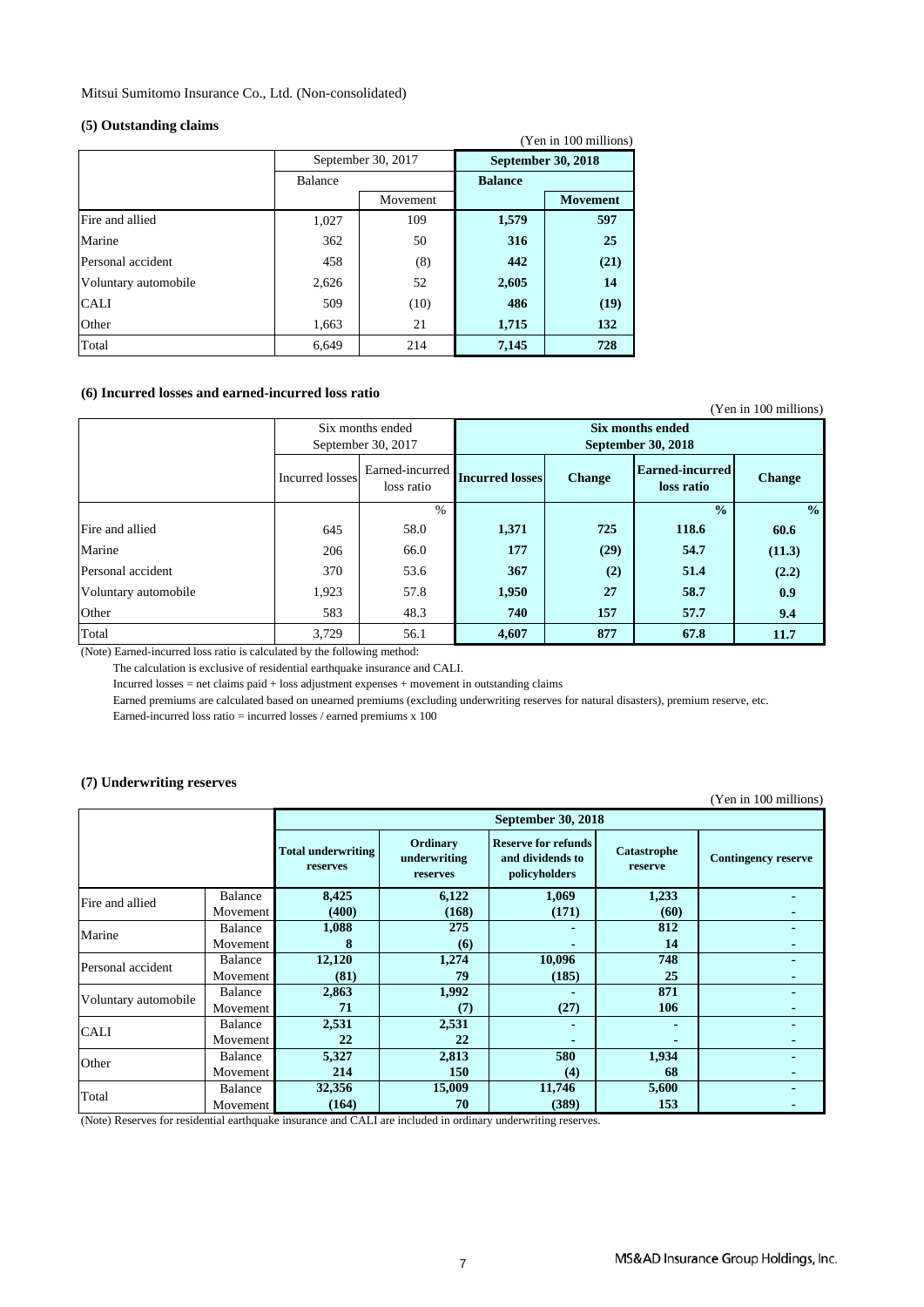Mitsui Sumitomo Insurance Co., Ltd. (Non-consolidated)

#### **(5) Outstanding claims**

|                      |         |                    |                    | (Yen in 100 millions) |
|----------------------|---------|--------------------|--------------------|-----------------------|
|                      |         | September 30, 2017 | September 30, 2018 |                       |
|                      | Balance |                    | <b>Balance</b>     |                       |
|                      |         | Movement           |                    | <b>Movement</b>       |
| Fire and allied      | 1,027   | 109                | 1,579              | 597                   |
| Marine               | 362     | 50                 | 316                | 25                    |
| Personal accident    | 458     | (8)                | 442                | (21)                  |
| Voluntary automobile | 2,626   | 52                 | 2,605              | 14                    |
| <b>CALI</b>          | 509     | (10)               | 486                | (19)                  |
| Other                | 1,663   | 21                 | 1,715              | 132                   |
| Total                | 6,649   | 214                | 7,145              | 728                   |

### **(6) Incurred losses and earned-incurred loss ratio**

|                      |                 |                                        |                                        |               |                                      | (Yen in 100 millions) |
|----------------------|-----------------|----------------------------------------|----------------------------------------|---------------|--------------------------------------|-----------------------|
|                      |                 | Six months ended<br>September 30, 2017 | Six months ended<br>September 30, 2018 |               |                                      |                       |
|                      | Incurred losses | Earned-incurred<br>loss ratio          | <b>Incurred losses</b>                 | <b>Change</b> | <b>Earned-incurred</b><br>loss ratio | <b>Change</b>         |
|                      |                 | $\frac{0}{0}$                          |                                        |               | $\frac{0}{0}$                        | $\frac{0}{0}$         |
| Fire and allied      | 645             | 58.0                                   | 1,371                                  | 725           | 118.6                                | 60.6                  |
| Marine               | 206             | 66.0                                   | 177                                    | (29)          | 54.7                                 | (11.3)                |
| Personal accident    | 370             | 53.6                                   | 367                                    | (2)           | 51.4                                 | (2.2)                 |
| Voluntary automobile | 1,923           | 57.8                                   | 1,950                                  | 27            | 58.7                                 | 0.9                   |
| Other                | 583             | 48.3                                   | 740                                    | 157           | 57.7                                 | 9.4                   |
| Total                | 3,729           | 56.1                                   | 4,607                                  | 877           | 67.8                                 | 11.7                  |

(Note) Earned-incurred loss ratio is calculated by the following method:

The calculation is exclusive of residential earthquake insurance and CALI.

Incurred losses = net claims paid + loss adjustment expenses + movement in outstanding claims

Earned premiums are calculated based on unearned premiums (excluding underwriting reserves for natural disasters), premium reserve, etc.

Earned-incurred loss ratio = incurred losses / earned premiums x 100

### **(7) Underwriting reserves**

(Yen in 100 millions)

|                      |          |                                       |                                      | September 30, 2018                                              |                        |                            |
|----------------------|----------|---------------------------------------|--------------------------------------|-----------------------------------------------------------------|------------------------|----------------------------|
|                      |          | <b>Total underwriting</b><br>reserves | Ordinary<br>underwriting<br>reserves | <b>Reserve for refunds</b><br>and dividends to<br>policyholders | Catastrophe<br>reserve | <b>Contingency reserve</b> |
| Fire and allied      | Balance  | 8,425                                 | 6,122                                | 1,069                                                           | 1,233                  |                            |
|                      | Movement | (400)                                 | (168)                                | (171)                                                           | (60)                   |                            |
| Marine               | Balance  | 1,088                                 | 275                                  |                                                                 | 812                    |                            |
|                      | Movement | 8                                     | (6)                                  |                                                                 | 14                     |                            |
| Personal accident    | Balance  | 12,120                                | 1,274                                | 10,096                                                          | 748                    |                            |
|                      | Movement | (81)                                  | 79                                   | (185)                                                           | 25                     |                            |
| Voluntary automobile | Balance  | 2,863                                 | 1,992                                |                                                                 | 871                    |                            |
|                      | Movement | 71                                    | (7)                                  | (27)                                                            | 106                    |                            |
| <b>CALI</b>          | Balance  | 2,531                                 | 2,531                                |                                                                 |                        |                            |
|                      | Movement | 22                                    | 22                                   |                                                                 |                        |                            |
| Other                | Balance  | 5,327                                 | 2,813                                | 580                                                             | 1,934                  |                            |
|                      | Movement | 214                                   | 150                                  | (4)                                                             | 68                     |                            |
| Total                | Balance  | 32,356                                | 15,009                               | 11,746                                                          | 5,600                  |                            |
|                      | Movement | (164)                                 | 70                                   | (389)                                                           | 153                    |                            |

(Note) Reserves for residential earthquake insurance and CALI are included in ordinary underwriting reserves.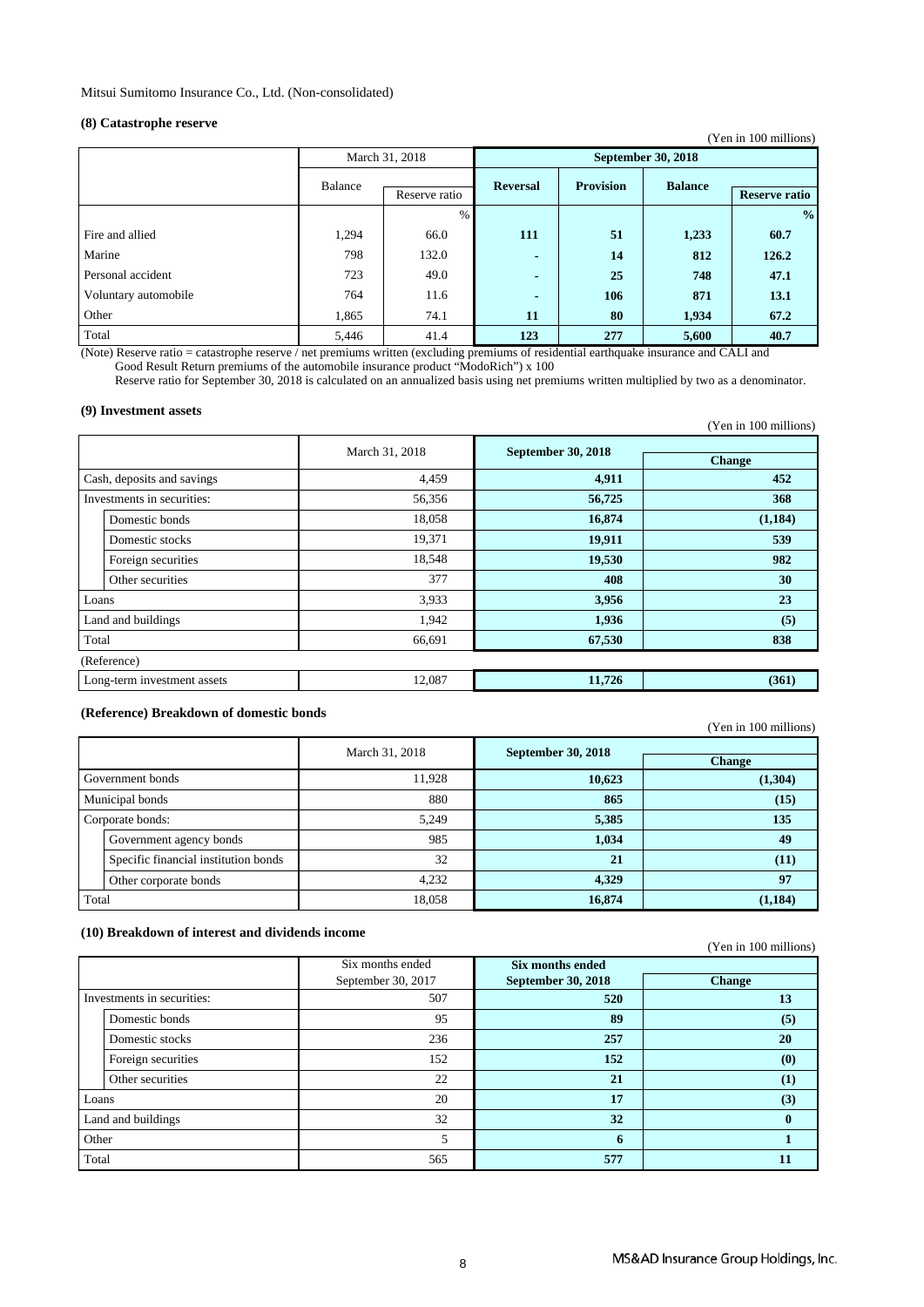### **(8) Catastrophe reserve**

|                      |         |                |                           |                  |                | (Yen in 100 millions) |
|----------------------|---------|----------------|---------------------------|------------------|----------------|-----------------------|
|                      |         | March 31, 2018 | <b>September 30, 2018</b> |                  |                |                       |
|                      | Balance | Reserve ratio  | <b>Reversal</b>           | <b>Provision</b> | <b>Balance</b> | <b>Reserve ratio</b>  |
|                      |         | $\%$           |                           |                  |                | $\frac{0}{0}$         |
| Fire and allied      | 1,294   | 66.0           | 111                       | 51               | 1,233          | 60.7                  |
| Marine               | 798     | 132.0          | $\blacksquare$            | 14               | 812            | 126.2                 |
| Personal accident    | 723     | 49.0           | $\blacksquare$            | 25               | 748            | 47.1                  |
| Voluntary automobile | 764     | 11.6           | $\blacksquare$            | 106              | 871            | 13.1                  |
| Other                | 1,865   | 74.1           | 11                        | 80               | 1,934          | 67.2                  |
| Total                | 5,446   | 41.4           | 123                       | 277              | 5,600          | 40.7                  |

(Note) Reserve ratio = catastrophe reserve / net premiums written (excluding premiums of residential earthquake insurance and CALI and

Good Result Return premiums of the automobile insurance product "ModoRich") x 100

Reserve ratio for September 30, 2018 is calculated on an annualized basis using net premiums written multiplied by two as a denominator.

#### **(9) Investment assets**

| $\cdots$                    |                |                           | (Yen in 100 millions) |
|-----------------------------|----------------|---------------------------|-----------------------|
|                             | March 31, 2018 | <b>September 30, 2018</b> | <b>Change</b>         |
| Cash, deposits and savings  | 4,459          | 4,911                     | 452                   |
| Investments in securities:  | 56,356         | 56,725                    | 368                   |
| Domestic bonds              | 18,058         | 16,874                    | (1,184)               |
| Domestic stocks             | 19,371         | 19,911                    | 539                   |
| Foreign securities          | 18,548         | 19,530                    | 982                   |
| Other securities            | 377            | 408                       | 30                    |
| Loans                       | 3,933          | 3,956                     | 23                    |
| Land and buildings          | 1,942          | 1,936                     | (5)                   |
| Total                       | 66,691         | 67,530                    | 838                   |
| (Reference)                 |                |                           |                       |
| Long-term investment assets | 12,087         | 11,726                    | (361)                 |

### **(Reference) Breakdown of domestic bonds**

(Yen in 100 millions)

|       |                                      | March 31, 2018 | <b>September 30, 2018</b> |               |
|-------|--------------------------------------|----------------|---------------------------|---------------|
|       |                                      |                |                           | <b>Change</b> |
|       | Government bonds                     | 11,928         | 10,623                    | (1,304)       |
|       | Municipal bonds                      | 880            | 865                       | (15)          |
|       | Corporate bonds:                     | 5,249          | 5,385                     | 135           |
|       | Government agency bonds              | 985            | 1,034                     | 49            |
|       | Specific financial institution bonds | 32             | 21                        | (11)          |
|       | Other corporate bonds                | 4,232          | 4,329                     | 97            |
| Total |                                      | 18,058         | 16,874                    | (1, 184)      |

### **(10) Breakdown of interest and dividends income**

#### (Yen in 100 millions)

|       |                            | Six months ended   | <b>Six months ended</b>   |               |
|-------|----------------------------|--------------------|---------------------------|---------------|
|       |                            | September 30, 2017 | <b>September 30, 2018</b> | <b>Change</b> |
|       | Investments in securities: | 507                | 520                       | 13            |
|       | Domestic bonds             | 95                 | 89                        | (5)           |
|       | Domestic stocks            | 236                | 257                       | 20            |
|       | Foreign securities         | 152                | 152                       | (0)           |
|       | Other securities           | 22                 | 21                        | (1)           |
| Loans |                            | 20                 | 17                        | (3)           |
|       | Land and buildings         | 32                 | 32                        | 0             |
| Other |                            |                    | 6                         |               |
| Total |                            | 565                | 577                       |               |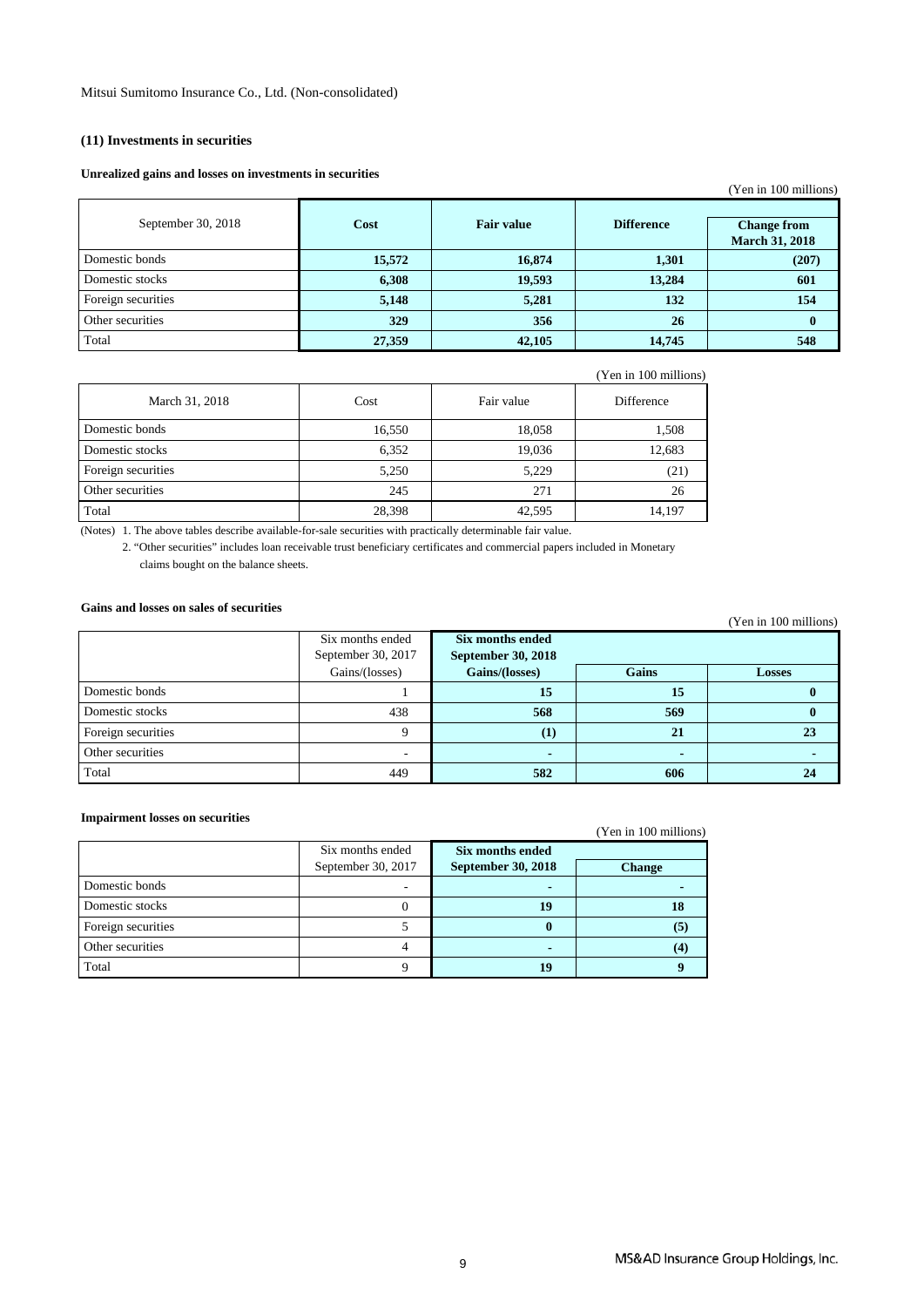### **(11) Investments in securities**

#### **Unrealized gains and losses on investments in securities**

| Cast commen Emilio mile copper via in repeated in presence |        |                   |                   | (Yen in 100 millions)                       |
|------------------------------------------------------------|--------|-------------------|-------------------|---------------------------------------------|
| September 30, 2018                                         | Cost   | <b>Fair value</b> | <b>Difference</b> | <b>Change from</b><br><b>March 31, 2018</b> |
| Domestic bonds                                             | 15,572 | 16,874            | 1,301             | (207)                                       |
| Domestic stocks                                            | 6,308  | 19,593            | 13,284            | 601                                         |
| Foreign securities                                         | 5,148  | 5,281             | 132               | 154                                         |
| Other securities                                           | 329    | 356               | 26                | $\mathbf{0}$                                |
| Total                                                      | 27,359 | 42,105            | 14,745            | 548                                         |

| March 31, 2018     | Cost   | Fair value | Difference |
|--------------------|--------|------------|------------|
| Domestic bonds     | 16,550 | 18,058     | 1,508      |
| Domestic stocks    | 6,352  | 19,036     | 12,683     |
| Foreign securities | 5,250  | 5,229      | (21)       |
| Other securities   | 245    | 271        | 26         |
| Total              | 28,398 | 42,595     | 14,197     |

(Notes) 1. The above tables describe available-for-sale securities with practically determinable fair value.

2. "Other securities" includes loan receivable trust beneficiary certificates and commercial papers included in Monetary claims bought on the balance sheets.

### **Gains and losses on sales of securities**

|                    | Six months ended<br>September 30, 2017<br>Gains/(losses) | Six months ended<br><b>September 30, 2018</b><br>Gains/(losses) | <b>Gains</b> | <b>Losses</b> |
|--------------------|----------------------------------------------------------|-----------------------------------------------------------------|--------------|---------------|
| Domestic bonds     |                                                          | 15                                                              | 15           |               |
| Domestic stocks    | 438                                                      | 568                                                             | 569          |               |
| Foreign securities |                                                          | $\bf(1)$                                                        | 21           |               |
| Other securities   | . .                                                      | $\overline{\phantom{0}}$                                        |              |               |
| Total              | 449                                                      | 582                                                             | 606          |               |

#### **Impairment losses on securities**

| Impairment losses on securities |                    |                    | (Yen in 100 millions) |
|---------------------------------|--------------------|--------------------|-----------------------|
|                                 | Six months ended   | Six months ended   |                       |
|                                 | September 30, 2017 | September 30, 2018 | <b>Change</b>         |
| Domestic bonds                  |                    |                    |                       |
| Domestic stocks                 |                    | 19                 |                       |
| Foreign securities              |                    |                    | (5)                   |
| Other securities                |                    |                    | (4)                   |
| Total                           |                    | 19                 |                       |

(Yen in 100 millions)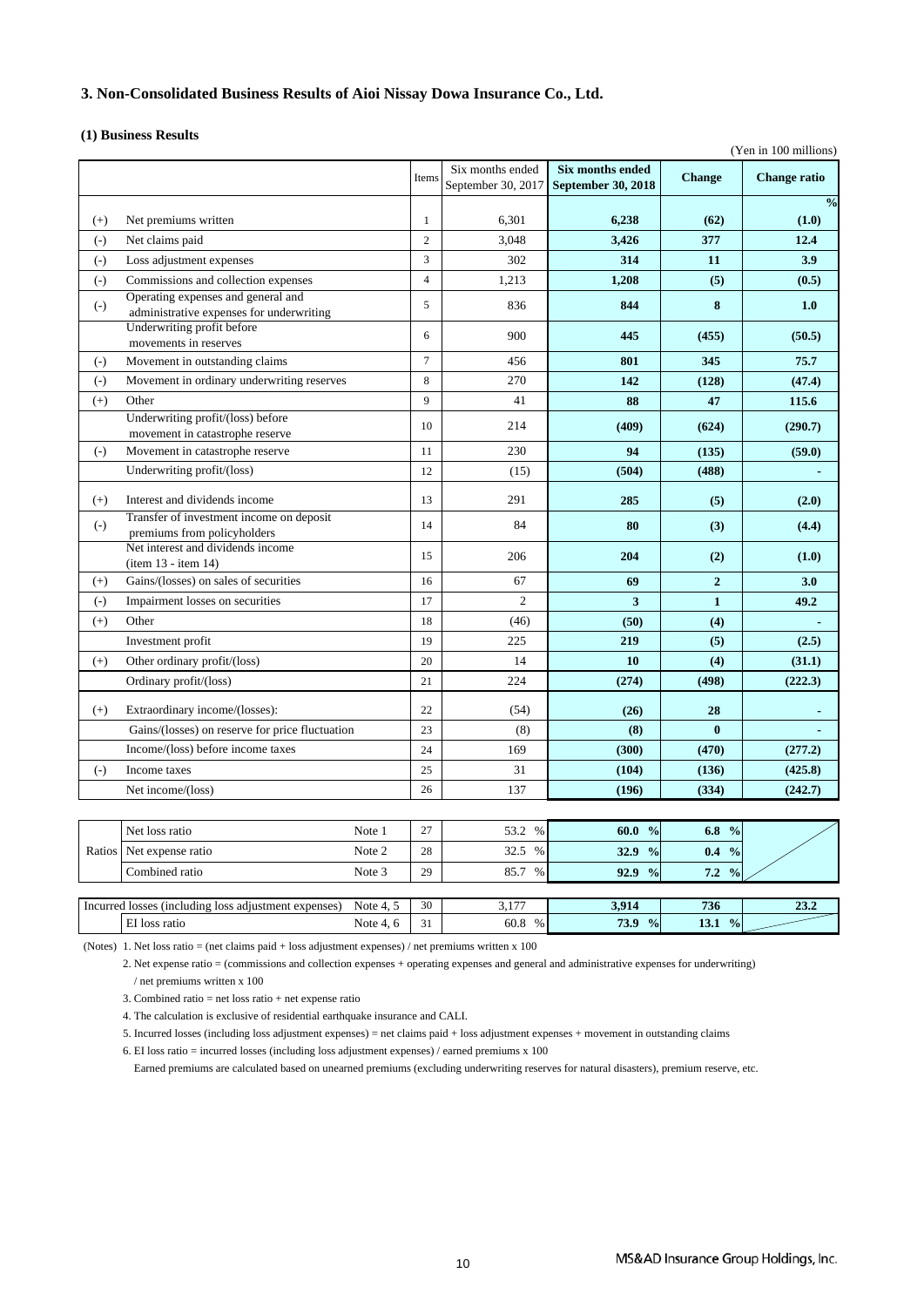### **3. Non-Consolidated Business Results of Aioi Nissay Dowa Insurance Co., Ltd.**

#### **(1) Business Results**

|          |                                                                  |           |                |                    |                           |                | (Yen in 100 millions) |
|----------|------------------------------------------------------------------|-----------|----------------|--------------------|---------------------------|----------------|-----------------------|
|          |                                                                  |           |                | Six months ended   | <b>Six months ended</b>   |                |                       |
|          |                                                                  |           | Items          | September 30, 2017 | <b>September 30, 2018</b> | <b>Change</b>  | <b>Change ratio</b>   |
|          |                                                                  |           |                |                    |                           |                | $\frac{0}{0}$         |
| $(+)$    | Net premiums written                                             |           | $\mathbf{1}$   | 6,301              | 6,238                     | (62)           | (1.0)                 |
| $(-)$    | Net claims paid                                                  |           | $\overline{2}$ | 3,048              | 3,426                     | 377            | 12.4                  |
| $(-)$    | Loss adjustment expenses                                         |           | 3              | 302                | 314                       | 11             | 3.9                   |
| $(-)$    | Commissions and collection expenses                              |           | $\overline{4}$ | 1,213              | 1,208                     | (5)            | (0.5)                 |
| $(-)$    | Operating expenses and general and                               |           | 5              | 836                | 844                       | 8              | 1.0                   |
|          | administrative expenses for underwriting                         |           |                |                    |                           |                |                       |
|          | Underwriting profit before<br>movements in reserves              |           | 6              | 900                | 445                       | (455)          | (50.5)                |
| $(-)$    | Movement in outstanding claims                                   |           | $\overline{7}$ | 456                | 801                       | 345            | 75.7                  |
| $(-)$    | Movement in ordinary underwriting reserves                       |           | 8              | 270                | 142                       | (128)          | (47.4)                |
| $^{(+)}$ | Other                                                            |           | 9              | 41                 | 88                        | 47             | 115.6                 |
|          | Underwriting profit/(loss) before                                |           |                |                    |                           |                |                       |
|          | movement in catastrophe reserve                                  |           | 10             | 214                | (409)                     | (624)          | (290.7)               |
| $(-)$    | Movement in catastrophe reserve                                  |           | 11             | 230                | 94                        | (135)          | (59.0)                |
|          | Underwriting profit/(loss)                                       |           | 12             | (15)               | (504)                     | (488)          |                       |
|          |                                                                  |           |                |                    |                           |                |                       |
| $(+)$    | Interest and dividends income                                    |           | 13             | 291                | 285                       | (5)            | (2.0)                 |
| $(-)$    | Transfer of investment income on deposit                         |           | 14             | 84                 | 80                        | (3)            | (4.4)                 |
|          | premiums from policyholders<br>Net interest and dividends income |           |                |                    |                           |                |                       |
|          | (item 13 - item 14)                                              |           | 15             | 206                | 204                       | (2)            | (1.0)                 |
| $(+)$    | Gains/(losses) on sales of securities                            |           | 16             | 67                 | 69                        | $\overline{2}$ | 3.0                   |
| $(-)$    | Impairment losses on securities                                  |           | 17             | $\overline{c}$     | 3                         | $\mathbf{1}$   | 49.2                  |
| $(+)$    | Other                                                            |           | 18             | (46)               | (50)                      | (4)            |                       |
|          | Investment profit                                                |           | 19             | 225                | 219                       | (5)            | (2.5)                 |
| $^{(+)}$ | Other ordinary profit/(loss)                                     |           | 20             | 14                 | 10                        | (4)            | (31.1)                |
|          | Ordinary profit/(loss)                                           |           | 21             | 224                | (274)                     | (498)          | (222.3)               |
|          |                                                                  |           |                |                    |                           |                |                       |
| $(+)$    | Extraordinary income/(losses):                                   |           | 22             | (54)               | (26)                      | 28             |                       |
|          | Gains/(losses) on reserve for price fluctuation                  |           | 23             | (8)                | (8)                       | $\bf{0}$       |                       |
|          | Income/(loss) before income taxes                                |           | 24             | 169                | (300)                     | (470)          | (277.2)               |
| $(-)$    | Income taxes                                                     |           | 25             | 31                 | (104)                     | (136)          | (425.8)               |
|          | Net income/(loss)                                                |           | 26             | 137                | (196)                     | (334)          | (242.7)               |
|          |                                                                  |           |                |                    |                           |                |                       |
|          | Net loss ratio                                                   | Note 1    | 27             | 53.2 %             | 60.0 %                    | 6.8 $%$        |                       |
| Ratios   | Net expense ratio                                                | Note 2    | 28             | 32.5 %             | 32.9 %                    | $0.4\%$        |                       |
|          | Combined ratio                                                   | Note 3    | 29             | 85.7<br>%          | 92.9 %                    | 7.2 %          |                       |
|          |                                                                  |           |                |                    |                           |                |                       |
|          | Incurred losses (including loss adjustment expenses)             | Note 4, 5 | 30             | 3,177              | 3,914                     | 736            | 23.2                  |
|          | EI loss ratio                                                    | Note 4, 6 | 31             | 60.8 %             | 73.9 %                    | 13.1 $%$       |                       |

(Notes) 1. Net loss ratio = (net claims paid + loss adjustment expenses) / net premiums written x 100

2. Net expense ratio = (commissions and collection expenses + operating expenses and general and administrative expenses for underwriting) / net premiums written x 100

3. Combined ratio = net loss ratio + net expense ratio

4. The calculation is exclusive of residential earthquake insurance and CALI.

5. Incurred losses (including loss adjustment expenses) = net claims paid + loss adjustment expenses + movement in outstanding claims

6. EI loss ratio = incurred losses (including loss adjustment expenses) / earned premiums x 100

Earned premiums are calculated based on unearned premiums (excluding underwriting reserves for natural disasters), premium reserve, etc.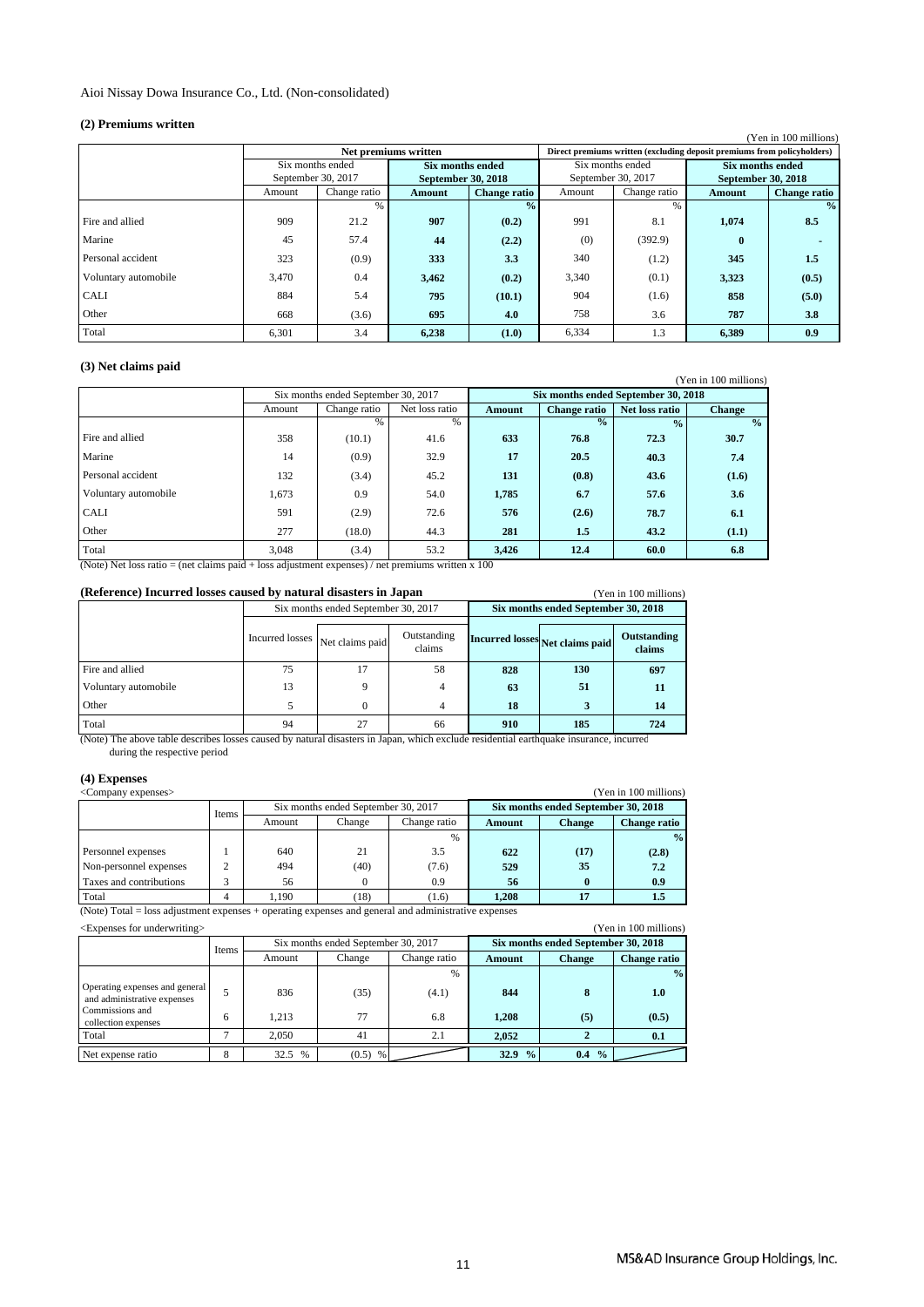#### **(2) Premiums written**

| ( <i>=</i> ) + remmanns written |                    |               |                           |                     |                    |              |                                                                         | (Yen in 100 millions) |
|---------------------------------|--------------------|---------------|---------------------------|---------------------|--------------------|--------------|-------------------------------------------------------------------------|-----------------------|
|                                 |                    |               | Net premiums written      |                     |                    |              | Direct premiums written (excluding deposit premiums from policyholders) |                       |
|                                 | Six months ended   |               | <b>Six months ended</b>   |                     | Six months ended   |              | <b>Six months ended</b>                                                 |                       |
|                                 | September 30, 2017 |               | <b>September 30, 2018</b> |                     | September 30, 2017 |              | September 30, 2018                                                      |                       |
|                                 | Amount             | Change ratio  | Amount                    | <b>Change ratio</b> | Amount             | Change ratio | Amount                                                                  | <b>Change ratio</b>   |
|                                 |                    | $\frac{0}{0}$ |                           | $\frac{0}{2}$       |                    | %            |                                                                         | $\frac{0}{0}$         |
| Fire and allied                 | 909                | 21.2          | 907                       | (0.2)               | 991                | 8.1          | 1,074                                                                   | 8.5                   |
| Marine                          | 45                 | 57.4          | 44                        | (2.2)               | (0)                | (392.9)      | $\bf{0}$                                                                |                       |
| Personal accident               | 323                | (0.9)         | 333                       | 3.3                 | 340                | (1.2)        | 345                                                                     | 1.5                   |
| Voluntary automobile            | 3,470              | 0.4           | 3,462                     | (0.2)               | 3,340              | (0.1)        | 3,323                                                                   | (0.5)                 |
| <b>CALI</b>                     | 884                | 5.4           | 795                       | (10.1)              | 904                | (1.6)        | 858                                                                     | (5.0)                 |
| Other                           | 668                | (3.6)         | 695                       | 4.0                 | 758                | 3.6          | 787                                                                     | 3.8                   |
| Total                           | 6,301              | 3.4           | 6.238                     | (1.0)               | 6,334              | 1.3          | 6,389                                                                   | 0.9 <sub>0</sub>      |

### **(3) Net claims paid**

| $\sqrt{2}$ , $\sqrt{2}$ , $\sqrt{2}$ , $\sqrt{2}$ , $\sqrt{2}$ , $\sqrt{2}$ , $\sqrt{2}$ , $\sqrt{2}$ , $\sqrt{2}$ , $\sqrt{2}$ , $\sqrt{2}$ , $\sqrt{2}$ , $\sqrt{2}$ , $\sqrt{2}$ , $\sqrt{2}$ , $\sqrt{2}$ , $\sqrt{2}$ , $\sqrt{2}$ , $\sqrt{2}$ , $\sqrt{2}$ , $\sqrt{2}$ , $\sqrt{2}$ , |        |                                     |                |        |                                     |                | (Yen in 100 millions) |  |
|-----------------------------------------------------------------------------------------------------------------------------------------------------------------------------------------------------------------------------------------------------------------------------------------------|--------|-------------------------------------|----------------|--------|-------------------------------------|----------------|-----------------------|--|
|                                                                                                                                                                                                                                                                                               |        | Six months ended September 30, 2017 |                |        | Six months ended September 30, 2018 |                |                       |  |
|                                                                                                                                                                                                                                                                                               | Amount | Change ratio                        | Net loss ratio | Amount | <b>Change ratio</b>                 | Net loss ratio | <b>Change</b>         |  |
|                                                                                                                                                                                                                                                                                               |        | $\frac{0}{0}$                       | $\frac{0}{0}$  |        | $\frac{1}{2}$                       | $\frac{0}{2}$  | $\frac{0}{0}$         |  |
| Fire and allied                                                                                                                                                                                                                                                                               | 358    | (10.1)                              | 41.6           | 633    | 76.8                                | 72.3           | 30.7                  |  |
| Marine                                                                                                                                                                                                                                                                                        | 14     | (0.9)                               | 32.9           | 17     | 20.5                                | 40.3           | 7.4                   |  |
| Personal accident                                                                                                                                                                                                                                                                             | 132    | (3.4)                               | 45.2           | 131    | (0.8)                               | 43.6           | (1.6)                 |  |
| Voluntary automobile                                                                                                                                                                                                                                                                          | 1,673  | 0.9                                 | 54.0           | 1,785  | 6.7                                 | 57.6           | 3.6                   |  |
| <b>CALI</b>                                                                                                                                                                                                                                                                                   | 591    | (2.9)                               | 72.6           | 576    | (2.6)                               | 78.7           | 6.1                   |  |
| Other                                                                                                                                                                                                                                                                                         | 277    | (18.0)                              | 44.3           | 281    | 1.5                                 | 43.2           | (1.1)                 |  |
| Total                                                                                                                                                                                                                                                                                         | 3.048  | (3.4)                               | 53.2           | 3,426  | 12.4                                | 60.0           | 6.8                   |  |

(Note) Net loss ratio = (net claims paid + loss adjustment expenses) / net premiums written x 100

#### **(Reference) Incurred losses caused by natural disasters in Japan** (Yen in 100 millions)

| 1.911.11.100.111.11.011.01.01 |                                   |                                     |                       |                                     |                                 |                       |  |  |  |
|-------------------------------|-----------------------------------|-------------------------------------|-----------------------|-------------------------------------|---------------------------------|-----------------------|--|--|--|
|                               |                                   | Six months ended September 30, 2017 |                       | Six months ended September 30, 2018 |                                 |                       |  |  |  |
|                               | Incurred losses   Net claims paid |                                     | Outstanding<br>claims |                                     | Incurred losses Net claims paid | Outstanding<br>claims |  |  |  |
| Fire and allied               | 75                                | 17                                  | 58                    | 828                                 | 130                             | 697                   |  |  |  |
| Voluntary automobile          | 13                                |                                     | 4                     | 63                                  | 51                              | 11                    |  |  |  |
| Other                         |                                   |                                     | 4                     | 18                                  |                                 | 14                    |  |  |  |
| Total                         | 94                                |                                     | 66                    | 910                                 | 185                             | 724                   |  |  |  |

during the respective period. (Note) The above table describes losses caused by natural disasters in Japan, which exclude residential earthquake insurance, incurred

#### **(4) Expenses**

| (Yen in 100 millions)<br><company expenses=""></company> |       |        |                                     |              |        |                                     |                     |  |
|----------------------------------------------------------|-------|--------|-------------------------------------|--------------|--------|-------------------------------------|---------------------|--|
|                                                          | Items |        | Six months ended September 30, 2017 |              |        | Six months ended September 30, 2018 |                     |  |
|                                                          |       | Amount | Change                              | Change ratio | Amount | <b>Change</b>                       | <b>Change ratio</b> |  |
|                                                          |       |        |                                     | $\%$         |        |                                     | $\frac{0}{2}$       |  |
| Personnel expenses                                       |       | 640    | 21                                  | 3.5          | 622    | (17)                                | (2.8)               |  |
| Non-personnel expenses                                   | ◠     | 494    | (40)                                | (7.6)        | 529    | 35                                  | 7.2                 |  |
| Taxes and contributions                                  |       | 56     |                                     | 0.9          | 56     |                                     | 0.9                 |  |
| Total                                                    |       | 1.190  | (18)                                | (1.6)        | 1.208  |                                     |                     |  |

(Note) Total = loss adjustment expenses + operating expenses and general and administrative expenses

|                                                               | Items |        | Six months ended September 30, 2017 |              | Six months ended September 30, 2018 |               |                     |
|---------------------------------------------------------------|-------|--------|-------------------------------------|--------------|-------------------------------------|---------------|---------------------|
|                                                               |       | Amount | Change                              | Change ratio | Amount                              | <b>Change</b> | <b>Change ratio</b> |
|                                                               |       |        |                                     | $\%$         |                                     |               | $\frac{0}{2}$       |
| Operating expenses and general<br>and administrative expenses |       | 836    | (35)                                | (4.1)        | 844                                 | 8             | 1.0                 |
| Commissions and<br>collection expenses                        | 6     | 1.213  | 77                                  | 6.8          | 1.208                               | (5)           | (0.5)               |
| Total                                                         | -     | 2.050  | 41                                  | 2.1          | 2.052                               |               | 0.1                 |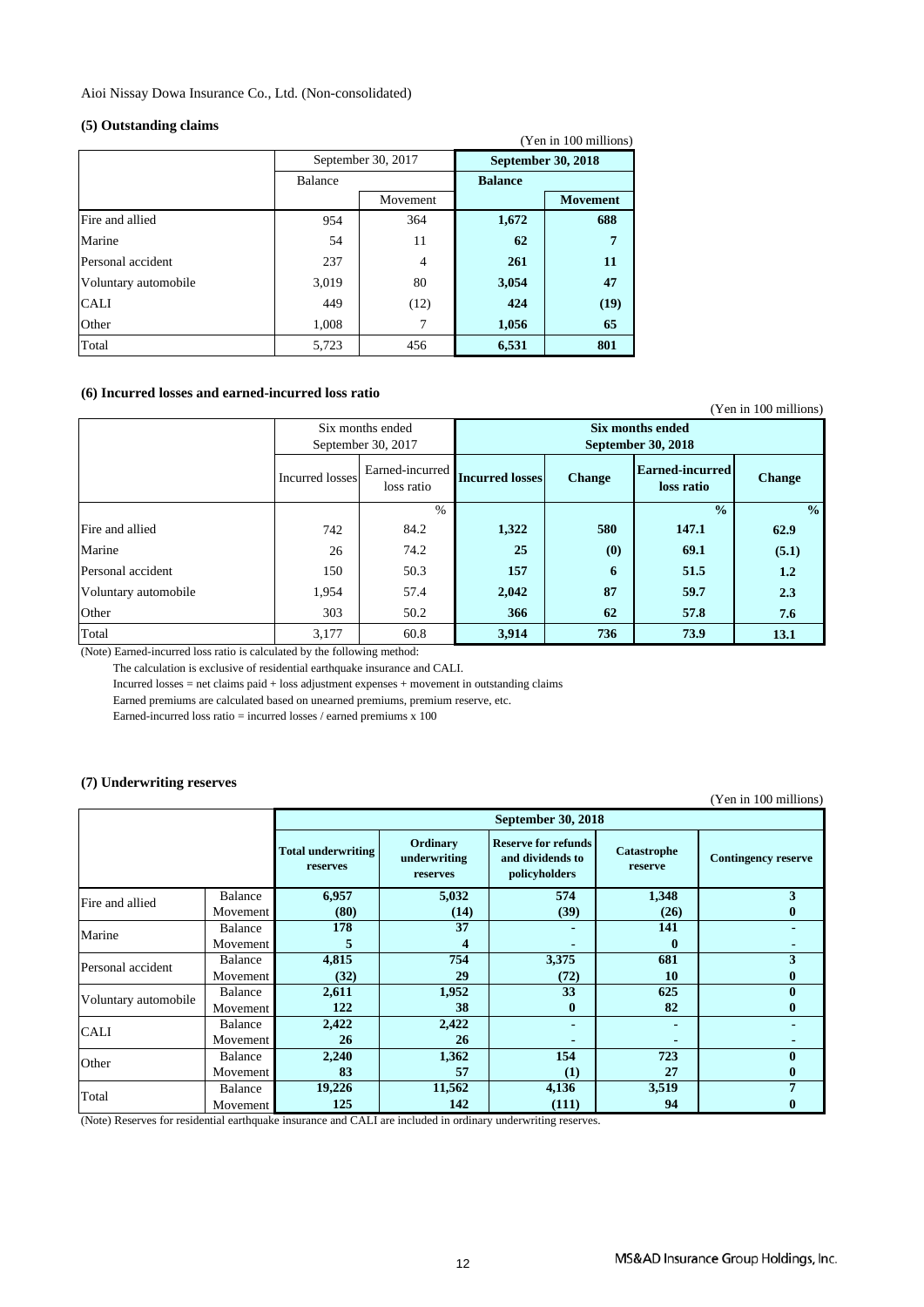Aioi Nissay Dowa Insurance Co., Ltd. (Non-consolidated)

#### **(5) Outstanding claims**

|                      |                |                    |                           | (Yen in 100 millions) |
|----------------------|----------------|--------------------|---------------------------|-----------------------|
|                      |                | September 30, 2017 | <b>September 30, 2018</b> |                       |
|                      | <b>Balance</b> |                    | <b>Balance</b>            |                       |
|                      |                | Movement           |                           | <b>Movement</b>       |
| Fire and allied      | 954            | 364                | 1,672                     | 688                   |
| Marine               | 54             | 11                 | 62                        | 7                     |
| Personal accident    | 237            | 4                  | 261                       | 11                    |
| Voluntary automobile | 3,019          | 80                 | 3,054                     | 47                    |
| <b>CALI</b>          | 449            | (12)               | 424                       | (19)                  |
| Other                | 1,008          | 7                  | 1,056                     | 65                    |
| Total                | 5,723          | 456                | 6,531                     | 801                   |

### **(6) Incurred losses and earned-incurred loss ratio**

|                      |                                                                                            |      |                                        |               |                               | (Yen in 100 millions) |
|----------------------|--------------------------------------------------------------------------------------------|------|----------------------------------------|---------------|-------------------------------|-----------------------|
|                      | Six months ended<br>September 30, 2017<br>Earned-incurred<br>Incurred losses<br>loss ratio |      | Six months ended<br>September 30, 2018 |               |                               |                       |
|                      |                                                                                            |      | <b>Incurred losses</b>                 | <b>Change</b> | Earned-incurred<br>loss ratio | <b>Change</b>         |
|                      |                                                                                            | $\%$ |                                        |               | $\frac{0}{0}$                 | $\frac{0}{0}$         |
| Fire and allied      | 742                                                                                        | 84.2 | 1,322                                  | 580           | 147.1                         | 62.9                  |
| Marine               | 26                                                                                         | 74.2 | 25                                     | (0)           | 69.1                          | (5.1)                 |
| Personal accident    | 150                                                                                        | 50.3 | 157                                    | 6             | 51.5                          | 1.2                   |
| Voluntary automobile | 1,954                                                                                      | 57.4 | 2,042                                  | 87            | 59.7                          | 2.3                   |
| Other                | 303                                                                                        | 50.2 | 366                                    | 62            | 57.8                          | 7.6                   |
| Total                | 3,177                                                                                      | 60.8 | 3,914                                  | 736           | 73.9                          | 13.1                  |

(Note) Earned-incurred loss ratio is calculated by the following method:

The calculation is exclusive of residential earthquake insurance and CALI.

Incurred losses = net claims paid + loss adjustment expenses + movement in outstanding claims

Earned premiums are calculated based on unearned premiums, premium reserve, etc.

Earned-incurred loss ratio = incurred losses / earned premiums x 100

### **(7) Underwriting reserves**

(Yen in 100 millions)

|                      |          | September 30, 2018                    |                                      |                                                                 |                        |                            |  |
|----------------------|----------|---------------------------------------|--------------------------------------|-----------------------------------------------------------------|------------------------|----------------------------|--|
|                      |          | <b>Total underwriting</b><br>reserves | Ordinary<br>underwriting<br>reserves | <b>Reserve for refunds</b><br>and dividends to<br>policyholders | Catastrophe<br>reserve | <b>Contingency reserve</b> |  |
| Fire and allied      | Balance  | 6,957                                 | 5,032                                | 574                                                             | 1,348                  | 3                          |  |
|                      | Movement | (80)                                  | (14)                                 | (39)                                                            | (26)                   |                            |  |
| Marine               | Balance  | 178                                   | 37                                   |                                                                 | 141                    |                            |  |
|                      | Movement |                                       |                                      |                                                                 | $\mathbf{0}$           |                            |  |
| Personal accident    | Balance  | 4,815                                 | 754                                  | 3,375                                                           | 681                    | 3                          |  |
|                      | Movement | (32)                                  | 29                                   | (72)                                                            | 10                     |                            |  |
| Voluntary automobile | Balance  | 2,611                                 | 1,952                                | 33                                                              | 625                    |                            |  |
|                      | Movement | 122                                   | 38                                   | $\mathbf{0}$                                                    | 82                     |                            |  |
| <b>CALI</b>          | Balance  | 2,422                                 | 2,422                                |                                                                 |                        |                            |  |
|                      | Movement | 26                                    | 26                                   |                                                                 |                        |                            |  |
| Other                | Balance  | 2,240                                 | 1,362                                | 154                                                             | 723                    |                            |  |
|                      | Movement | 83                                    | 57                                   | (1)                                                             | 27                     |                            |  |
| Total                | Balance  | 19,226                                | 11,562                               | 4,136                                                           | 3,519                  | 7                          |  |
|                      | Movement | 125                                   | 142                                  | (111)                                                           | 94                     |                            |  |

(Note) Reserves for residential earthquake insurance and CALI are included in ordinary underwriting reserves.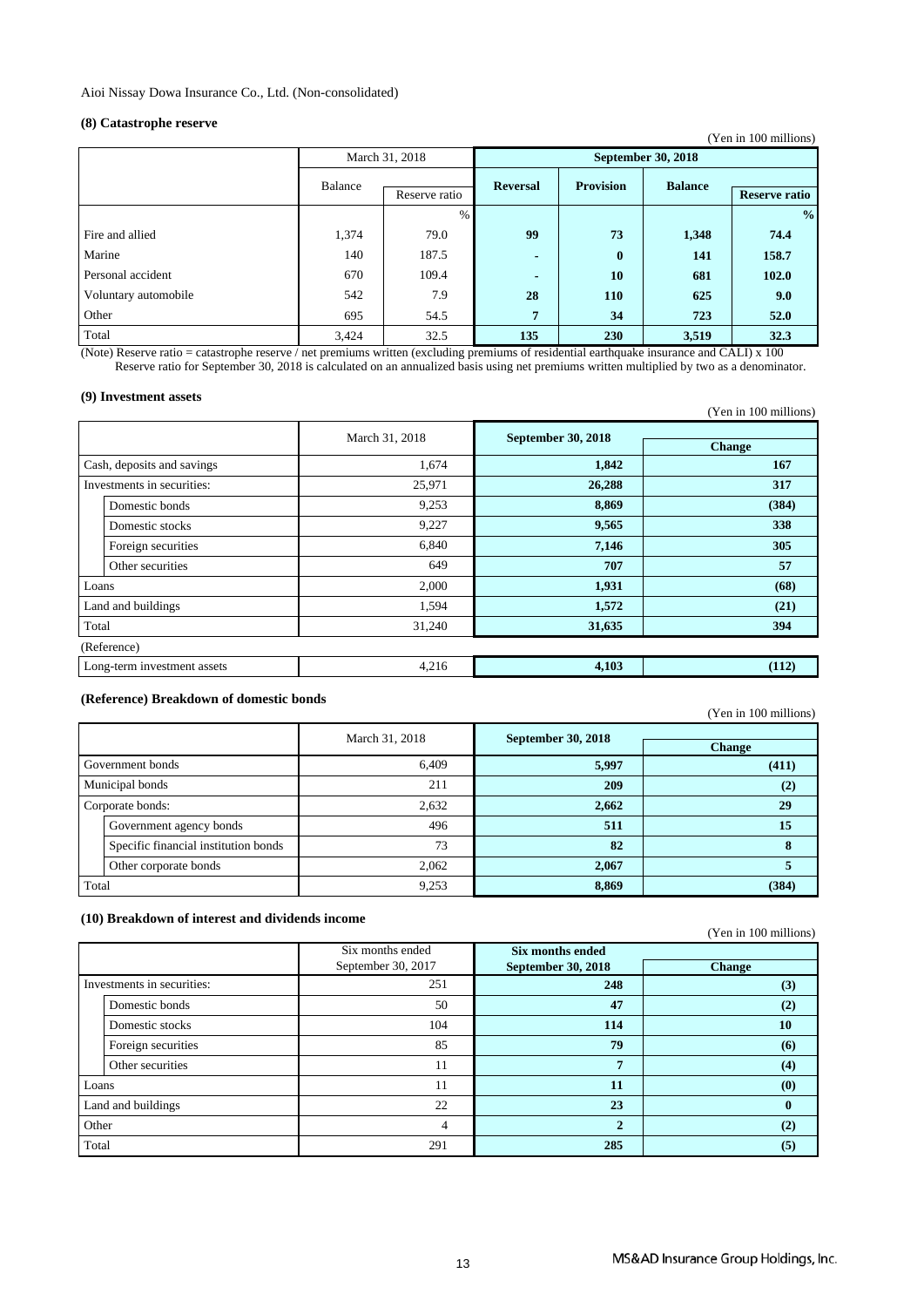### **(8) Catastrophe reserve**

|                      |                          |                |                          |                           |                | (Yen in 100 millions) |  |
|----------------------|--------------------------|----------------|--------------------------|---------------------------|----------------|-----------------------|--|
|                      |                          | March 31, 2018 |                          | <b>September 30, 2018</b> |                |                       |  |
|                      | Balance<br>Reserve ratio |                | <b>Reversal</b>          | <b>Provision</b>          | <b>Balance</b> | <b>Reserve ratio</b>  |  |
|                      |                          | $\%$           |                          |                           |                | $\frac{0}{0}$         |  |
| Fire and allied      | 1,374                    | 79.0           | 99                       | 73                        | 1,348          | 74.4                  |  |
| Marine               | 140                      | 187.5          | $\overline{\phantom{0}}$ | $\bf{0}$                  | 141            | 158.7                 |  |
| Personal accident    | 670                      | 109.4          | $\blacksquare$           | 10                        | 681            | 102.0                 |  |
| Voluntary automobile | 542                      | 7.9            | 28                       | 110                       | 625            | 9.0                   |  |
| Other                | 695                      | 54.5           | $7\phantom{.}$           | 34                        | 723            | 52.0                  |  |
| Total                | 3,424                    | 32.5           | 135                      | 230                       | 3,519          | 32.3                  |  |

(Note) Reserve ratio = catastrophe reserve / net premiums written (excluding premiums of residential earthquake insurance and CALI) x 100 Reserve ratio for September 30, 2018 is calculated on an annualized basis using net premiums written multiplied by two as a denominator.

#### **(9) Investment assets**

|                            |                             |                |                           | (Yen in 100 millions) |
|----------------------------|-----------------------------|----------------|---------------------------|-----------------------|
|                            |                             | March 31, 2018 | <b>September 30, 2018</b> |                       |
|                            |                             |                |                           | <b>Change</b>         |
|                            | Cash, deposits and savings  | 1,674          | 1,842                     | 167                   |
| Investments in securities: |                             | 25,971         | 26,288                    | 317                   |
|                            | Domestic bonds              | 9,253          | 8,869                     | (384)                 |
|                            | Domestic stocks             | 9,227          | 9,565                     | 338                   |
|                            | Foreign securities          | 6,840          | 7,146                     | 305                   |
|                            | Other securities            | 649            | 707                       | 57                    |
|                            | Loans                       | 2,000          | 1,931                     | (68)                  |
|                            | Land and buildings          | 1,594          | 1,572                     | (21)                  |
| Total                      |                             | 31,240         | 31,635                    | 394                   |
|                            | (Reference)                 |                |                           |                       |
|                            | Long-term investment assets | 4,216          | 4,103                     | (112)                 |

### **(Reference) Breakdown of domestic bonds**

(Yen in 100 millions)

|                  |                                      | March 31, 2018 | <b>September 30, 2018</b> |               |
|------------------|--------------------------------------|----------------|---------------------------|---------------|
|                  |                                      |                |                           | <b>Change</b> |
| Government bonds |                                      | 6,409          | 5,997                     | (411)         |
| Municipal bonds  |                                      | 211            | 209                       | (2)           |
|                  | Corporate bonds:                     | 2,632          | 2,662                     | 29            |
|                  | Government agency bonds              | 496            | 511                       | 15            |
|                  | Specific financial institution bonds | 73             | 82                        |               |
|                  | Other corporate bonds                | 2,062          | 2,067                     |               |
| Total            |                                      | 9,253          | 8,869                     | (384)         |

#### **(10) Breakdown of interest and dividends income**

|                            |                    |                    |                           | (Yen in 100 millions) |
|----------------------------|--------------------|--------------------|---------------------------|-----------------------|
|                            |                    | Six months ended   | Six months ended          |                       |
|                            |                    | September 30, 2017 | <b>September 30, 2018</b> | <b>Change</b>         |
| Investments in securities: |                    | 251                | 248                       | (3)                   |
|                            | Domestic bonds     | 50                 | 47                        | (2)                   |
|                            | Domestic stocks    | 104                | 114                       | 10                    |
|                            | Foreign securities | 85                 | 79                        | (6)                   |
|                            | Other securities   | 11                 | $\overline{7}$            | (4)                   |
| Loans                      |                    | 11                 | 11                        | (0)                   |
| Land and buildings         |                    | 22                 | 23                        | $\mathbf{0}$          |
| Other                      |                    | 4                  | $\mathbf{2}$              | (2)                   |
| Total                      |                    | 291                | 285                       | (5)                   |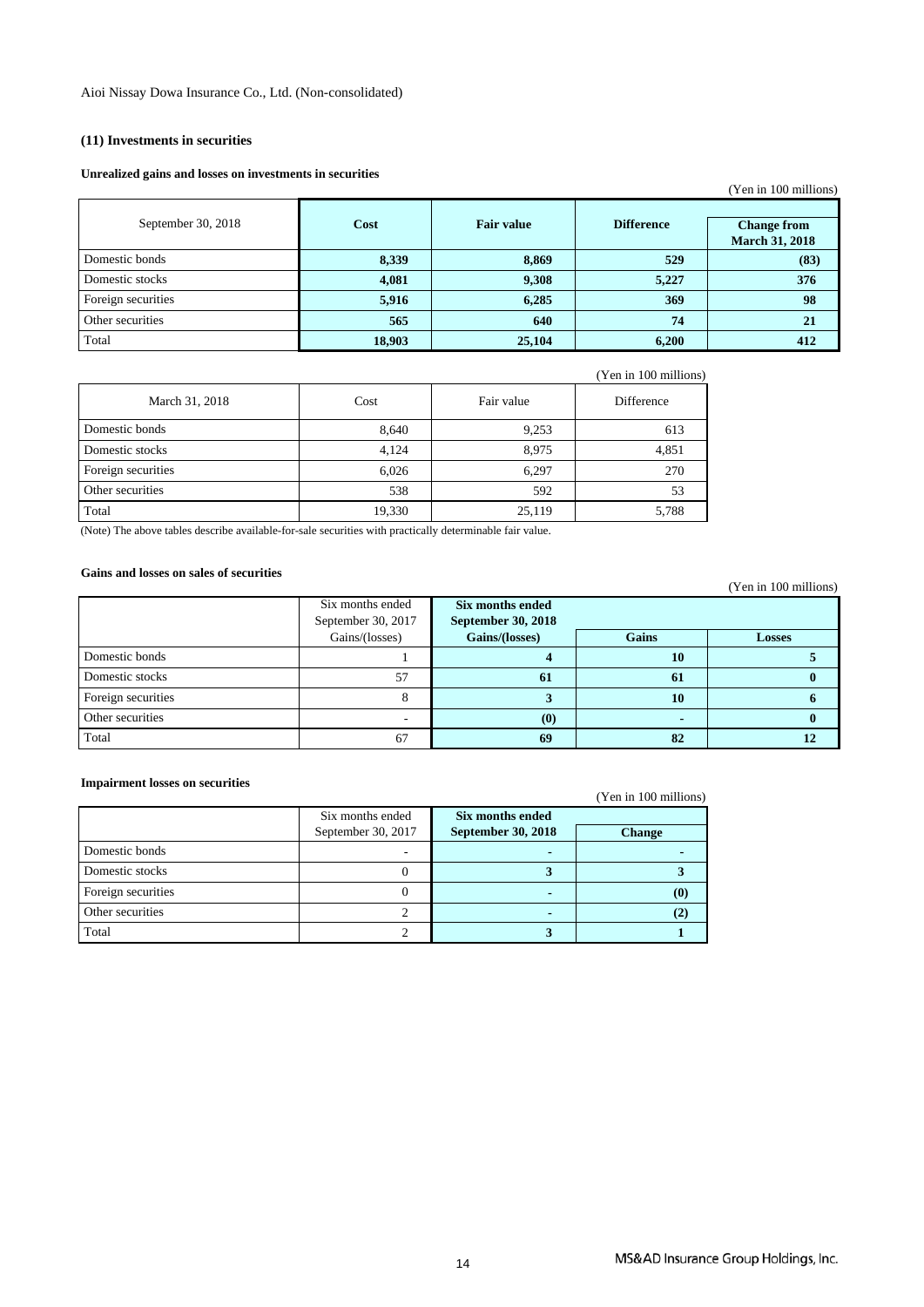### **(11) Investments in securities**

#### **Unrealized gains and losses on investments in securities**

|                    |        |                   |                   | (Yen in 100 millions)                       |
|--------------------|--------|-------------------|-------------------|---------------------------------------------|
| September 30, 2018 | Cost   | <b>Fair value</b> | <b>Difference</b> | <b>Change from</b><br><b>March 31, 2018</b> |
| Domestic bonds     | 8,339  | 8,869             | 529               | (83)                                        |
| Domestic stocks    | 4,081  | 9,308             | 5,227             | 376                                         |
| Foreign securities | 5,916  | 6,285             | 369               | 98                                          |
| Other securities   | 565    | 640               | 74                | 21                                          |
| Total              | 18,903 | 25,104            | 6,200             | 412                                         |

|                    |        |            | (Yen in 100 millions) |
|--------------------|--------|------------|-----------------------|
| March 31, 2018     | Cost   | Fair value | Difference            |
| Domestic bonds     | 8,640  | 9,253      | 613                   |
| Domestic stocks    | 4,124  | 8,975      | 4,851                 |
| Foreign securities | 6,026  | 6,297      | 270                   |
| Other securities   | 538    | 592        | 53                    |
| Total              | 19,330 | 25,119     | 5,788                 |

(Note) The above tables describe available-for-sale securities with practically determinable fair value.

### **Gains and losses on sales of securities**

| gams and losses on sales of securities |                    |                                 |              | (Yen in 100 millions) |
|----------------------------------------|--------------------|---------------------------------|--------------|-----------------------|
|                                        | Six months ended   | Six months ended                |              |                       |
|                                        | September 30, 2017 | <b>September 30, 2018</b>       |              |                       |
|                                        | Gains/(losses)     | Gains/(losses)                  | <b>Gains</b> | <b>Losses</b>         |
| Domestic bonds                         |                    |                                 | 10           |                       |
| Domestic stocks                        | 57                 | 61                              | 61           |                       |
| Foreign securities                     | 8                  |                                 | <b>10</b>    |                       |
| Other securities                       |                    | $\boldsymbol{\left( 0\right) }$ |              |                       |
| Total                                  | 67                 | 69                              | 82           | 12                    |

#### **Impairment losses on securities**

#### (Yen in 100 millions)

|                    | Six months ended   | Six months ended          |                            |
|--------------------|--------------------|---------------------------|----------------------------|
|                    | September 30, 2017 | <b>September 30, 2018</b> | <b>Change</b>              |
| Domestic bonds     |                    |                           |                            |
| Domestic stocks    |                    |                           |                            |
| Foreign securities |                    |                           | $\left( \mathbf{0}\right)$ |
| Other securities   |                    |                           |                            |
| Total              |                    |                           |                            |

(Yen in 100 millions)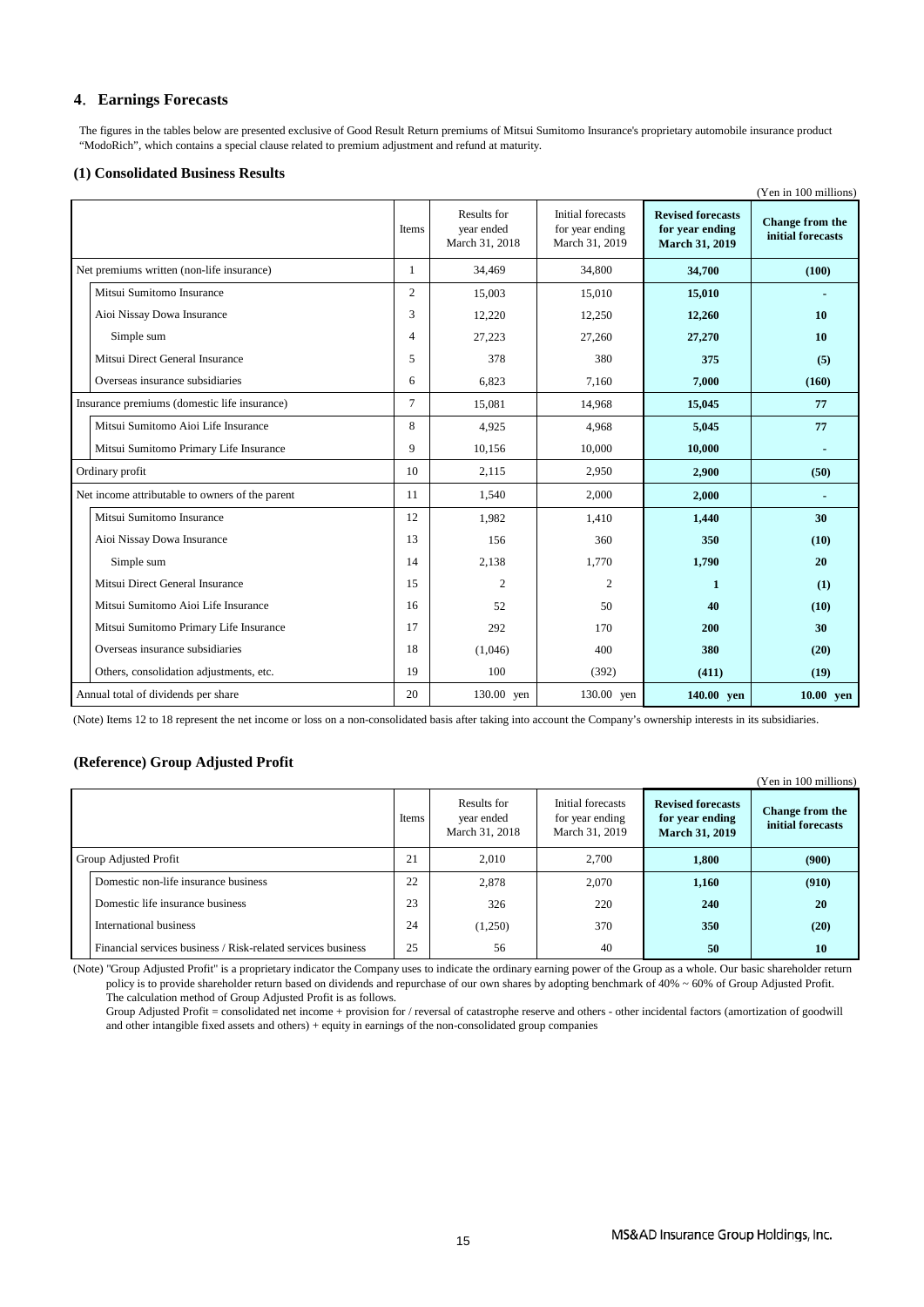### **4**.**Earnings Forecasts**

 The figures in the tables below are presented exclusive of Good Result Return premiums of Mitsui Sumitomo Insurance's proprietary automobile insurance product "ModoRich", which contains a special clause related to premium adjustment and refund at maturity.

#### **(1) Consolidated Business Results**

|                                                 |              |                                             |                                                        |                                                                      | (Yen in 100 millions)                |
|-------------------------------------------------|--------------|---------------------------------------------|--------------------------------------------------------|----------------------------------------------------------------------|--------------------------------------|
|                                                 | Items        | Results for<br>year ended<br>March 31, 2018 | Initial forecasts<br>for year ending<br>March 31, 2019 | <b>Revised forecasts</b><br>for year ending<br><b>March 31, 2019</b> | Change from the<br>initial forecasts |
| Net premiums written (non-life insurance)       | $\mathbf{1}$ | 34,469                                      | 34,800                                                 | 34,700                                                               | (100)                                |
| Mitsui Sumitomo Insurance                       | 2            | 15,003                                      | 15,010                                                 | 15,010                                                               |                                      |
| Aioi Nissay Dowa Insurance                      | 3            | 12,220                                      | 12,250                                                 | 12,260                                                               | 10                                   |
| Simple sum                                      | 4            | 27,223                                      | 27,260                                                 | 27,270                                                               | 10                                   |
| Mitsui Direct General Insurance                 | 5            | 378                                         | 380                                                    | 375                                                                  | (5)                                  |
| Overseas insurance subsidiaries                 | 6            | 6,823                                       | 7,160                                                  | 7,000                                                                | (160)                                |
| Insurance premiums (domestic life insurance)    | 7            | 15,081                                      | 14,968                                                 | 15,045                                                               | 77                                   |
| Mitsui Sumitomo Aioi Life Insurance             | 8            | 4,925                                       | 4,968                                                  | 5,045                                                                | 77                                   |
| Mitsui Sumitomo Primary Life Insurance          | 9            | 10,156                                      | 10,000                                                 | 10,000                                                               |                                      |
| Ordinary profit                                 | 10           | 2,115                                       | 2,950                                                  | 2,900                                                                | (50)                                 |
| Net income attributable to owners of the parent | 11           | 1,540                                       | 2,000                                                  | 2,000                                                                | ٠                                    |
| Mitsui Sumitomo Insurance                       | 12           | 1.982                                       | 1,410                                                  | 1,440                                                                | 30                                   |
| Aioi Nissay Dowa Insurance                      | 13           | 156                                         | 360                                                    | 350                                                                  | (10)                                 |
| Simple sum                                      | 14           | 2,138                                       | 1,770                                                  | 1,790                                                                | 20                                   |
| Mitsui Direct General Insurance                 | 15           | $\overline{c}$                              | $\overline{c}$                                         | 1                                                                    | (1)                                  |
| Mitsui Sumitomo Aioi Life Insurance             | 16           | 52                                          | 50                                                     | 40                                                                   | (10)                                 |
| Mitsui Sumitomo Primary Life Insurance          | 17           | 292                                         | 170                                                    | 200                                                                  | 30                                   |
| Overseas insurance subsidiaries                 | 18           | (1,046)                                     | 400                                                    | 380                                                                  | (20)                                 |
| Others, consolidation adjustments, etc.         | 19           | 100                                         | (392)                                                  | (411)                                                                | (19)                                 |
| Annual total of dividends per share             | 20           | 130.00 yen                                  | 130.00 yen                                             | 140.00 yen                                                           | $10.00$ yen                          |

(Note) Items 12 to 18 represent the net income or loss on a non-consolidated basis after taking into account the Company's ownership interests in its subsidiaries.

#### **(Reference) Group Adjusted Profit**

|                                                              |       |                                             |                                                        |                                                                      | (Yen in 100 millions)                       |
|--------------------------------------------------------------|-------|---------------------------------------------|--------------------------------------------------------|----------------------------------------------------------------------|---------------------------------------------|
|                                                              | Items | Results for<br>year ended<br>March 31, 2018 | Initial forecasts<br>for year ending<br>March 31, 2019 | <b>Revised forecasts</b><br>for year ending<br><b>March 31, 2019</b> | <b>Change from the</b><br>initial forecasts |
| Group Adjusted Profit                                        | 21    | 2.010                                       | 2.700                                                  | 1,800                                                                | (900)                                       |
| Domestic non-life insurance business                         | 22    | 2,878                                       | 2,070                                                  | 1,160                                                                | (910)                                       |
| Domestic life insurance business                             | 23    | 326                                         | 220                                                    | 240                                                                  | 20                                          |
| International business                                       | 24    | (1,250)                                     | 370                                                    | 350                                                                  | (20)                                        |
| Financial services business / Risk-related services business | 25    | 56                                          | 40                                                     | 50                                                                   | 10                                          |

(Note) "Group Adjusted Profit" is a proprietary indicator the Company uses to indicate the ordinary earning power of the Group as a whole. Our basic shareholder return policy is to provide shareholder return based on dividends and repurchase of our own shares by adopting benchmark of 40% ~ 60% of Group Adjusted Profit. The calculation method of Group Adjusted Profit is as follows.

 Group Adjusted Profit = consolidated net income + provision for / reversal of catastrophe reserve and others - other incidental factors (amortization of goodwill and other intangible fixed assets and others) + equity in earnings of the non-consolidated group companies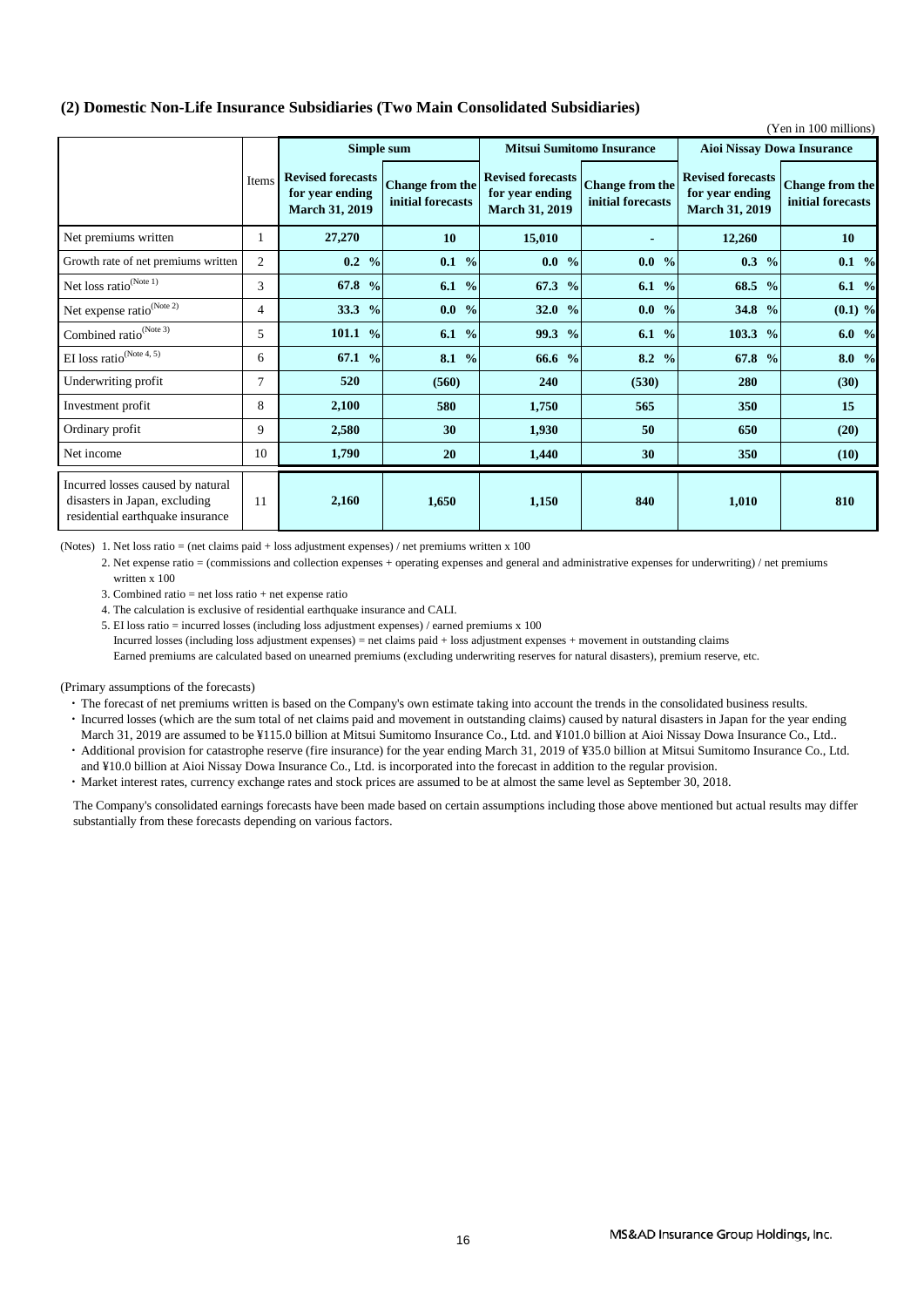### **(2) Domestic Non-Life Insurance Subsidiaries (Two Main Consolidated Subsidiaries)**

| (Yen in 100 millions)                                                                                  |                |                                                                      |                                             |                                                                      |                                             |                                                                      |                                             |  |  |
|--------------------------------------------------------------------------------------------------------|----------------|----------------------------------------------------------------------|---------------------------------------------|----------------------------------------------------------------------|---------------------------------------------|----------------------------------------------------------------------|---------------------------------------------|--|--|
|                                                                                                        |                | Simple sum                                                           |                                             | <b>Mitsui Sumitomo Insurance</b>                                     |                                             | <b>Aioi Nissay Dowa Insurance</b>                                    |                                             |  |  |
|                                                                                                        | Items          | <b>Revised forecasts</b><br>for year ending<br><b>March 31, 2019</b> | <b>Change from the</b><br>initial forecasts | <b>Revised forecasts</b><br>for year ending<br><b>March 31, 2019</b> | <b>Change from the</b><br>initial forecasts | <b>Revised forecasts</b><br>for year ending<br><b>March 31, 2019</b> | <b>Change from the</b><br>initial forecasts |  |  |
| Net premiums written                                                                                   | 1              | 27,270                                                               | 10                                          | 15,010                                                               | $\blacksquare$                              | 12,260                                                               | <b>10</b>                                   |  |  |
| Growth rate of net premiums written                                                                    | 2              | $0.2 \frac{9}{6}$                                                    | $0.1\%$                                     | $0.0\%$                                                              | $0.0\%$                                     | $0.3\%$                                                              | $0.1\%$                                     |  |  |
| Net loss ratio $^{(Note 1)}$                                                                           | 3              | 67.8 %                                                               | 6.1 %                                       | 67.3 %                                                               | 6.1 $%$                                     | 68.5 %                                                               | 6.1 %                                       |  |  |
| Net expense ratio <sup>(Note 2)</sup>                                                                  | $\overline{4}$ | 33.3 $%$                                                             | $0.0\%$                                     | 32.0 $%$                                                             | $0.0\%$                                     | 34.8 %                                                               | $(0.1)$ %                                   |  |  |
| Combined ratio <sup>(Note 3)</sup>                                                                     | 5              | 101.1 %                                                              | 6.1 $%$                                     | 99.3 %                                                               | 6.1 %                                       | 103.3 %                                                              | 6.0%                                        |  |  |
| EI loss ratio $^{\textrm{\tiny{(Note 4, 5)}}}$                                                         | 6              | 67.1 $%$                                                             | 8.1 %                                       | 66.6 %                                                               | 8.2 $\%$                                    | 67.8 %                                                               | 8.0%                                        |  |  |
| Underwriting profit                                                                                    | 7              | 520                                                                  | (560)                                       | 240                                                                  | (530)                                       | 280                                                                  | (30)                                        |  |  |
| Investment profit                                                                                      | 8              | 2,100                                                                | 580                                         | 1,750                                                                | 565                                         | 350                                                                  | 15                                          |  |  |
| Ordinary profit                                                                                        | 9              | 2,580                                                                | 30                                          | 1,930                                                                | 50                                          | 650                                                                  | (20)                                        |  |  |
| Net income                                                                                             | 10             | 1,790                                                                | 20                                          | 1,440                                                                | 30                                          | 350                                                                  | (10)                                        |  |  |
| Incurred losses caused by natural<br>disasters in Japan, excluding<br>residential earthquake insurance | 11             | 2,160                                                                | 1,650                                       | 1,150                                                                | 840                                         | 1,010                                                                | 810                                         |  |  |

(Notes) 1. Net loss ratio = (net claims paid + loss adjustment expenses) / net premiums written x 100

2. Net expense ratio = (commissions and collection expenses + operating expenses and general and administrative expenses for underwriting) / net premiums written x 100

3. Combined ratio = net loss ratio + net expense ratio

4. The calculation is exclusive of residential earthquake insurance and CALI.

5. EI loss ratio = incurred losses (including loss adjustment expenses) / earned premiums x 100 Incurred losses (including loss adjustment expenses) = net claims paid + loss adjustment expenses + movement in outstanding claims Earned premiums are calculated based on unearned premiums (excluding underwriting reserves for natural disasters), premium reserve, etc.

(Primary assumptions of the forecasts)

・ The forecast of net premiums written is based on the Company's own estimate taking into account the trends in the consolidated business results.

・ Incurred losses (which are the sum total of net claims paid and movement in outstanding claims) caused by natural disasters in Japan for the year ending March 31, 2019 are assumed to be ¥115.0 billion at Mitsui Sumitomo Insurance Co., Ltd. and ¥101.0 billion at Aioi Nissay Dowa Insurance Co., Ltd..

・ Additional provision for catastrophe reserve (fire insurance) for the year ending March 31, 2019 of ¥35.0 billion at Mitsui Sumitomo Insurance Co., Ltd.

and ¥10.0 billion at Aioi Nissay Dowa Insurance Co., Ltd. is incorporated into the forecast in addition to the regular provision. ・ Market interest rates, currency exchange rates and stock prices are assumed to be at almost the same level as September 30, 2018.

 The Company's consolidated earnings forecasts have been made based on certain assumptions including those above mentioned but actual results may differ substantially from these forecasts depending on various factors.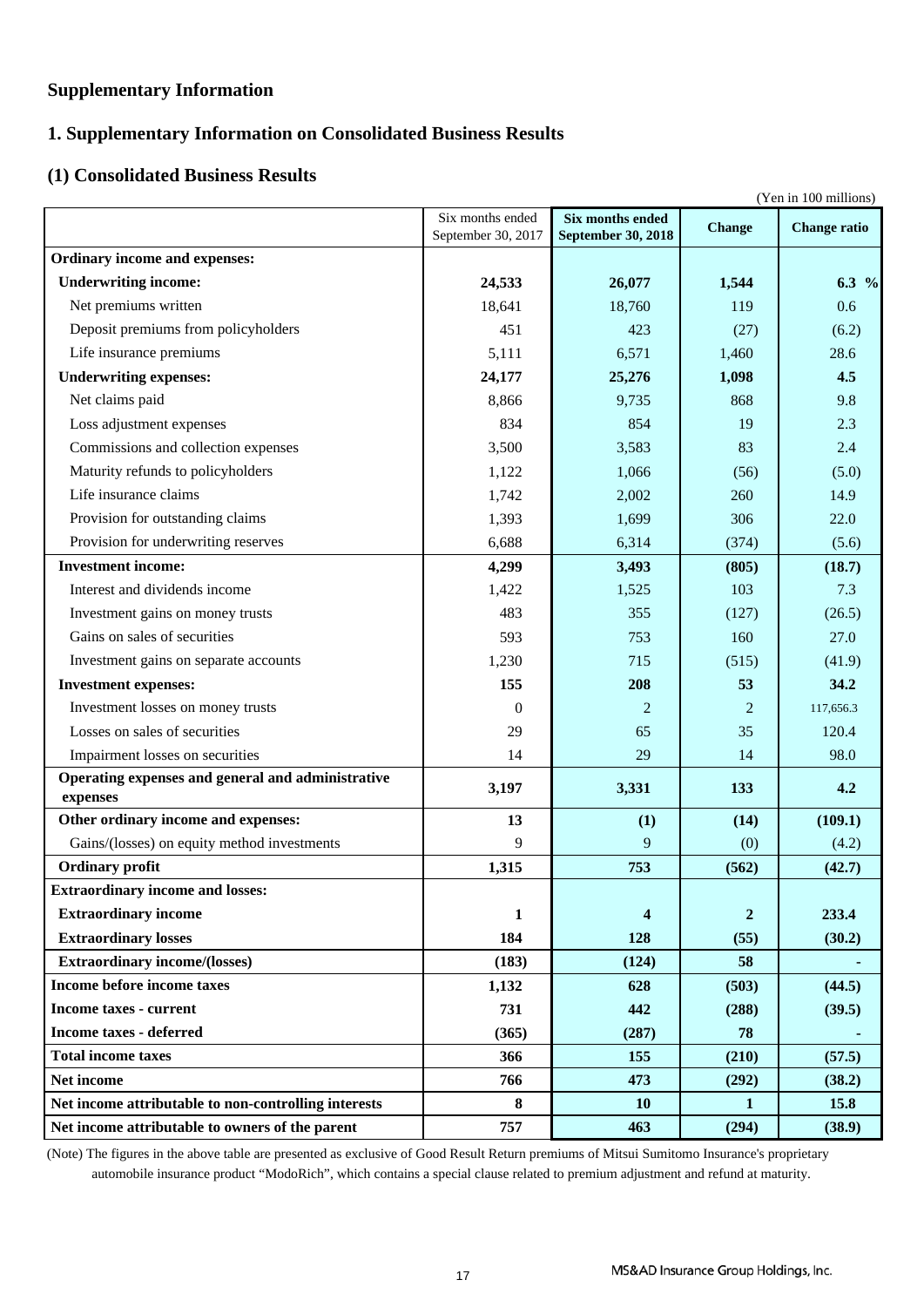### **Supplementary Information**

### **1. Supplementary Information on Consolidated Business Results**

### **(1) Consolidated Business Results**

|                                                      |                                        |                                               | (Yen in 100 millions) |                     |
|------------------------------------------------------|----------------------------------------|-----------------------------------------------|-----------------------|---------------------|
|                                                      | Six months ended<br>September 30, 2017 | Six months ended<br><b>September 30, 2018</b> | <b>Change</b>         | <b>Change ratio</b> |
| Ordinary income and expenses:                        |                                        |                                               |                       |                     |
| <b>Underwriting income:</b>                          | 24,533                                 | 26,077                                        | 1,544                 | $6.3\frac{9}{6}$    |
| Net premiums written                                 | 18,641                                 | 18,760                                        | 119                   | 0.6                 |
| Deposit premiums from policyholders                  | 451                                    | 423                                           | (27)                  | (6.2)               |
| Life insurance premiums                              | 5,111                                  | 6,571                                         | 1,460                 | 28.6                |
| <b>Underwriting expenses:</b>                        | 24,177                                 | 25,276                                        | 1,098                 | 4.5                 |
| Net claims paid                                      | 8,866                                  | 9,735                                         | 868                   | 9.8                 |
| Loss adjustment expenses                             | 834                                    | 854                                           | 19                    | 2.3                 |
| Commissions and collection expenses                  | 3,500                                  | 3,583                                         | 83                    | 2.4                 |
| Maturity refunds to policyholders                    | 1,122                                  | 1,066                                         | (56)                  | (5.0)               |
| Life insurance claims                                | 1,742                                  | 2,002                                         | 260                   | 14.9                |
| Provision for outstanding claims                     | 1,393                                  | 1,699                                         | 306                   | 22.0                |
| Provision for underwriting reserves                  | 6,688                                  | 6,314                                         | (374)                 | (5.6)               |
| <b>Investment income:</b>                            | 4,299                                  | 3,493                                         | (805)                 | (18.7)              |
| Interest and dividends income                        | 1,422                                  | 1,525                                         | 103                   | 7.3                 |
| Investment gains on money trusts                     | 483                                    | 355                                           | (127)                 | (26.5)              |
| Gains on sales of securities                         | 593                                    | 753                                           | 160                   | 27.0                |
| Investment gains on separate accounts                | 1,230                                  | 715                                           | (515)                 | (41.9)              |
| <b>Investment expenses:</b>                          | 155                                    | 208                                           | 53                    | 34.2                |
| Investment losses on money trusts                    | $\theta$                               | 2                                             | $\overline{2}$        | 117,656.3           |
| Losses on sales of securities                        | 29                                     | 65                                            | 35                    | 120.4               |
| Impairment losses on securities                      | 14                                     | 29                                            | 14                    | 98.0                |
| Operating expenses and general and administrative    | 3,197                                  | 3,331                                         | 133                   | 4.2                 |
| expenses                                             |                                        |                                               |                       |                     |
| Other ordinary income and expenses:                  | 13                                     | (1)                                           | (14)                  | (109.1)             |
| Gains/(losses) on equity method investments          | 9                                      | 9                                             | (0)                   | (4.2)               |
| <b>Ordinary profit</b>                               | 1,315                                  | 753                                           | (562)                 | (42.7)              |
| <b>Extraordinary income and losses:</b>              |                                        |                                               |                       |                     |
| <b>Extraordinary income</b>                          | 1                                      | $\overline{\mathbf{4}}$                       | $\overline{2}$        | 233.4               |
| <b>Extraordinary losses</b>                          | 184                                    | 128                                           | (55)                  | (30.2)              |
| <b>Extraordinary income/(losses)</b>                 | (183)                                  | (124)                                         | 58                    |                     |
| Income before income taxes                           | 1,132                                  | 628                                           | (503)                 | (44.5)              |
| <b>Income taxes - current</b>                        | 731                                    | 442                                           | (288)                 | (39.5)              |
| <b>Income taxes - deferred</b>                       | (365)                                  | (287)                                         | 78                    |                     |
| <b>Total income taxes</b>                            | 366                                    | 155                                           | (210)                 | (57.5)              |
| Net income                                           | 766                                    | 473                                           | (292)                 | (38.2)              |
| Net income attributable to non-controlling interests | 8                                      | 10                                            | $\mathbf{1}$          | 15.8                |
| Net income attributable to owners of the parent      | 757                                    | 463                                           | (294)                 | (38.9)              |

 automobile insurance product "ModoRich", which contains a special clause related to premium adjustment and refund at maturity. (Note) The figures in the above table are presented as exclusive of Good Result Return premiums of Mitsui Sumitomo Insurance's proprietary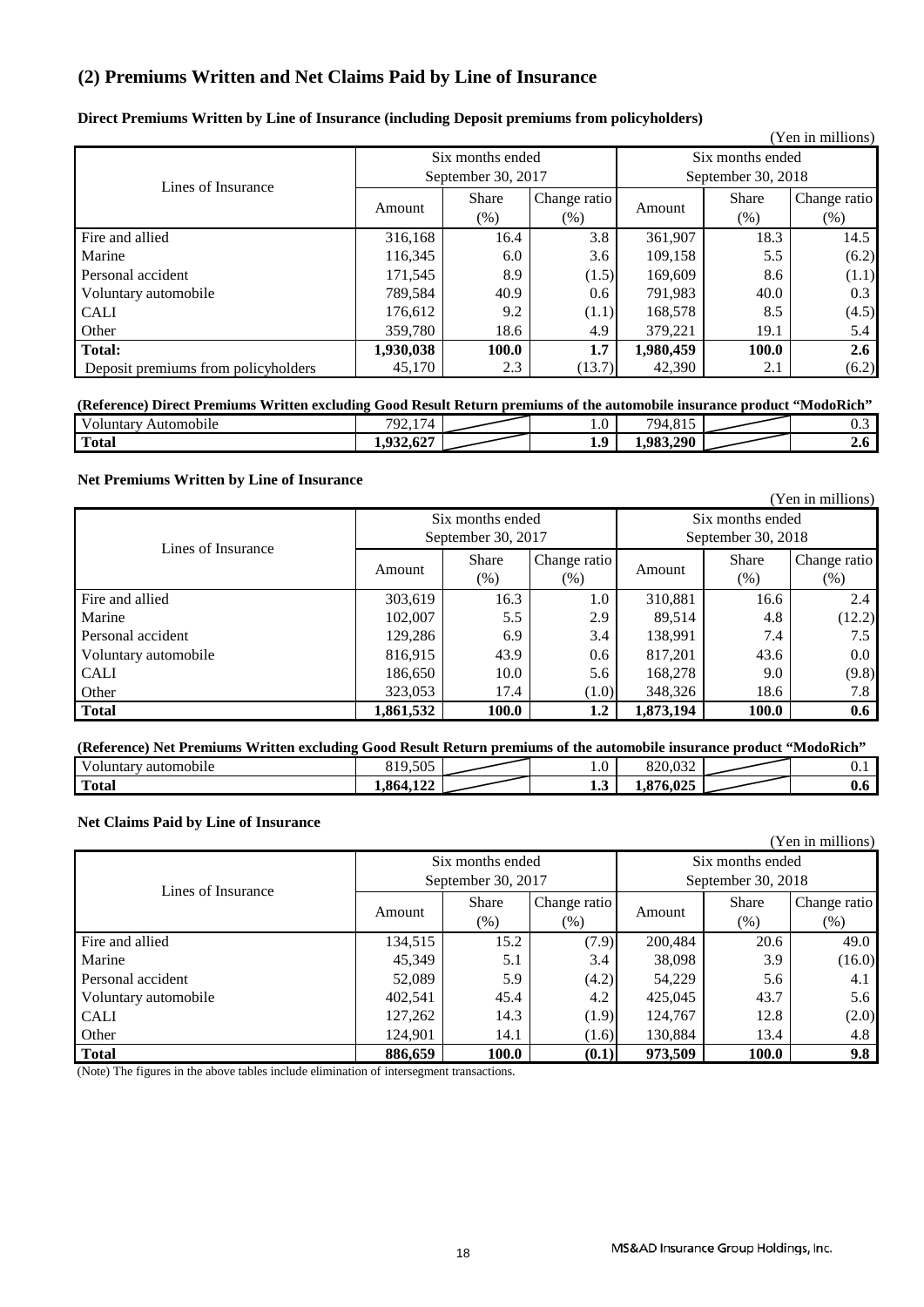### **(2) Premiums Written and Net Claims Paid by Line of Insurance**

|  |  |  |  |  | Direct Premiums Written by Line of Insurance (including Deposit premiums from policyholders) |
|--|--|--|--|--|----------------------------------------------------------------------------------------------|
|--|--|--|--|--|----------------------------------------------------------------------------------------------|

|                                     |                    |                                        |              |                                        |       | (Yen in millions) |
|-------------------------------------|--------------------|----------------------------------------|--------------|----------------------------------------|-------|-------------------|
|                                     |                    | Six months ended                       |              | Six months ended<br>September 30, 2018 |       |                   |
| Lines of Insurance                  | September 30, 2017 |                                        |              |                                        |       |                   |
|                                     | Amount             | <b>Share</b><br>Change ratio<br>Amount | <b>Share</b> | Change ratio                           |       |                   |
|                                     |                    | $(\% )$                                | $(\% )$      |                                        | (% )  | (% )              |
| Fire and allied                     | 316,168            | 16.4                                   | 3.8          | 361,907                                | 18.3  | 14.5              |
| Marine                              | 116,345            | 6.0                                    | 3.6          | 109,158                                | 5.5   | (6.2)             |
| Personal accident                   | 171,545            | 8.9                                    | (1.5)        | 169.609                                | 8.6   | (1.1)             |
| Voluntary automobile                | 789,584            | 40.9                                   | 0.6          | 791,983                                | 40.0  | 0.3               |
| <b>CALI</b>                         | 176,612            | 9.2                                    | (1.1)        | 168,578                                | 8.5   | (4.5)             |
| Other                               | 359.780            | 18.6                                   | 4.9          | 379,221                                | 19.1  | 5.4               |
| Total:                              | 1,930,038          | 100.0                                  | 1.7          | 1,980,459                              | 100.0 | $2.6^{\circ}$     |
| Deposit premiums from policyholders | 45,170             | 2.3                                    | (13.7)       | 42,390                                 | 2.1   | (6.2)             |

### **(Reference) Direct Premiums Written excluding Good Result Return premiums of the automobile insurance product "ModoRich"**

| --<br>v<br>oluntary<br>Automobile | $\overline{\phantom{0}}$<br>$\pi$ <sup><math>\alpha</math></sup><br>. | $\ldots$              | 0.17<br>79 <sub>4</sub> | ∪.∪        |
|-----------------------------------|-----------------------------------------------------------------------|-----------------------|-------------------------|------------|
| <b>Total</b>                      | $\sqrt{2}$<br>シンショリム<br>. .                                           | $\Omega$<br><b>L.</b> | 983 290<br>יע<br>. .    | <b>4.0</b> |

### **Net Premiums Written by Line of Insurance**

|                      |                          |                  |              |                  |                    | (Yen in millions) |
|----------------------|--------------------------|------------------|--------------|------------------|--------------------|-------------------|
|                      |                          | Six months ended |              | Six months ended |                    |                   |
| Lines of Insurance   | September 30, 2017       |                  |              |                  | September 30, 2018 |                   |
|                      |                          | <b>Share</b>     | Change ratio |                  | <b>Share</b>       | Change ratio      |
|                      | Amount                   | $(\%)$           | $(\%)$       | Amount           | (% )               | (% )              |
| Fire and allied      | 303,619                  | 16.3             | 1.0          | 310,881          | 16.6               | 2.4               |
| Marine               | 102,007                  | 5.5              | 2.9          | 89,514           | 4.8                | (12.2)            |
| Personal accident    | 129,286                  | 6.9              | 3.4          | 138,991          | 7.4                | 7.5               |
| Voluntary automobile | 816,915                  | 43.9             | 0.6          | 817,201          | 43.6               | $0.0\,$           |
| <b>CALI</b>          | 186,650                  | 10.0             | 5.6          | 168,278          | 9.0                | (9.8)             |
| Other                | 323,053<br>17.4<br>(1.0) |                  |              | 348,326          | 18.6               | 7.8               |
| <b>Total</b>         | 1,861,532                | 100.0            | 1.2          | 1,873,194        | 100.0              | 0.6               |

| (Reference) Net Premiums Written excluding Good Result Return premiums of the automobile insurance product "ModoRich" |          |  |        |         |  |     |
|-----------------------------------------------------------------------------------------------------------------------|----------|--|--------|---------|--|-----|
| <sup>'</sup> automobile<br>Voluntarv                                                                                  | 819.505  |  |        |         |  |     |
| <b>Total</b>                                                                                                          | .864.122 |  | 1. . L | 876.025 |  | V.O |

### **Net Claims Paid by Line of Insurance**

|                      |                          |                  |              |         |                    | (Yen in millions) |  |
|----------------------|--------------------------|------------------|--------------|---------|--------------------|-------------------|--|
|                      |                          | Six months ended |              |         | Six months ended   |                   |  |
| Lines of Insurance   | September 30, 2017       |                  |              |         | September 30, 2018 |                   |  |
|                      |                          | <b>Share</b>     | Change ratio |         | <b>Share</b>       | Change ratio      |  |
|                      | Amount                   | $(\%)$           | $(\% )$      | Amount  | (% )               | (% )              |  |
| Fire and allied      | 134,515                  | 15.2             | (7.9)        | 200.484 | 20.6               | 49.0              |  |
| Marine               | 45.349                   | 5.1              | 3.4          | 38,098  | 3.9                | (16.0)            |  |
| Personal accident    | 52,089                   | 5.9              | (4.2)        | 54,229  | 5.6                | 4.1               |  |
| Voluntary automobile | 402,541                  | 45.4             | 4.2          | 425,045 | 43.7               | 5.6               |  |
| <b>CALI</b>          | 127,262                  | 14.3             | (1.9)        | 124,767 | 12.8               | (2.0)             |  |
| Other                | 124,901<br>14.1<br>(1.6) |                  |              | 130,884 | 13.4               | 4.8               |  |
| <b>Total</b>         | 886,659                  | 100.0            | (0.1)        | 973,509 | 100.0              | 9.8               |  |

(Note) The figures in the above tables include elimination of intersegment transactions.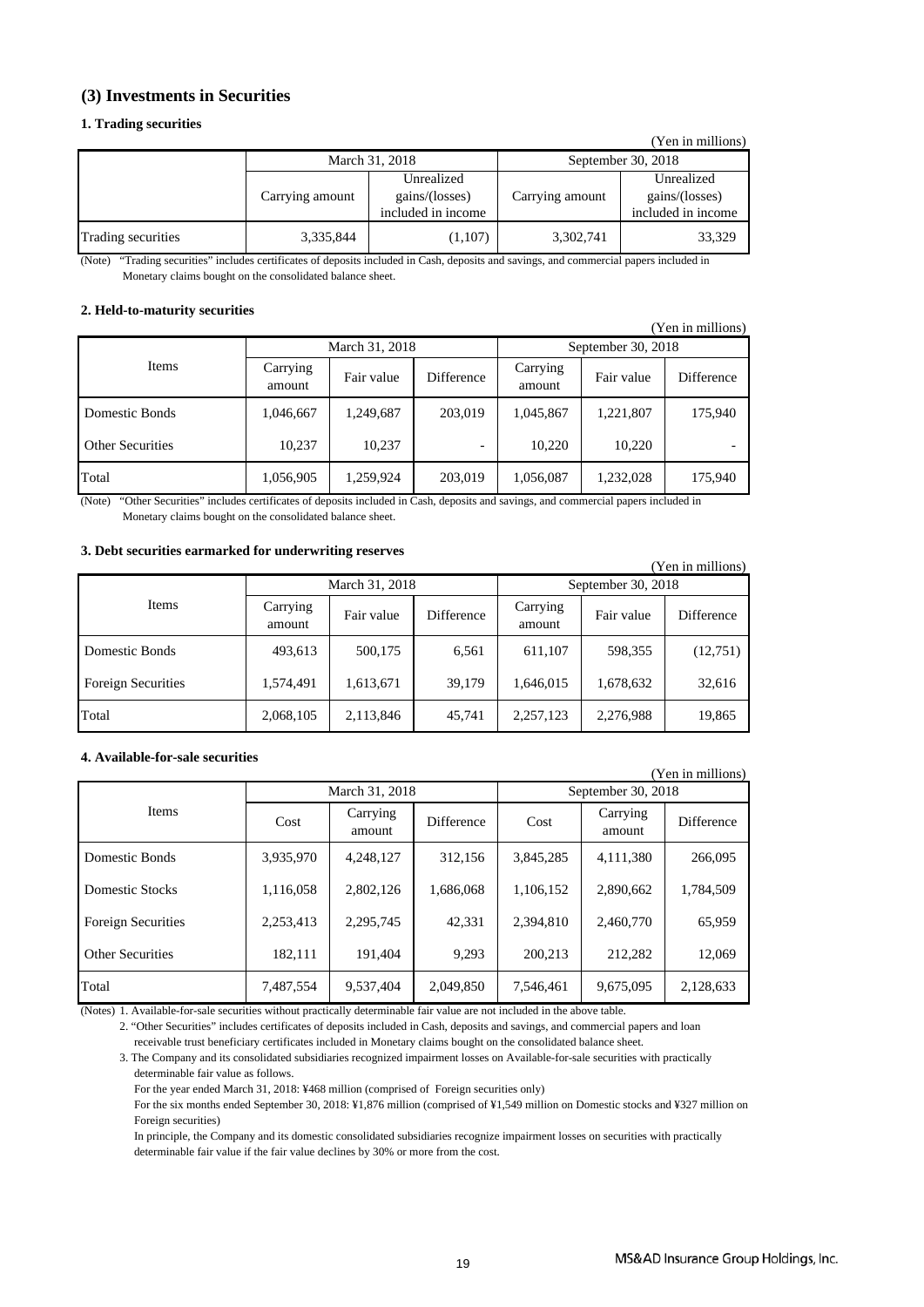### **(3) Investments in Securities**

#### **1. Trading securities**

|                    |                 |                                                    |                 | (Yen in millions)                                  |
|--------------------|-----------------|----------------------------------------------------|-----------------|----------------------------------------------------|
|                    | March 31, 2018  |                                                    |                 | September 30, 2018                                 |
|                    | Carrying amount | Unrealized<br>gains/(losses)<br>included in income | Carrying amount | Unrealized<br>gains/(losses)<br>included in income |
| Trading securities | 3,335,844       | (1,107)                                            | 3,302,741       | 33,329                                             |

"Trading securities" includes certificates of deposits included in Cash, deposits and savings, and commercial papers included in Monetary claims bought on the consolidated balance sheet. (Note)

### **2. Held-to-maturity securities**

|                         |                    |                |            |                    |            | (Yen in millions) |  |
|-------------------------|--------------------|----------------|------------|--------------------|------------|-------------------|--|
|                         |                    | March 31, 2018 |            | September 30, 2018 |            |                   |  |
| Items                   | Carrying<br>amount | Fair value     | Difference | Carrying<br>amount | Fair value | Difference        |  |
| Domestic Bonds          | 1,046,667          | 1,249,687      | 203,019    | 1,045,867          | 1,221,807  | 175,940           |  |
| <b>Other Securities</b> | 10,237             | 10,237         |            | 10,220             | 10,220     |                   |  |
| Total                   | 1,056,905          | 1,259,924      | 203,019    | 1,056,087          | 1,232,028  | 175,940           |  |

(Note) "Other Securities" includes certificates of deposits included in Cash, deposits and savings, and commercial papers included in Monetary claims bought on the consolidated balance sheet.

### **3. Debt securities earmarked for underwriting reserves**

| (Yen in millions)         |                    |                |            |                    |            |            |  |
|---------------------------|--------------------|----------------|------------|--------------------|------------|------------|--|
|                           |                    | March 31, 2018 |            | September 30, 2018 |            |            |  |
| Items                     | Carrying<br>amount | Fair value     | Difference | Carrying<br>amount | Fair value | Difference |  |
| Domestic Bonds            | 493,613            | 500,175        | 6,561      | 611,107            | 598,355    | (12,751)   |  |
| <b>Foreign Securities</b> | 1,574,491          | 1,613,671      | 39,179     | 1,646,015          | 1,678,632  | 32,616     |  |
| Total                     | 2,068,105          | 2,113,846      | 45,741     | 2,257,123          | 2,276,988  | 19,865     |  |

### **4. Available-for-sale securities**

|                           |           |                    |            |           |                    | (Yen in millions) |
|---------------------------|-----------|--------------------|------------|-----------|--------------------|-------------------|
|                           |           | March 31, 2018     |            |           | September 30, 2018 |                   |
| <b>Items</b>              | Cost      | Carrying<br>amount | Difference | Cost      | Carrying<br>amount | Difference        |
| Domestic Bonds            | 3,935,970 | 4,248,127          | 312,156    | 3,845,285 | 4,111,380          | 266,095           |
| Domestic Stocks           | 1,116,058 | 2,802,126          | 1,686,068  | 1,106,152 | 2,890,662          | 1,784,509         |
| <b>Foreign Securities</b> | 2.253.413 | 2.295.745          | 42.331     | 2.394.810 | 2.460.770          | 65,959            |
| <b>Other Securities</b>   | 182,111   | 191,404            | 9,293      | 200.213   | 212.282            | 12,069            |
| Total                     | 7,487,554 | 9.537.404          | 2,049,850  | 7.546.461 | 9,675,095          | 2,128,633         |

(Notes) 1. Available-for-sale securities without practically determinable fair value are not included in the above table.

2. "Other Securities" includes certificates of deposits included in Cash, deposits and savings, and commercial papers and loan receivable trust beneficiary certificates included in Monetary claims bought on the consolidated balance sheet.

3. The Company and its consolidated subsidiaries recognized impairment losses on Available-for-sale securities with practically determinable fair value as follows.

For the year ended March 31, 2018: ¥468 million (comprised of Foreign securities only)

 For the six months ended September 30, 2018: ¥1,876 million (comprised of ¥1,549 million on Domestic stocks and ¥327 million on Foreign securities)

 In principle, the Company and its domestic consolidated subsidiaries recognize impairment losses on securities with practically determinable fair value if the fair value declines by 30% or more from the cost.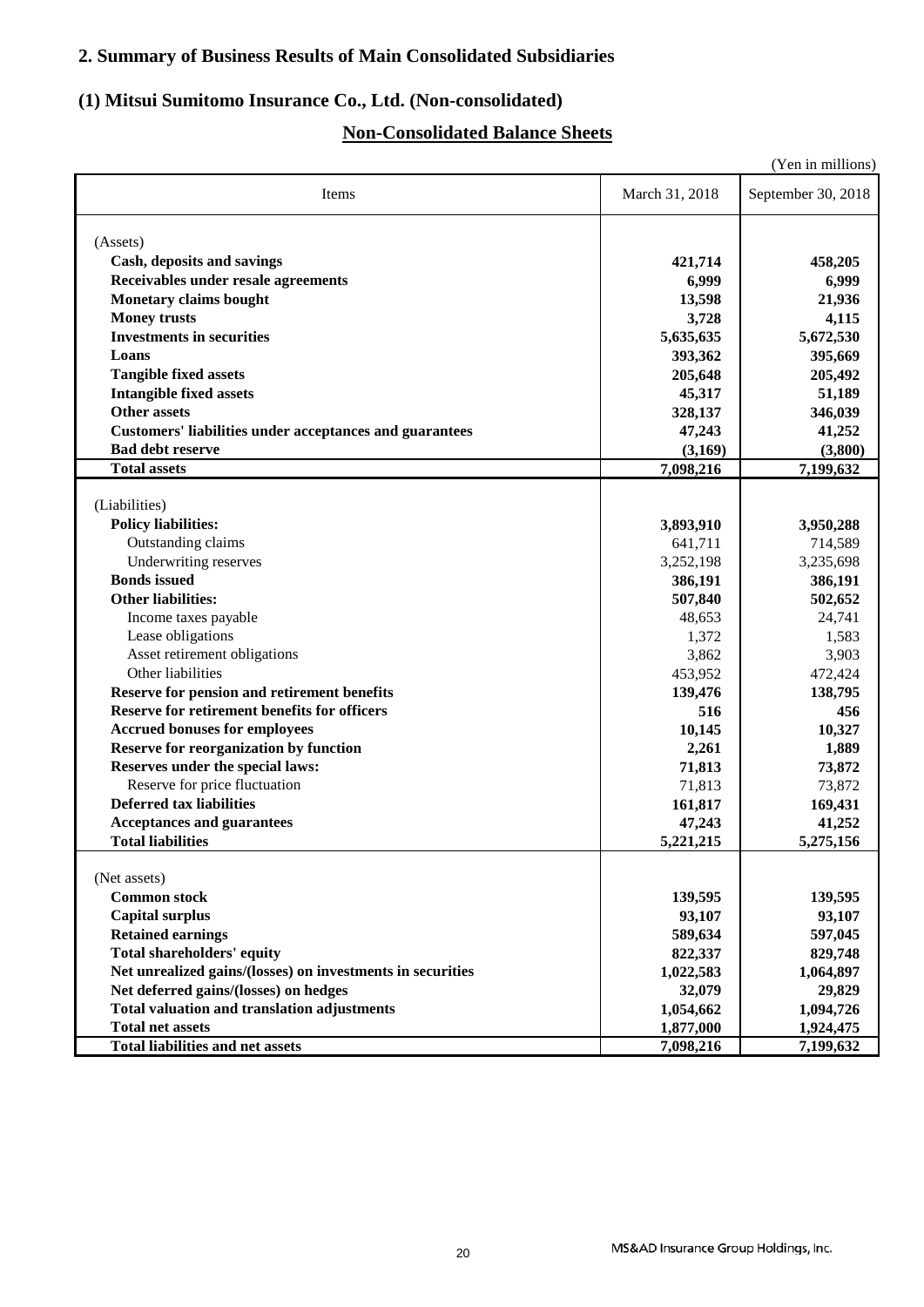### **2. Summary of Business Results of Main Consolidated Subsidiaries**

### **(1) Mitsui Sumitomo Insurance Co., Ltd. (Non-consolidated)**

### **Non-Consolidated Balance Sheets**

|                                                                |                | (Yen in millions)  |
|----------------------------------------------------------------|----------------|--------------------|
| Items                                                          | March 31, 2018 | September 30, 2018 |
| (Assets)                                                       |                |                    |
| Cash, deposits and savings                                     | 421,714        | 458,205            |
| Receivables under resale agreements                            | 6,999          | 6,999              |
| <b>Monetary claims bought</b>                                  | 13,598         | 21,936             |
| <b>Money trusts</b>                                            | 3,728          | 4,115              |
| <b>Investments in securities</b>                               | 5,635,635      | 5,672,530          |
| Loans                                                          | 393,362        | 395,669            |
| <b>Tangible fixed assets</b>                                   | 205,648        | 205,492            |
| <b>Intangible fixed assets</b>                                 | 45,317         | 51,189             |
| <b>Other assets</b>                                            | 328,137        | 346,039            |
| <b>Customers' liabilities under acceptances and guarantees</b> | 47,243         |                    |
| <b>Bad debt reserve</b>                                        | (3,169)        | 41,252<br>(3,800)  |
| <b>Total assets</b>                                            | 7,098,216      |                    |
|                                                                |                | 7,199,632          |
| (Liabilities)                                                  |                |                    |
| <b>Policy liabilities:</b>                                     | 3,893,910      | 3,950,288          |
| Outstanding claims                                             | 641,711        | 714,589            |
| Underwriting reserves                                          | 3,252,198      | 3,235,698          |
| <b>Bonds</b> issued                                            | 386,191        | 386,191            |
| <b>Other liabilities:</b>                                      | 507,840        | 502,652            |
| Income taxes payable                                           | 48,653         | 24,741             |
| Lease obligations                                              | 1,372          | 1,583              |
| Asset retirement obligations                                   | 3,862          | 3,903              |
| Other liabilities                                              | 453,952        | 472,424            |
| Reserve for pension and retirement benefits                    | 139,476        | 138,795            |
| <b>Reserve for retirement benefits for officers</b>            | 516            | 456                |
| <b>Accrued bonuses for employees</b>                           | 10,145         | 10,327             |
| <b>Reserve for reorganization by function</b>                  | 2,261          | 1,889              |
| Reserves under the special laws:                               | 71,813         | 73,872             |
| Reserve for price fluctuation                                  | 71,813         | 73,872             |
| <b>Deferred tax liabilities</b>                                | 161,817        | 169,431            |
| <b>Acceptances and guarantees</b>                              | 47,243         | 41,252             |
| <b>Total liabilities</b>                                       | 5,221,215      | 5,275,156          |
|                                                                |                |                    |
| (Net assets)                                                   |                |                    |
| <b>Common stock</b>                                            | 139,595        | 139,595            |
| <b>Capital surplus</b>                                         | 93,107         | 93,107             |
| <b>Retained earnings</b>                                       | 589,634        | 597,045            |
| <b>Total shareholders' equity</b>                              | 822,337        | 829,748            |
| Net unrealized gains/(losses) on investments in securities     | 1,022,583      | 1,064,897          |
| Net deferred gains/(losses) on hedges                          | 32,079         | 29,829             |
| <b>Total valuation and translation adjustments</b>             | 1,054,662      | 1,094,726          |
| <b>Total net assets</b>                                        | 1,877,000      | 1,924,475          |
| <b>Total liabilities and net assets</b>                        | 7,098,216      | 7,199,632          |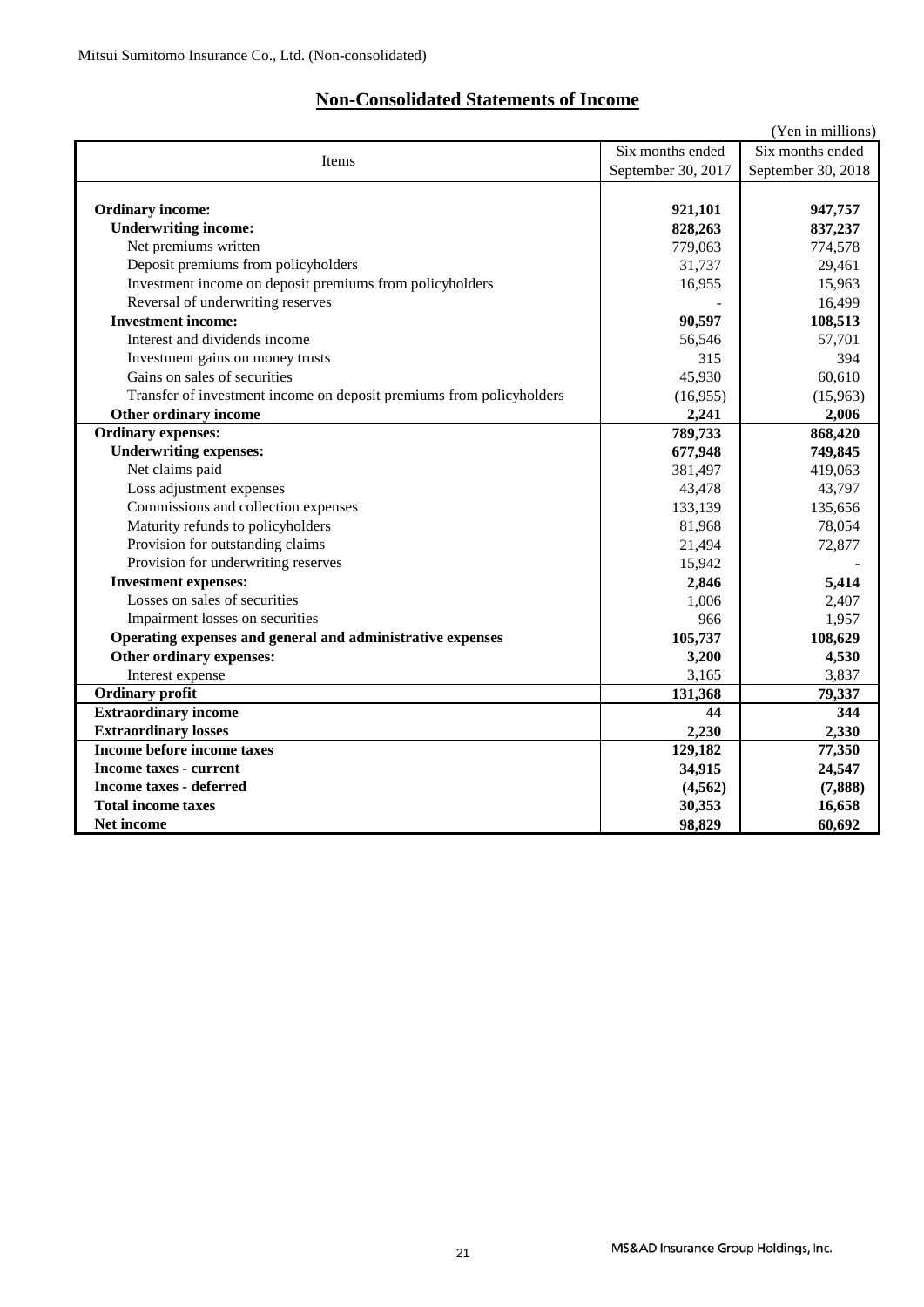### **Non-Consolidated Statements of Income**

|                                                                      |                    | (Yen in millions)  |
|----------------------------------------------------------------------|--------------------|--------------------|
| Six months ended<br>Items                                            |                    | Six months ended   |
|                                                                      | September 30, 2017 | September 30, 2018 |
|                                                                      |                    |                    |
| <b>Ordinary income:</b>                                              | 921,101            | 947,757            |
| <b>Underwriting income:</b>                                          | 828,263            | 837,237            |
| Net premiums written                                                 | 779,063            | 774,578            |
| Deposit premiums from policyholders                                  | 31,737             | 29,461             |
| Investment income on deposit premiums from policyholders             | 16,955             | 15,963             |
| Reversal of underwriting reserves                                    |                    | 16,499             |
| <b>Investment income:</b>                                            | 90,597             | 108,513            |
| Interest and dividends income                                        | 56,546             | 57,701             |
| Investment gains on money trusts                                     | 315                | 394                |
| Gains on sales of securities                                         | 45,930             | 60,610             |
| Transfer of investment income on deposit premiums from policyholders | (16,955)           | (15,963)           |
| Other ordinary income                                                | 2,241              | 2,006              |
| <b>Ordinary expenses:</b>                                            | 789,733            | 868,420            |
| <b>Underwriting expenses:</b>                                        | 677,948            | 749,845            |
| Net claims paid                                                      | 381,497            | 419,063            |
| Loss adjustment expenses                                             | 43,478             | 43,797             |
| Commissions and collection expenses                                  | 133,139            | 135,656            |
| Maturity refunds to policyholders                                    | 81,968             | 78,054             |
| Provision for outstanding claims                                     | 21,494             | 72,877             |
| Provision for underwriting reserves                                  | 15,942             |                    |
| <b>Investment expenses:</b>                                          | 2,846              | 5,414              |
| Losses on sales of securities                                        | 1,006              | 2,407              |
| Impairment losses on securities                                      | 966                | 1,957              |
| Operating expenses and general and administrative expenses           | 105,737            | 108,629            |
| Other ordinary expenses:                                             | 3,200              | 4,530              |
| Interest expense                                                     | 3,165              | 3,837              |
| <b>Ordinary</b> profit                                               | 131,368            | 79,337             |
| <b>Extraordinary income</b>                                          | 44                 | 344                |
| <b>Extraordinary losses</b>                                          | 2,230              | 2,330              |
| Income before income taxes                                           | 129,182            | 77,350             |
| <b>Income taxes - current</b>                                        | 34,915             | 24,547             |
| <b>Income taxes - deferred</b>                                       | (4,562)            | (7, 888)           |
| <b>Total income taxes</b>                                            | 30,353             | 16,658             |
| <b>Net income</b>                                                    | 98,829             | 60,692             |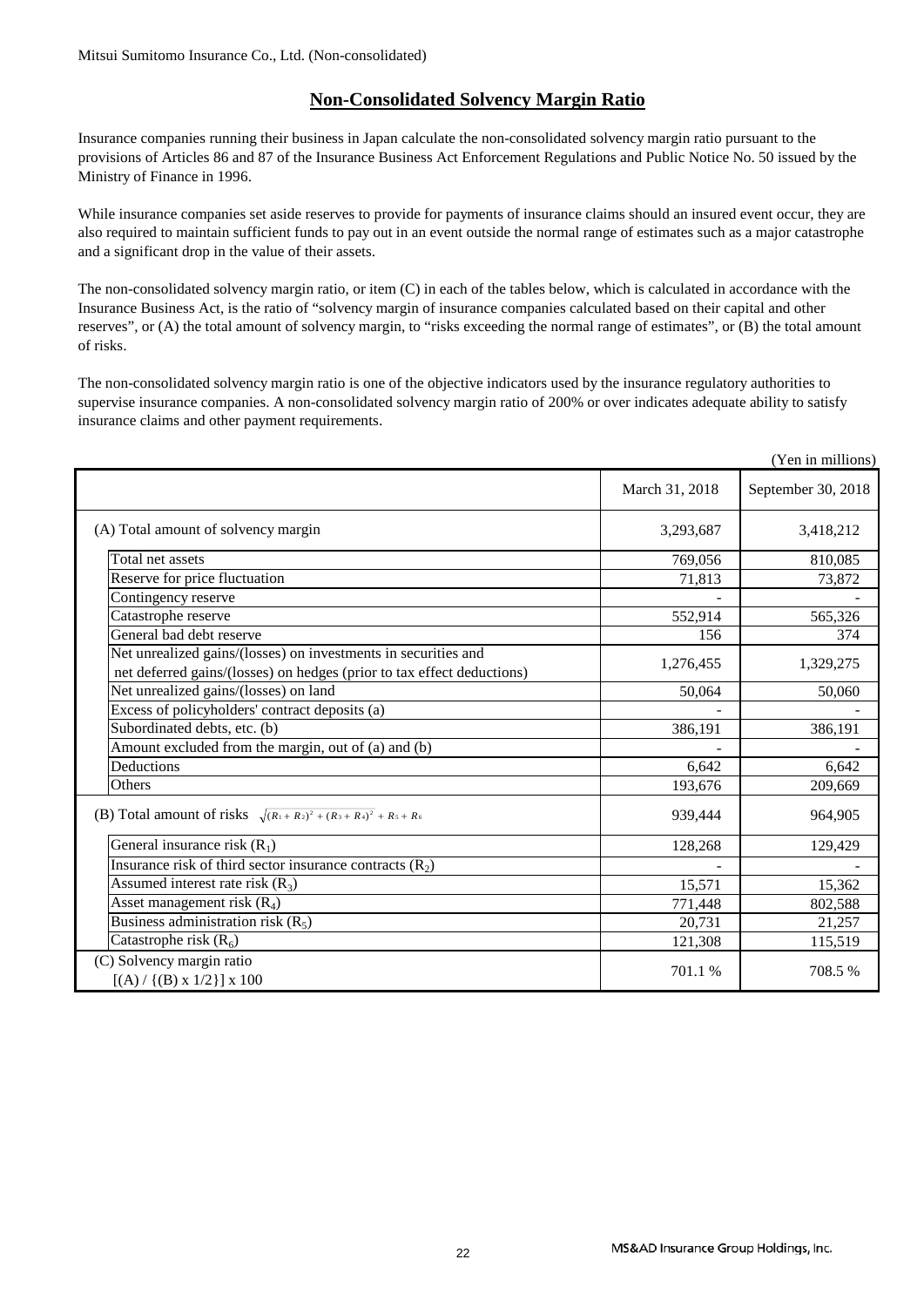### **Non-Consolidated Solvency Margin Ratio**

Insurance companies running their business in Japan calculate the non-consolidated solvency margin ratio pursuant to the provisions of Articles 86 and 87 of the Insurance Business Act Enforcement Regulations and Public Notice No. 50 issued by the Ministry of Finance in 1996.

While insurance companies set aside reserves to provide for payments of insurance claims should an insured event occur, they are also required to maintain sufficient funds to pay out in an event outside the normal range of estimates such as a major catastrophe and a significant drop in the value of their assets.

The non-consolidated solvency margin ratio, or item (C) in each of the tables below, which is calculated in accordance with the Insurance Business Act, is the ratio of "solvency margin of insurance companies calculated based on their capital and other reserves", or (A) the total amount of solvency margin, to "risks exceeding the normal range of estimates", or (B) the total amount of risks.

The non-consolidated solvency margin ratio is one of the objective indicators used by the insurance regulatory authorities to supervise insurance companies. A non-consolidated solvency margin ratio of 200% or over indicates adequate ability to satisfy insurance claims and other payment requirements.

|                                                                                                                                          |                | (Yen in millions)  |
|------------------------------------------------------------------------------------------------------------------------------------------|----------------|--------------------|
|                                                                                                                                          | March 31, 2018 | September 30, 2018 |
| (A) Total amount of solvency margin                                                                                                      | 3,293,687      | 3,418,212          |
| Total net assets                                                                                                                         | 769,056        | 810,085            |
| Reserve for price fluctuation                                                                                                            | 71,813         | 73,872             |
| Contingency reserve                                                                                                                      |                |                    |
| Catastrophe reserve                                                                                                                      | 552,914        | 565,326            |
| General bad debt reserve                                                                                                                 | 156            | 374                |
| Net unrealized gains/(losses) on investments in securities and<br>net deferred gains/(losses) on hedges (prior to tax effect deductions) | 1,276,455      | 1,329,275          |
| Net unrealized gains/(losses) on land                                                                                                    | 50,064         | 50,060             |
| Excess of policyholders' contract deposits (a)                                                                                           |                |                    |
| Subordinated debts, etc. (b)                                                                                                             | 386,191        | 386,191            |
| Amount excluded from the margin, out of (a) and (b)                                                                                      |                |                    |
| Deductions                                                                                                                               | 6,642          | 6,642              |
| Others                                                                                                                                   | 193,676        | 209,669            |
| (B) Total amount of risks $\sqrt{(R_1 + R_2)^2 + (R_3 + R_4)^2} + R_5 + R_6$                                                             | 939,444        | 964,905            |
| General insurance risk $(R_1)$                                                                                                           | 128,268        | 129,429            |
| Insurance risk of third sector insurance contracts $(R_2)$                                                                               |                |                    |
| Assumed interest rate risk $(R_3)$                                                                                                       | 15,571         | 15,362             |
| Asset management risk $(R_4)$                                                                                                            | 771,448        | 802,588            |
| Business administration risk $(R_5)$                                                                                                     | 20,731         | 21,257             |
| Catastrophe risk $(R_6)$                                                                                                                 | 121,308        | 115,519            |
| (C) Solvency margin ratio<br>$[(A) / {(B) x 1/2}] x 100$                                                                                 | 701.1 %        | 708.5%             |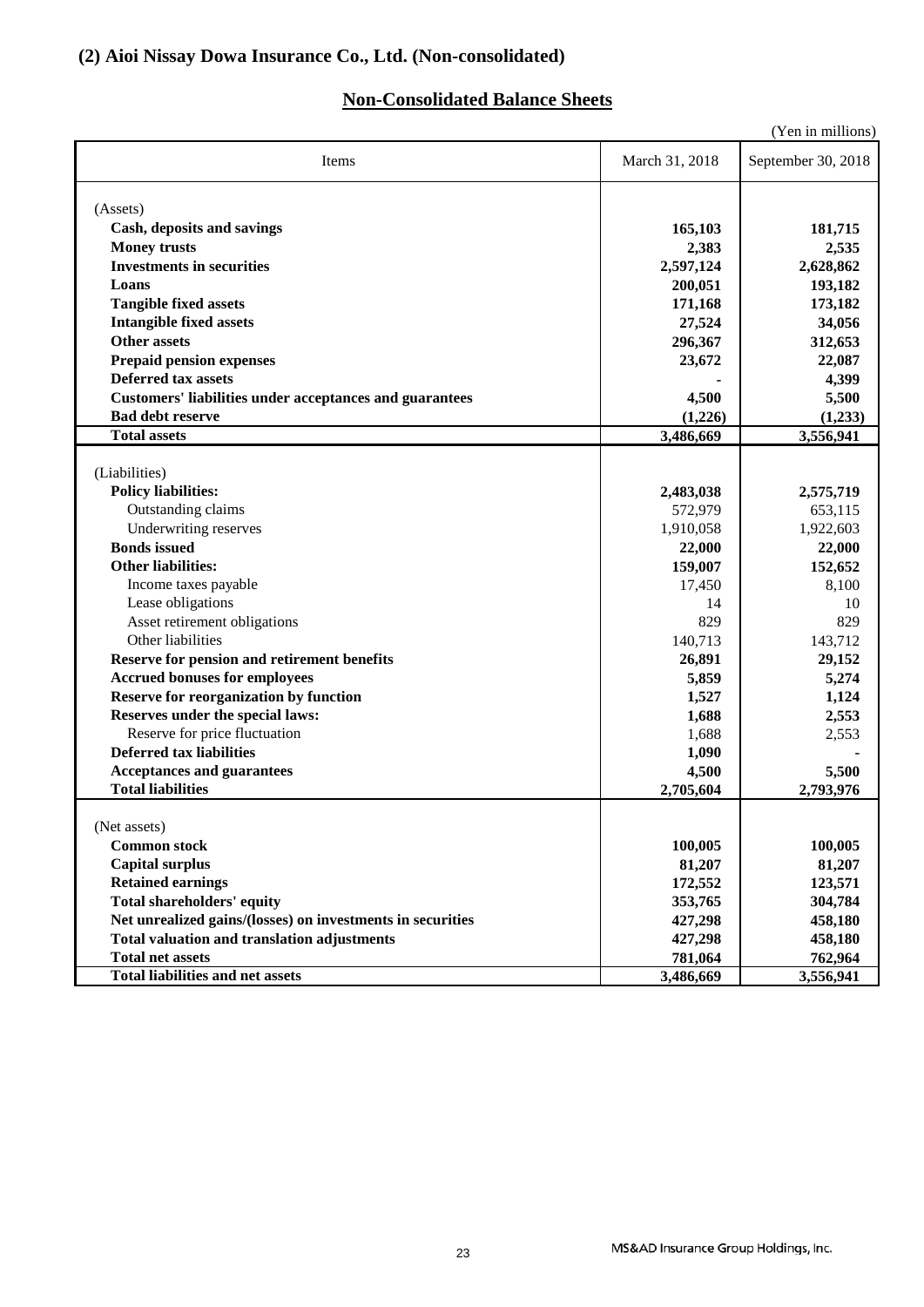### **Non-Consolidated Balance Sheets**

|                                                                |                | (Yen in millions)  |
|----------------------------------------------------------------|----------------|--------------------|
| Items                                                          | March 31, 2018 | September 30, 2018 |
| (Assets)                                                       |                |                    |
| Cash, deposits and savings                                     | 165,103        | 181,715            |
| <b>Money trusts</b>                                            | 2,383          | 2,535              |
| <b>Investments in securities</b>                               | 2,597,124      | 2,628,862          |
| Loans                                                          | 200,051        | 193,182            |
| <b>Tangible fixed assets</b>                                   | 171,168        | 173,182            |
| <b>Intangible fixed assets</b>                                 | 27,524         | 34,056             |
| <b>Other assets</b>                                            | 296,367        | 312,653            |
| <b>Prepaid pension expenses</b>                                | 23,672         | 22,087             |
| <b>Deferred tax assets</b>                                     |                | 4,399              |
| <b>Customers' liabilities under acceptances and guarantees</b> | 4,500          | 5,500              |
| <b>Bad debt reserve</b>                                        | (1,226)        | (1,233)            |
| <b>Total assets</b>                                            | 3,486,669      | 3,556,941          |
|                                                                |                |                    |
| (Liabilities)                                                  |                |                    |
| <b>Policy liabilities:</b>                                     | 2,483,038      | 2,575,719          |
| Outstanding claims                                             | 572,979        | 653,115            |
| Underwriting reserves                                          | 1,910,058      | 1,922,603          |
| <b>Bonds</b> issued                                            | 22,000         | 22,000             |
| <b>Other liabilities:</b>                                      | 159,007        | 152,652            |
| Income taxes payable                                           | 17,450         | 8,100              |
| Lease obligations                                              | 14             | 10                 |
| Asset retirement obligations                                   | 829            | 829                |
| Other liabilities                                              | 140,713        | 143,712            |
| Reserve for pension and retirement benefits                    | 26,891         | 29,152             |
| <b>Accrued bonuses for employees</b>                           | 5,859          | 5,274              |
| <b>Reserve for reorganization by function</b>                  | 1,527          | 1,124              |
| Reserves under the special laws:                               | 1,688          | 2,553              |
| Reserve for price fluctuation                                  | 1,688          | 2,553              |
| <b>Deferred tax liabilities</b>                                | 1,090          |                    |
| <b>Acceptances and guarantees</b>                              | 4,500          | 5,500              |
| <b>Total liabilities</b>                                       | 2,705,604      | 2,793,976          |
|                                                                |                |                    |
| (Net assets)                                                   |                |                    |
| <b>Common stock</b>                                            | 100,005        | 100,005            |
| <b>Capital surplus</b>                                         | 81,207         | 81,207             |
| <b>Retained earnings</b>                                       | 172,552        | 123,571            |
| <b>Total shareholders' equity</b>                              | 353,765        | 304,784            |
| Net unrealized gains/(losses) on investments in securities     | 427,298        | 458,180            |
| <b>Total valuation and translation adjustments</b>             | 427,298        | 458,180            |
| <b>Total net assets</b>                                        | 781,064        | 762,964            |
| <b>Total liabilities and net assets</b>                        | 3,486,669      | 3,556,941          |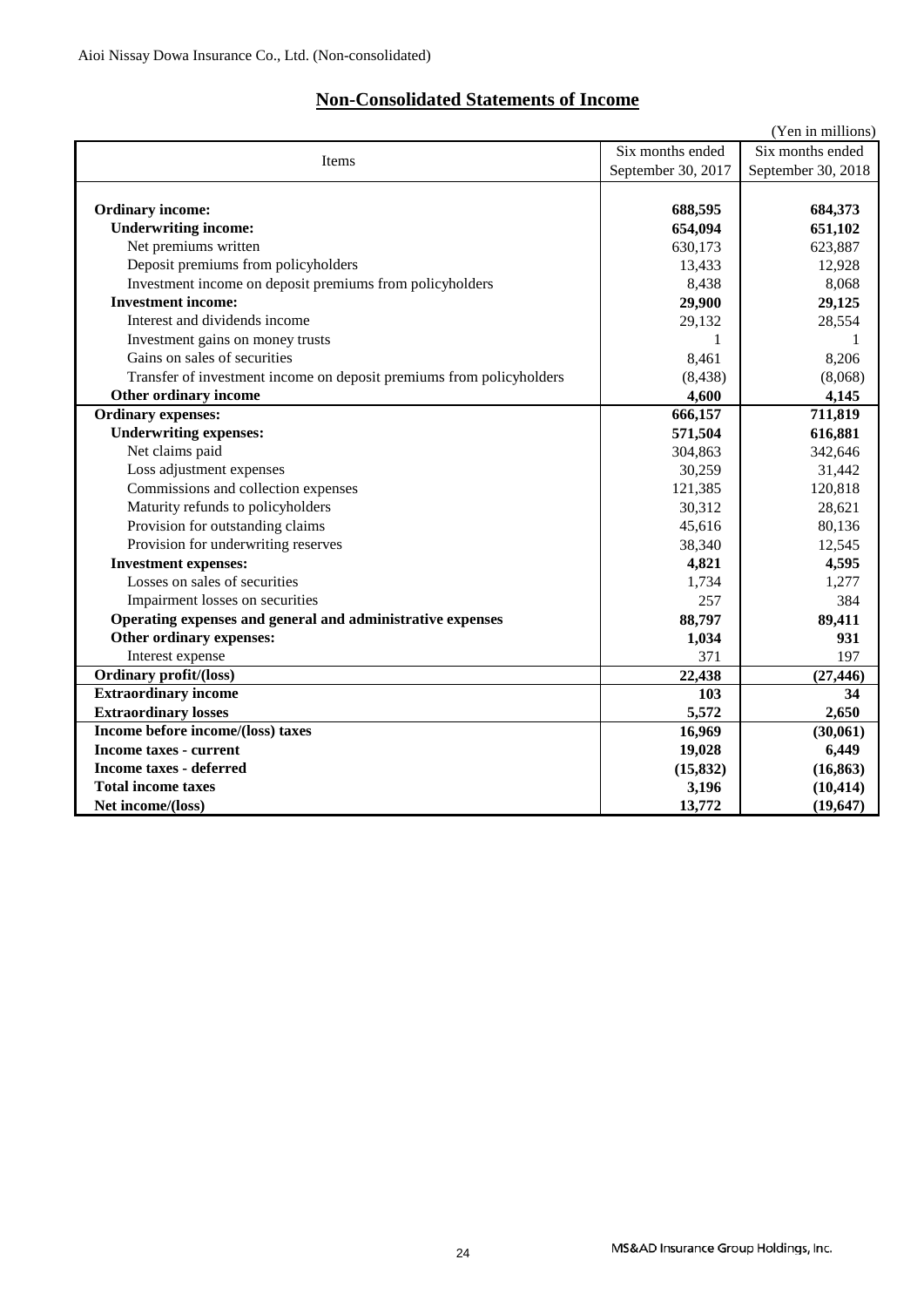### **Non-Consolidated Statements of Income**

|                                                                      |                    | (Yen in millions)  |
|----------------------------------------------------------------------|--------------------|--------------------|
| Six months ended<br>Items                                            |                    | Six months ended   |
|                                                                      | September 30, 2017 | September 30, 2018 |
|                                                                      |                    |                    |
| <b>Ordinary income:</b>                                              | 688,595            | 684,373            |
| <b>Underwriting income:</b>                                          | 654,094            | 651,102            |
| Net premiums written                                                 | 630,173            | 623,887            |
| Deposit premiums from policyholders                                  | 13,433             | 12,928             |
| Investment income on deposit premiums from policyholders             | 8,438              | 8,068              |
| <b>Investment income:</b>                                            | 29,900             | 29,125             |
| Interest and dividends income                                        | 29,132             | 28,554             |
| Investment gains on money trusts                                     |                    |                    |
| Gains on sales of securities                                         | 8.461              | 8,206              |
| Transfer of investment income on deposit premiums from policyholders | (8, 438)           | (8,068)            |
| Other ordinary income                                                | 4,600              | 4,145              |
| <b>Ordinary expenses:</b>                                            | 666,157            | 711,819            |
| <b>Underwriting expenses:</b>                                        | 571,504            | 616,881            |
| Net claims paid                                                      | 304,863            | 342,646            |
| Loss adjustment expenses                                             | 30,259             | 31,442             |
| Commissions and collection expenses                                  | 121,385            | 120,818            |
| Maturity refunds to policyholders                                    | 30,312             | 28,621             |
| Provision for outstanding claims                                     | 45,616             | 80,136             |
| Provision for underwriting reserves                                  | 38,340             | 12,545             |
| <b>Investment expenses:</b>                                          | 4,821              | 4,595              |
| Losses on sales of securities                                        | 1,734              | 1,277              |
| Impairment losses on securities                                      | 257                | 384                |
| Operating expenses and general and administrative expenses           | 88,797             | 89,411             |
| Other ordinary expenses:                                             | 1,034              | 931                |
| Interest expense                                                     | 371                | 197                |
| <b>Ordinary profit/(loss)</b>                                        | 22,438             | (27, 446)          |
| <b>Extraordinary income</b>                                          | 103                | 34                 |
| <b>Extraordinary losses</b>                                          | 5,572              | 2,650              |
| Income before income/(loss) taxes                                    | 16,969             | (30,061)           |
| <b>Income taxes - current</b>                                        | 19,028             | 6,449              |
| <b>Income taxes - deferred</b>                                       | (15, 832)          | (16, 863)          |
| <b>Total income taxes</b>                                            | 3,196              | (10, 414)          |
| Net income/(loss)                                                    | 13,772             | (19, 647)          |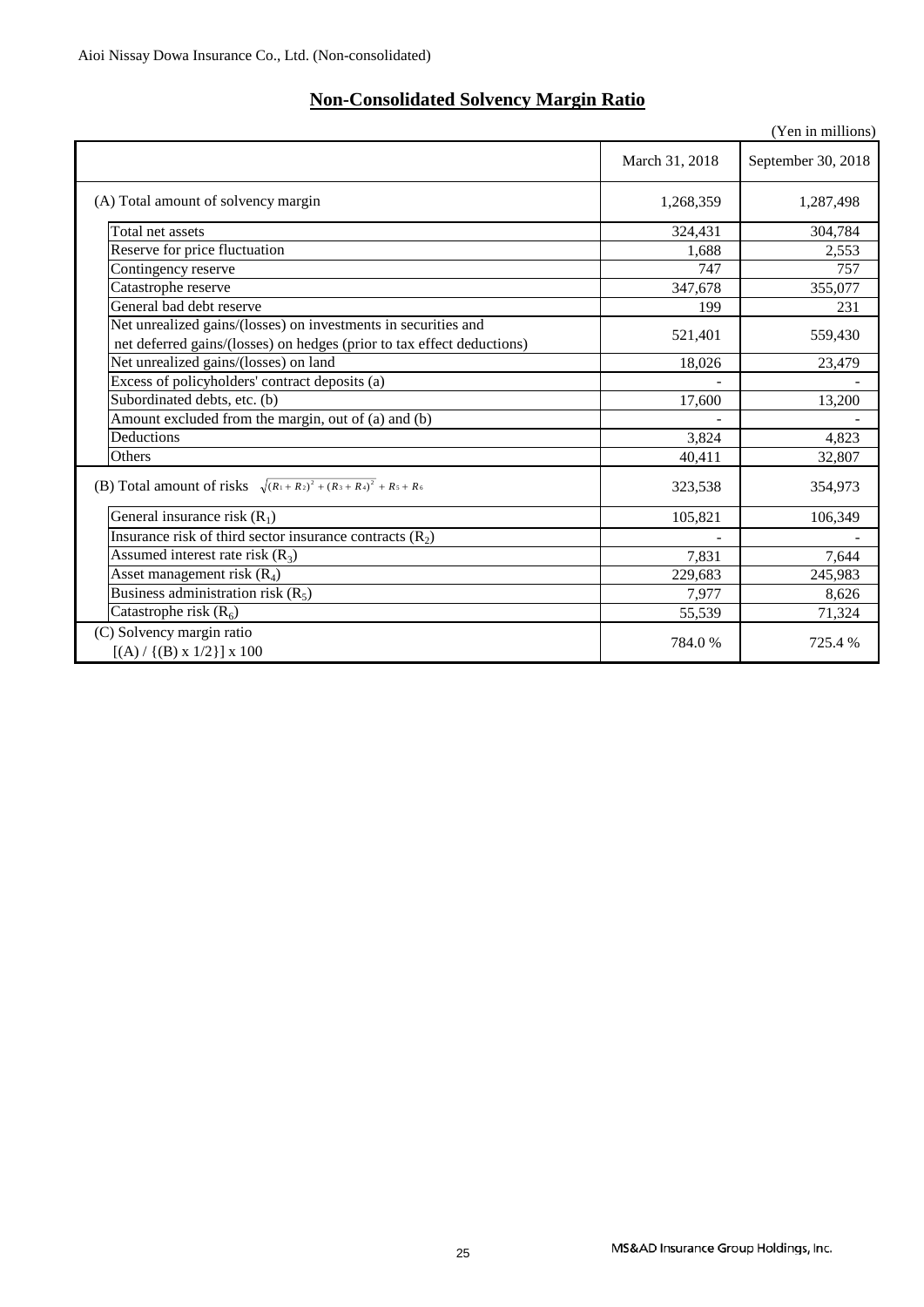### **Non-Consolidated Solvency Margin Ratio**

|                                                                                                                                          |                | (Yen in millions)  |
|------------------------------------------------------------------------------------------------------------------------------------------|----------------|--------------------|
|                                                                                                                                          | March 31, 2018 | September 30, 2018 |
| (A) Total amount of solvency margin                                                                                                      | 1,268,359      | 1,287,498          |
| Total net assets                                                                                                                         | 324,431        | 304,784            |
| Reserve for price fluctuation                                                                                                            | 1.688          | 2,553              |
| Contingency reserve                                                                                                                      | 747            | 757                |
| Catastrophe reserve                                                                                                                      | 347,678        | 355,077            |
| General bad debt reserve                                                                                                                 | 199            | 231                |
| Net unrealized gains/(losses) on investments in securities and<br>net deferred gains/(losses) on hedges (prior to tax effect deductions) | 521,401        | 559,430            |
| Net unrealized gains/(losses) on land                                                                                                    | 18,026         | 23,479             |
| Excess of policyholders' contract deposits (a)                                                                                           |                |                    |
| Subordinated debts, etc. (b)                                                                                                             | 17,600         | 13,200             |
| Amount excluded from the margin, out of (a) and (b)                                                                                      |                |                    |
| Deductions                                                                                                                               | 3,824          | 4,823              |
| Others                                                                                                                                   | 40,411         | 32,807             |
| (B) Total amount of risks $\sqrt{(R_1+R_2)^2+(R_3+R_4)^2}$ + $R_5 + R_6$                                                                 | 323,538        | 354,973            |
| General insurance risk $(R_1)$                                                                                                           | 105,821        | 106,349            |
| Insurance risk of third sector insurance contracts $(R_2)$                                                                               |                |                    |
| Assumed interest rate risk $(R_3)$                                                                                                       | 7,831          | 7,644              |
| Asset management risk $(R_4)$                                                                                                            | 229,683        | 245,983            |
| Business administration risk $(R_5)$                                                                                                     | 7,977          | 8,626              |
| Catastrophe risk $(R_6)$                                                                                                                 | 55,539         | 71,324             |
| (C) Solvency margin ratio<br>$[(A) / {(B) x 1/2}] x 100$                                                                                 | 784.0%         | 725.4 %            |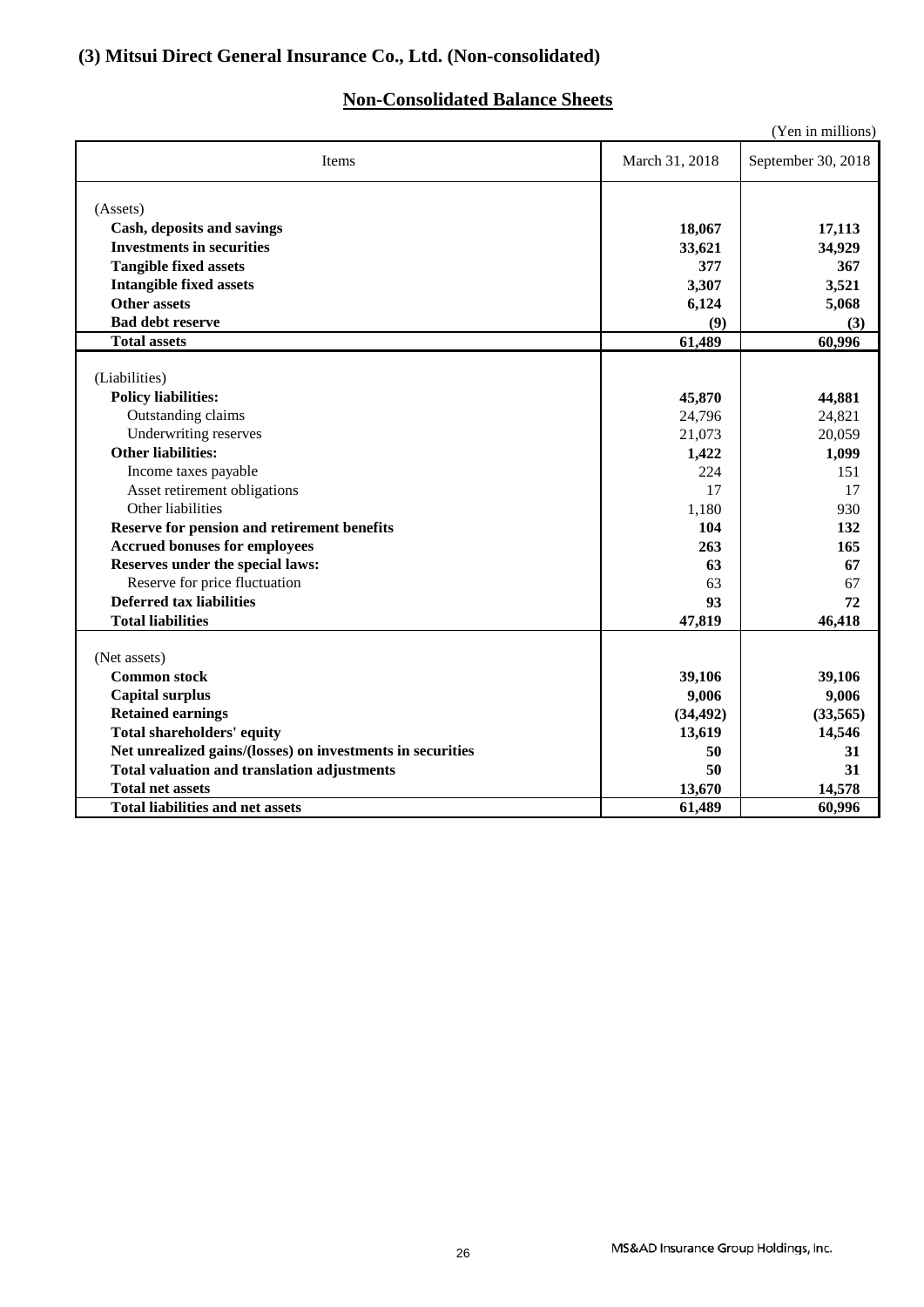### **(3) Mitsui Direct General Insurance Co., Ltd. (Non-consolidated)**

### **Non-Consolidated Balance Sheets**

|                                                                                     |                | (Yen in millions)  |
|-------------------------------------------------------------------------------------|----------------|--------------------|
| Items                                                                               | March 31, 2018 | September 30, 2018 |
| (Assets)                                                                            |                |                    |
| Cash, deposits and savings                                                          | 18,067         | 17,113             |
| <b>Investments in securities</b>                                                    | 33,621         | 34,929             |
| <b>Tangible fixed assets</b>                                                        | 377            | 367                |
| <b>Intangible fixed assets</b>                                                      | 3,307          | 3,521              |
| Other assets                                                                        | 6,124          | 5,068              |
| <b>Bad debt reserve</b>                                                             | (9)            | (3)                |
| <b>Total assets</b>                                                                 | 61,489         | 60,996             |
|                                                                                     |                |                    |
| (Liabilities)                                                                       |                |                    |
| <b>Policy liabilities:</b>                                                          | 45,870         | 44,881             |
| Outstanding claims                                                                  | 24,796         | 24,821             |
| Underwriting reserves<br><b>Other liabilities:</b>                                  | 21,073         | 20,059             |
|                                                                                     | 1,422<br>224   | 1,099              |
| Income taxes payable                                                                | 17             | 151<br>17          |
| Asset retirement obligations<br>Other liabilities                                   |                | 930                |
|                                                                                     | 1,180<br>104   | 132                |
| Reserve for pension and retirement benefits<br><b>Accrued bonuses for employees</b> | 263            | 165                |
| Reserves under the special laws:                                                    | 63             | 67                 |
| Reserve for price fluctuation                                                       | 63             | 67                 |
| <b>Deferred tax liabilities</b>                                                     | 93             | 72                 |
| <b>Total liabilities</b>                                                            | 47,819         | 46,418             |
|                                                                                     |                |                    |
| (Net assets)                                                                        |                |                    |
| <b>Common stock</b>                                                                 | 39,106         | 39,106             |
| <b>Capital surplus</b>                                                              | 9,006          | 9,006              |
| <b>Retained earnings</b>                                                            | (34, 492)      | (33,565)           |
| <b>Total shareholders' equity</b>                                                   | 13,619         | 14,546             |
| Net unrealized gains/(losses) on investments in securities                          | 50             | 31                 |
| <b>Total valuation and translation adjustments</b>                                  | 50             | 31                 |
| <b>Total net assets</b>                                                             | 13,670         | 14,578             |
| <b>Total liabilities and net assets</b>                                             | 61,489         | 60,996             |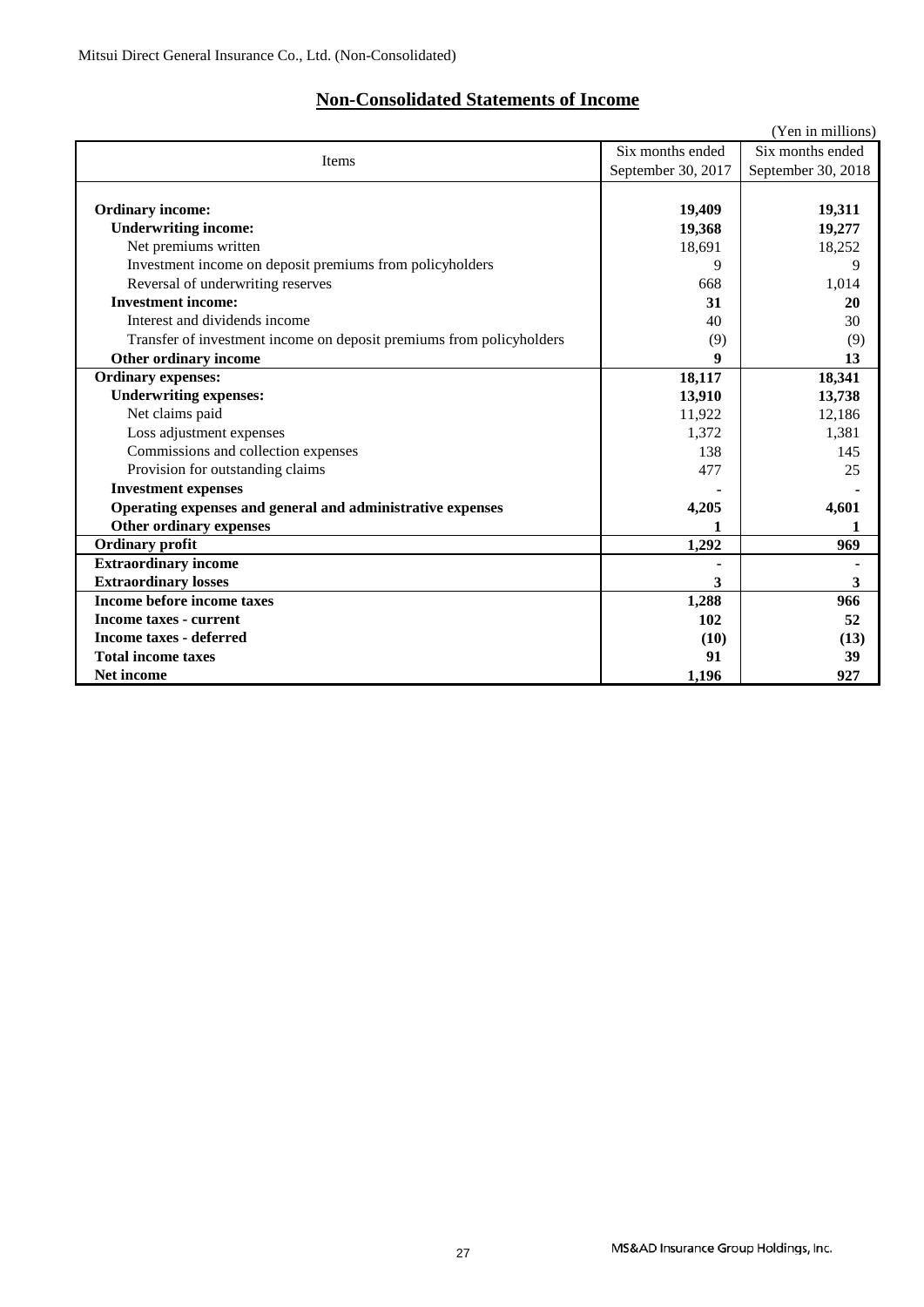### **Non-Consolidated Statements of Income**

|                                                                      |                    | (Yen in millions)  |
|----------------------------------------------------------------------|--------------------|--------------------|
| Items                                                                | Six months ended   |                    |
|                                                                      | September 30, 2017 | September 30, 2018 |
|                                                                      |                    |                    |
| <b>Ordinary income:</b>                                              | 19,409             | 19,311             |
| <b>Underwriting income:</b>                                          | 19,368             | 19,277             |
| Net premiums written                                                 | 18,691             | 18,252             |
| Investment income on deposit premiums from policyholders             | 9                  | 9                  |
| Reversal of underwriting reserves                                    | 668                | 1,014              |
| <b>Investment income:</b>                                            | 31                 | 20                 |
| Interest and dividends income                                        | 40                 | 30                 |
| Transfer of investment income on deposit premiums from policyholders | (9)                | (9)                |
| Other ordinary income                                                |                    | 13                 |
| <b>Ordinary expenses:</b>                                            | 18,117             | 18,341             |
| <b>Underwriting expenses:</b>                                        | 13,910             | 13,738             |
| Net claims paid                                                      | 11,922             | 12,186             |
| Loss adjustment expenses                                             | 1,372              | 1,381              |
| Commissions and collection expenses                                  | 138                | 145                |
| Provision for outstanding claims                                     | 477                | 25                 |
| <b>Investment expenses</b>                                           |                    |                    |
| Operating expenses and general and administrative expenses           | 4,205              | 4,601              |
| Other ordinary expenses                                              | 1                  | 1                  |
| <b>Ordinary profit</b>                                               | 1,292              | 969                |
| <b>Extraordinary income</b>                                          |                    |                    |
| <b>Extraordinary losses</b>                                          | 3                  | 3                  |
| Income before income taxes                                           | 1,288              | 966                |
| <b>Income taxes - current</b>                                        | 102                | 52                 |
| <b>Income taxes - deferred</b>                                       | (10)               | (13)               |
| <b>Total income taxes</b>                                            | 91                 | 39                 |
| Net income                                                           | 1,196              | 927                |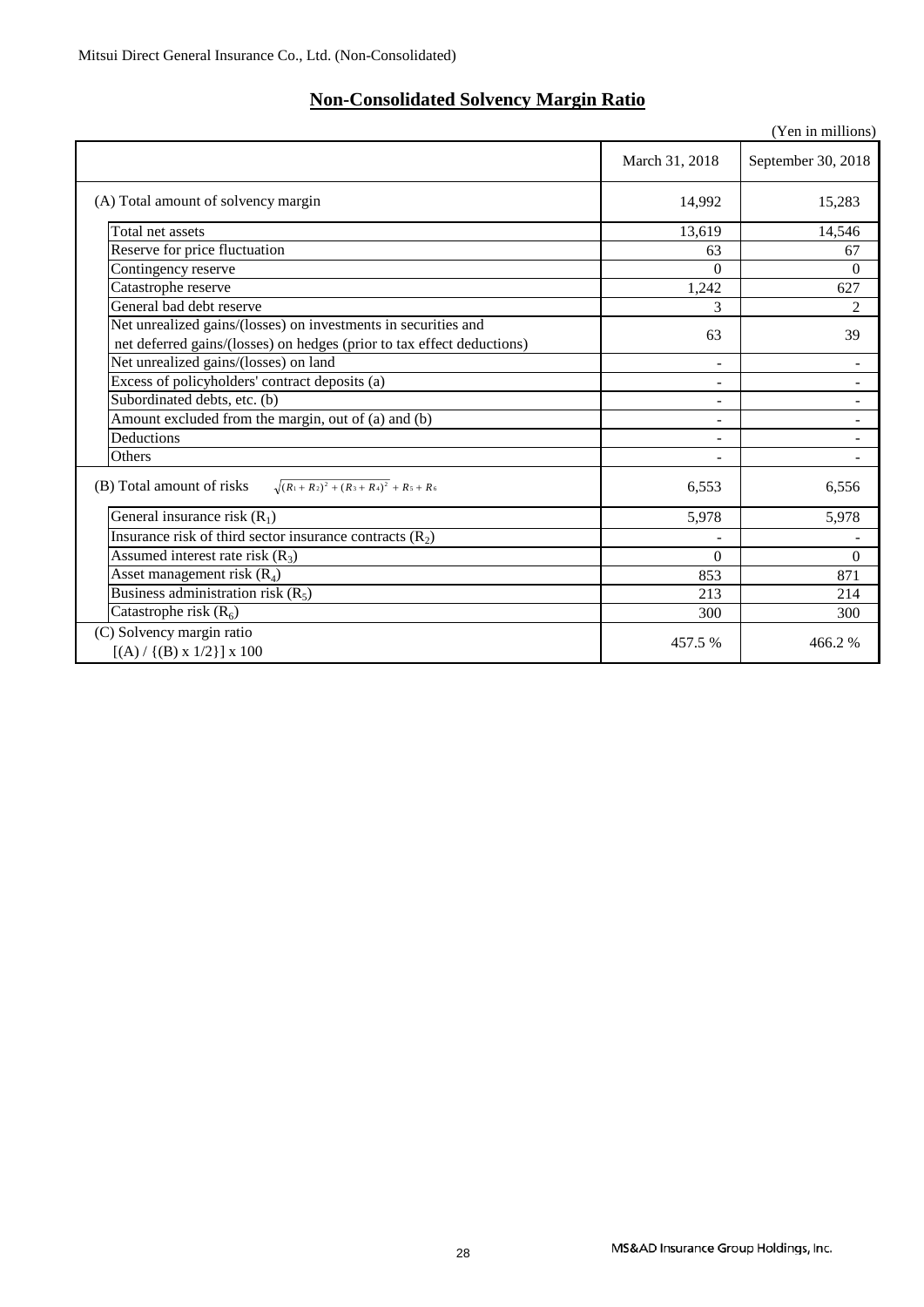### **Non-Consolidated Solvency Margin Ratio**

|                                                                                                                                          |                | (Yen in millions)  |
|------------------------------------------------------------------------------------------------------------------------------------------|----------------|--------------------|
|                                                                                                                                          | March 31, 2018 | September 30, 2018 |
| (A) Total amount of solvency margin                                                                                                      | 14,992         | 15,283             |
| Total net assets                                                                                                                         | 13,619         | 14,546             |
| Reserve for price fluctuation                                                                                                            | 63             | 67                 |
| Contingency reserve                                                                                                                      | $\Omega$       | $\Omega$           |
| Catastrophe reserve                                                                                                                      | 1,242          | 627                |
| General bad debt reserve                                                                                                                 | 3              | $\overline{c}$     |
| Net unrealized gains/(losses) on investments in securities and<br>net deferred gains/(losses) on hedges (prior to tax effect deductions) | 63             | 39                 |
| Net unrealized gains/(losses) on land                                                                                                    |                |                    |
| Excess of policyholders' contract deposits (a)                                                                                           | -              |                    |
| Subordinated debts, etc. (b)                                                                                                             | Ξ.             |                    |
| Amount excluded from the margin, out of (a) and (b)                                                                                      | Ξ.             | $\blacksquare$     |
| Deductions                                                                                                                               |                |                    |
| Others                                                                                                                                   |                |                    |
| $\sqrt{(R_1+R_2)^2+(R_3+R_4)^2}$ + R <sub>5</sub> + R <sub>6</sub><br>(B) Total amount of risks                                          | 6,553          | 6,556              |
| General insurance risk $(R_1)$                                                                                                           | 5,978          | 5,978              |
| Insurance risk of third sector insurance contracts $(R_2)$                                                                               |                |                    |
| Assumed interest rate risk $(R_3)$                                                                                                       | $\theta$       | $\theta$           |
| Asset management risk $(R_4)$                                                                                                            | 853            | 871                |
| Business administration risk $(R_5)$                                                                                                     | 213            | 214                |
| Catastrophe risk $(R_6)$                                                                                                                 | 300            | 300                |
| (C) Solvency margin ratio<br>$[(A) / {(B) x 1/2}] x 100$                                                                                 | 457.5 %        | 466.2%             |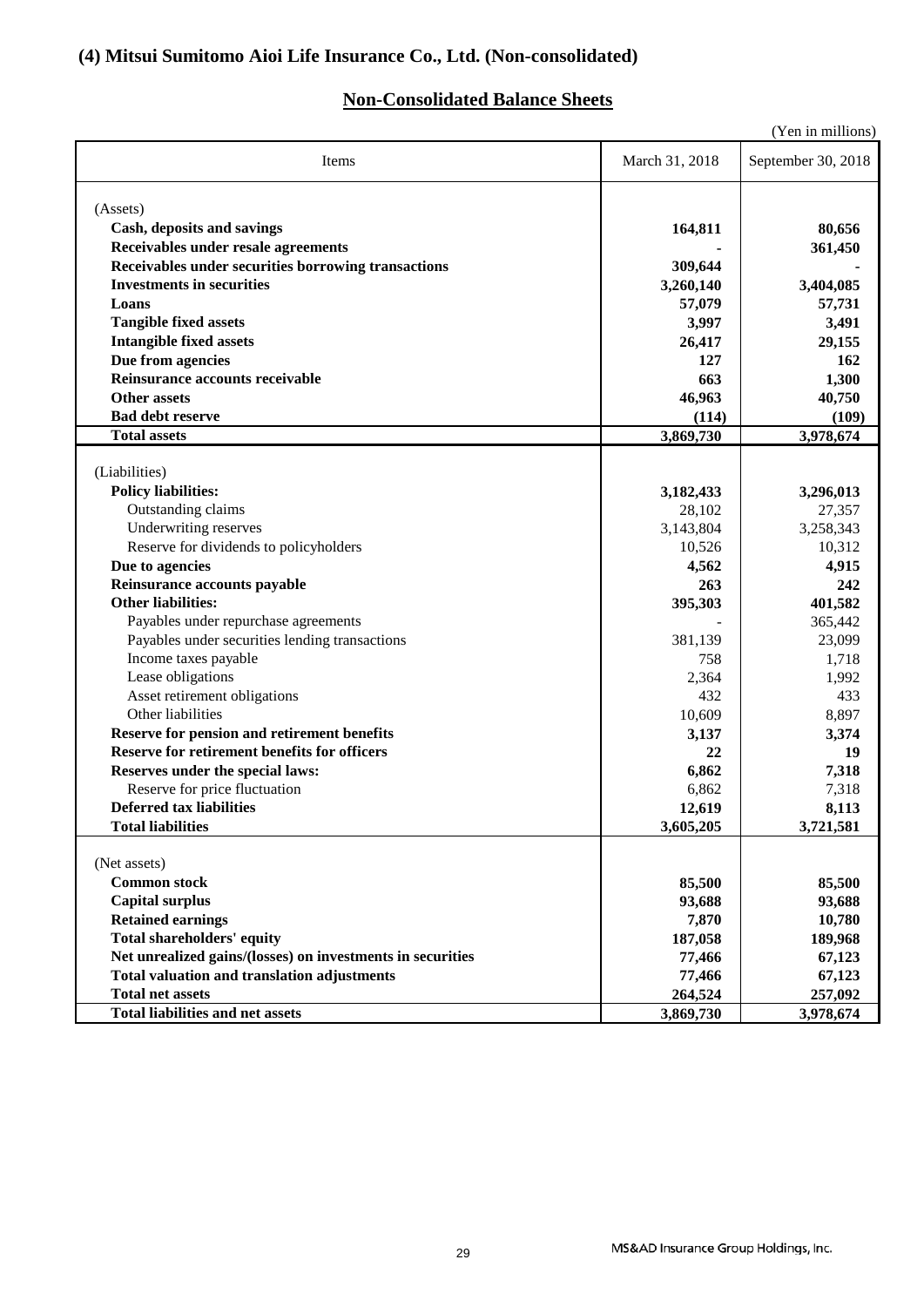### **(4) Mitsui Sumitomo Aioi Life Insurance Co., Ltd. (Non-consolidated)**

### **Non-Consolidated Balance Sheets**

| (Yen in millions)                                                                                                                                     |                                         |                                  |  |
|-------------------------------------------------------------------------------------------------------------------------------------------------------|-----------------------------------------|----------------------------------|--|
| March 31, 2018<br>September 30, 2018<br>Items                                                                                                         |                                         |                                  |  |
| (Assets)<br>Cash, deposits and savings<br>Receivables under resale agreements                                                                         | 164,811                                 | 80,656<br>361,450                |  |
| Receivables under securities borrowing transactions<br><b>Investments in securities</b><br>Loans<br><b>Tangible fixed assets</b>                      | 309,644<br>3,260,140<br>57,079<br>3,997 | 3,404,085<br>57,731<br>3,491     |  |
| <b>Intangible fixed assets</b><br>Due from agencies<br>Reinsurance accounts receivable<br><b>Other assets</b><br><b>Bad debt reserve</b>              | 26,417<br>127<br>663<br>46,963<br>(114) | 29,155<br>162<br>1,300<br>40,750 |  |
| <b>Total assets</b>                                                                                                                                   | 3,869,730                               | (109)<br>3,978,674               |  |
| (Liabilities)<br><b>Policy liabilities:</b>                                                                                                           | 3,182,433                               | 3,296,013                        |  |
| Outstanding claims<br>Underwriting reserves<br>Reserve for dividends to policyholders                                                                 | 28,102<br>3,143,804<br>10,526           | 27,357<br>3,258,343<br>10,312    |  |
| Due to agencies<br>Reinsurance accounts payable                                                                                                       | 4,562<br>263                            | 4,915<br>242                     |  |
| <b>Other liabilities:</b><br>Payables under repurchase agreements<br>Payables under securities lending transactions                                   | 395,303<br>381,139                      | 401,582<br>365,442<br>23,099     |  |
| Income taxes payable<br>Lease obligations<br>Asset retirement obligations<br>Other liabilities                                                        | 758<br>2,364<br>432<br>10,609           | 1,718<br>1,992<br>433<br>8,897   |  |
| <b>Reserve for pension and retirement benefits</b><br><b>Reserve for retirement benefits for officers</b><br>Reserves under the special laws:         | 3,137<br>22<br>6,862                    | 3,374<br>19<br>7,318             |  |
| Reserve for price fluctuation<br><b>Deferred tax liabilities</b><br><b>Total liabilities</b>                                                          | 6,862<br>12,619<br>3,605,205            | 7,318<br>8,113<br>3,721,581      |  |
| (Net assets)                                                                                                                                          |                                         |                                  |  |
| <b>Common stock</b><br><b>Capital surplus</b><br><b>Retained earnings</b>                                                                             | 85,500<br>93,688<br>7,870               | 85,500<br>93,688<br>10,780       |  |
| <b>Total shareholders' equity</b><br>Net unrealized gains/(losses) on investments in securities<br><b>Total valuation and translation adjustments</b> | 187,058<br>77,466<br>77,466             | 189,968<br>67,123<br>67,123      |  |
| <b>Total net assets</b><br><b>Total liabilities and net assets</b>                                                                                    | 264,524<br>3,869,730                    | 257,092<br>3,978,674             |  |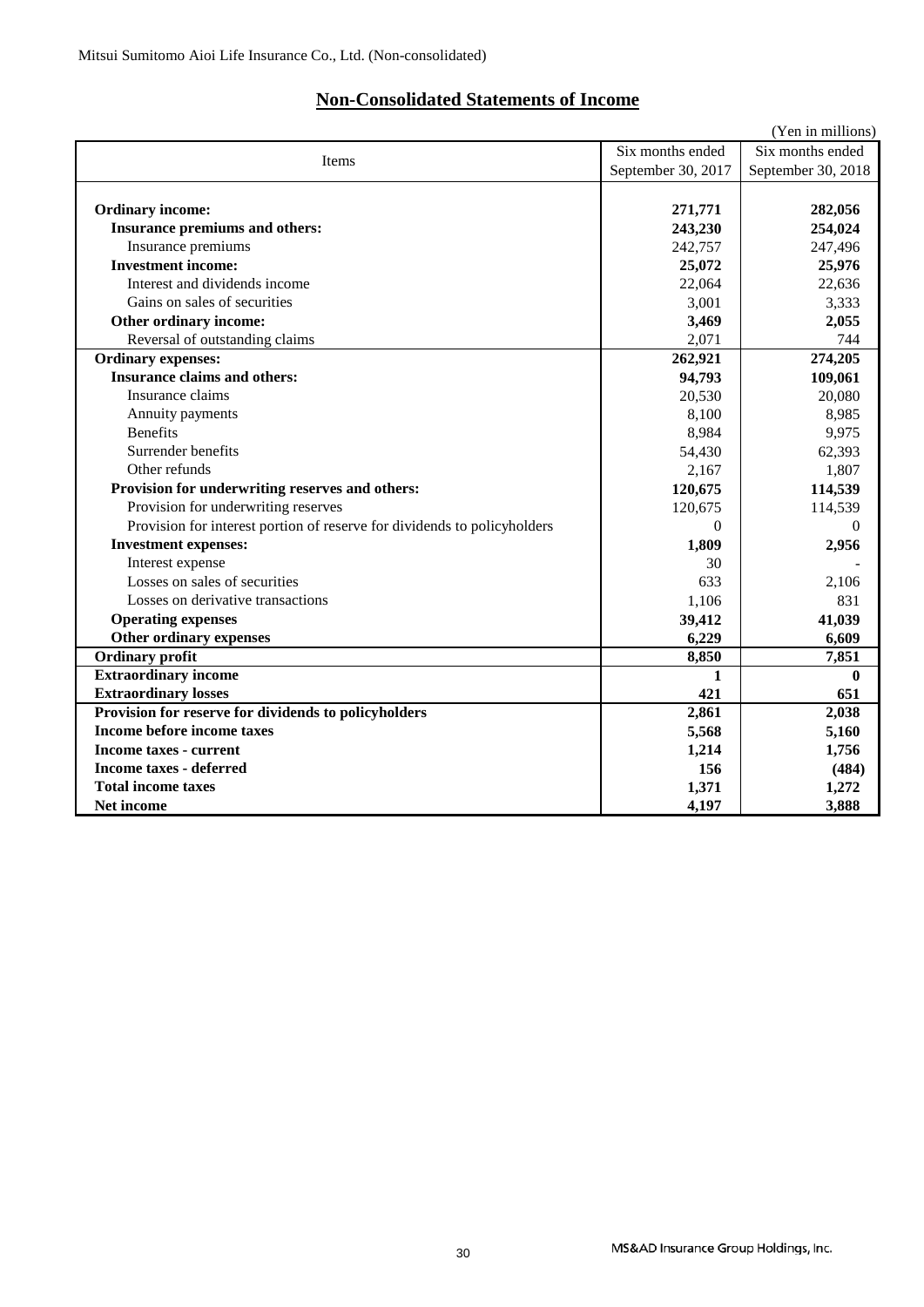### **Non-Consolidated Statements of Income**

|                                                                          |                    | (Yen in millions)  |
|--------------------------------------------------------------------------|--------------------|--------------------|
| <b>Items</b>                                                             | Six months ended   | Six months ended   |
|                                                                          | September 30, 2017 | September 30, 2018 |
|                                                                          |                    |                    |
| <b>Ordinary income:</b>                                                  | 271,771            | 282,056            |
| Insurance premiums and others:                                           | 243,230            | 254,024            |
| Insurance premiums                                                       | 242,757            | 247,496            |
| <b>Investment income:</b>                                                | 25,072             | 25,976             |
| Interest and dividends income                                            | 22,064             | 22,636             |
| Gains on sales of securities                                             | 3,001              | 3,333              |
| Other ordinary income:                                                   | 3,469              | 2,055              |
| Reversal of outstanding claims                                           | 2,071              | 744                |
| <b>Ordinary expenses:</b>                                                | 262,921            | 274,205            |
| <b>Insurance claims and others:</b>                                      | 94,793             | 109,061            |
| Insurance claims                                                         | 20,530             | 20,080             |
| Annuity payments                                                         | 8,100              | 8,985              |
| <b>Benefits</b>                                                          | 8,984              | 9,975              |
| Surrender benefits                                                       | 54,430             | 62,393             |
| Other refunds                                                            | 2,167              | 1,807              |
| Provision for underwriting reserves and others:                          | 120,675            | 114,539            |
| Provision for underwriting reserves                                      | 120,675            | 114,539            |
| Provision for interest portion of reserve for dividends to policyholders | $\Omega$           | $\Omega$           |
| <b>Investment expenses:</b>                                              | 1,809              | 2,956              |
| Interest expense                                                         | 30                 |                    |
| Losses on sales of securities                                            | 633                | 2,106              |
| Losses on derivative transactions                                        | 1,106              | 831                |
| <b>Operating expenses</b>                                                | 39,412             | 41,039             |
| Other ordinary expenses                                                  | 6,229              | 6,609              |
| <b>Ordinary profit</b>                                                   | 8,850              | 7,851              |
| <b>Extraordinary income</b>                                              | 1                  | $\mathbf{0}$       |
| <b>Extraordinary losses</b>                                              | 421                | 651                |
| Provision for reserve for dividends to policyholders                     | 2,861              | 2,038              |
| Income before income taxes                                               | 5,568              | 5,160              |
| Income taxes - current                                                   | 1,214              | 1,756              |
| <b>Income taxes - deferred</b>                                           | 156                | (484)              |
| <b>Total income taxes</b>                                                | 1,371              | 1,272              |
| Net income                                                               | 4,197              | 3,888              |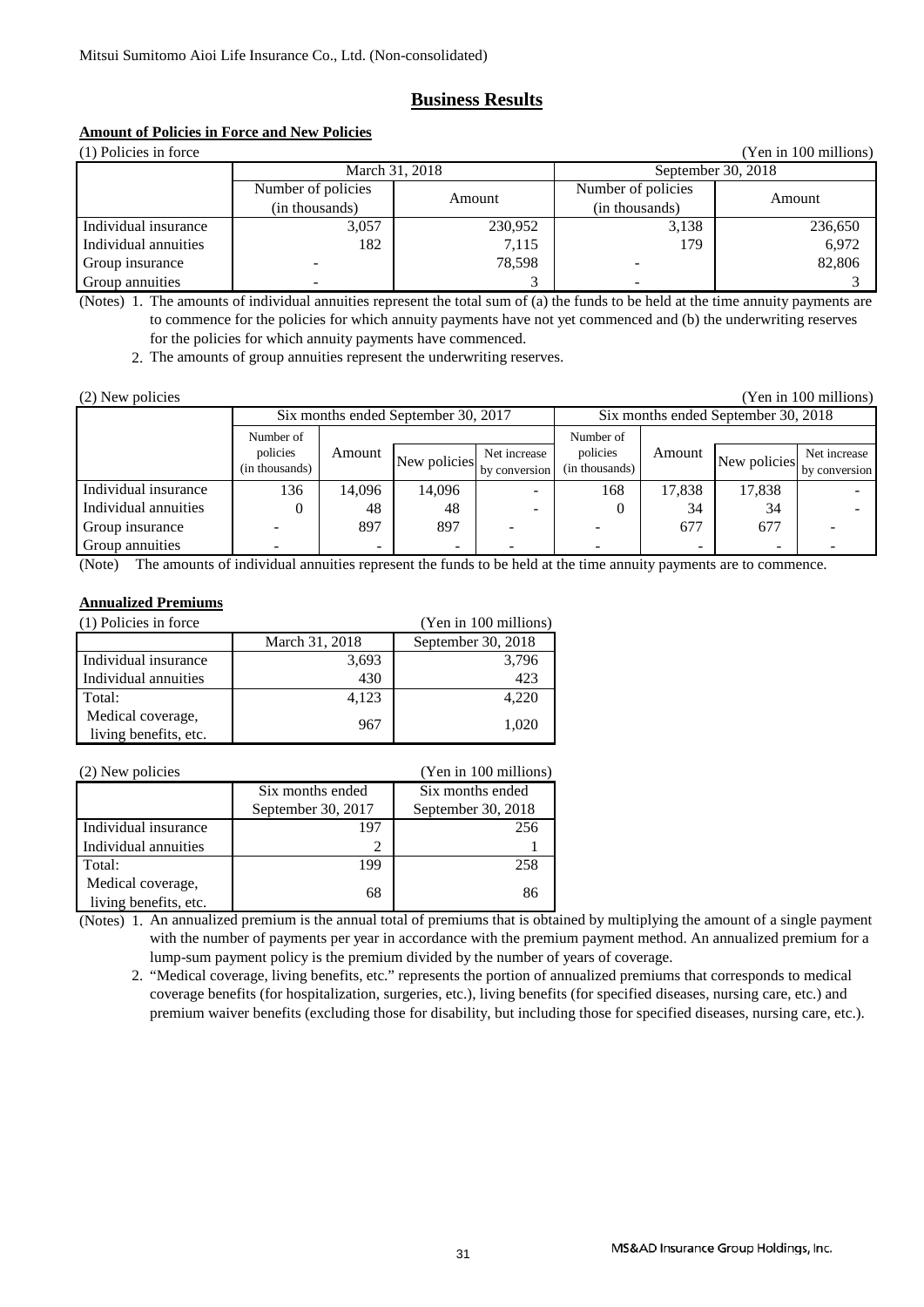### **Business Results**

## **Amount of Policies in Force and New Policies**

| (1) Policies in force<br>(Yen in 100 millions) |                    |         |                    |         |
|------------------------------------------------|--------------------|---------|--------------------|---------|
| March 31, 2018                                 |                    |         | September 30, 2018 |         |
|                                                | Number of policies | Amount  | Number of policies | Amount  |
|                                                | (in thousands)     |         | (in thousands)     |         |
| Individual insurance                           | 3,057              | 230,952 | 3,138              | 236,650 |
| Individual annuities                           | 182                | 7,115   | 179.               | 6,972   |
| Group insurance                                |                    | 78.598  |                    | 82,806  |
| Group annuities                                |                    |         |                    |         |

(Notes) 1. The amounts of individual annuities represent the total sum of (a) the funds to be held at the time annuity payments are to commence for the policies for which annuity payments have not yet commenced and (b) the underwriting reserves for the policies for which annuity payments have commenced.

2. The amounts of group annuities represent the underwriting reserves.

| (2) New policies<br>(Yen in 100 millions) |                |        |              |               |                                     |        |              |               |
|-------------------------------------------|----------------|--------|--------------|---------------|-------------------------------------|--------|--------------|---------------|
| Six months ended September 30, 2017       |                |        |              |               | Six months ended September 30, 2018 |        |              |               |
|                                           | Number of      |        |              |               | Number of                           |        |              |               |
|                                           | policies       | Amount | New policies | Net increase  | policies                            | Amount | New policies | Net increase  |
|                                           | (in thousands) |        |              | by conversion | (in thousands)                      |        |              | by conversion |
| Individual insurance                      | 136            | 14,096 | 14,096       |               | 168                                 | 17,838 | 17,838       |               |
| Individual annuities                      |                | 48     | 48           |               |                                     | 34     | 34           |               |
| Group insurance                           |                | 897    | 897          |               |                                     | 677    | 677          |               |
| Group annuities                           |                |        | -            |               |                                     |        | -            |               |

(Note) The amounts of individual annuities represent the funds to be held at the time annuity payments are to commence.

### **Annualized Premiums**

| (1) Policies in force | (Yen in 100 millions) |                    |
|-----------------------|-----------------------|--------------------|
|                       | March 31, 2018        | September 30, 2018 |
| Individual insurance  | 3,693                 | 3,796              |
| Individual annuities  | 430                   | 423                |
| Total:                | 4,123                 | 4,220              |
| Medical coverage,     | 967                   | 1,020              |
| living benefits, etc. |                       |                    |

| (2) New policies                           |                    | (Yen in 100 millions) |
|--------------------------------------------|--------------------|-----------------------|
|                                            | Six months ended   | Six months ended      |
|                                            | September 30, 2017 | September 30, 2018    |
| Individual insurance                       | 197                | 256                   |
| Individual annuities                       |                    |                       |
| Total:                                     | 199                | 258                   |
| Medical coverage,<br>living benefits, etc. | 68                 | 86                    |

(Notes) 1. An annualized premium is the annual total of premiums that is obtained by multiplying the amount of a single payment with the number of payments per year in accordance with the premium payment method. An annualized premium for a lump-sum payment policy is the premium divided by the number of years of coverage.

 2. "Medical coverage, living benefits, etc." represents the portion of annualized premiums that corresponds to medical coverage benefits (for hospitalization, surgeries, etc.), living benefits (for specified diseases, nursing care, etc.) and premium waiver benefits (excluding those for disability, but including those for specified diseases, nursing care, etc.).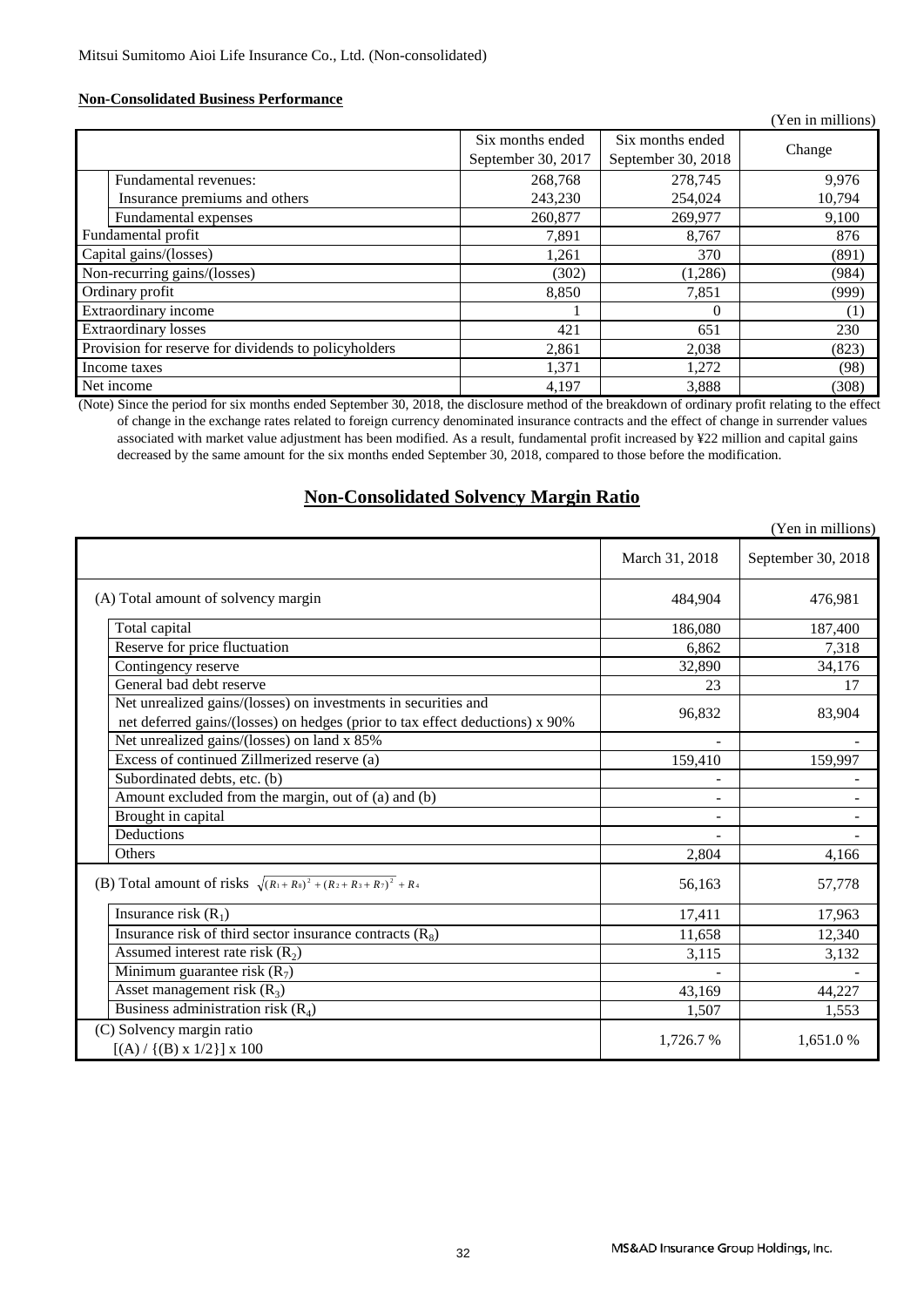### **Non-Consolidated Business Performance**

|                                                      |                                        |                                        | (Yen in millions) |
|------------------------------------------------------|----------------------------------------|----------------------------------------|-------------------|
|                                                      | Six months ended<br>September 30, 2017 | Six months ended<br>September 30, 2018 | Change            |
| Fundamental revenues:                                | 268,768                                | 278,745                                | 9,976             |
| Insurance premiums and others                        | 243,230                                | 254,024                                | 10,794            |
| Fundamental expenses                                 | 260,877                                | 269,977                                | 9,100             |
| Fundamental profit                                   | 7,891                                  | 8,767                                  | 876               |
| Capital gains/(losses)                               | 1,261                                  | 370                                    | (891)             |
| Non-recurring gains/(losses)                         | (302)                                  | (1,286)                                | (984)             |
| Ordinary profit                                      | 8,850                                  | 7,851                                  | (999)             |
| Extraordinary income                                 |                                        | 0                                      | $\left(1\right)$  |
| <b>Extraordinary losses</b>                          | 421                                    | 651                                    | 230               |
| Provision for reserve for dividends to policyholders | 2,861                                  | 2,038                                  | (823)             |
| Income taxes                                         | 1,371                                  | 1,272                                  | (98)              |
| Net income                                           | 4,197                                  | 3,888                                  | (308)             |

(Note) Since the period for six months ended September 30, 2018, the disclosure method of the breakdown of ordinary profit relating to the effect of change in the exchange rates related to foreign currency denominated insurance contracts and the effect of change in surrender values associated with market value adjustment has been modified. As a result, fundamental profit increased by ¥22 million and capital gains decreased by the same amount for the six months ended September 30, 2018, compared to those before the modification.

### **Non-Consolidated Solvency Margin Ratio**

|                                                                                                                                                |                          | (Yen in millions)        |
|------------------------------------------------------------------------------------------------------------------------------------------------|--------------------------|--------------------------|
|                                                                                                                                                | March 31, 2018           | September 30, 2018       |
| (A) Total amount of solvency margin                                                                                                            | 484,904                  | 476,981                  |
| Total capital                                                                                                                                  | 186,080                  | 187,400                  |
| Reserve for price fluctuation                                                                                                                  | 6.862                    | 7,318                    |
| Contingency reserve                                                                                                                            | 32,890                   | 34,176                   |
| General bad debt reserve                                                                                                                       | 23                       | 17                       |
| Net unrealized gains/(losses) on investments in securities and<br>net deferred gains/(losses) on hedges (prior to tax effect deductions) x 90% | 96,832                   | 83,904                   |
| Net unrealized gains/(losses) on land x 85%                                                                                                    |                          |                          |
| Excess of continued Zillmerized reserve (a)                                                                                                    | 159,410                  | 159,997                  |
| Subordinated debts, etc. (b)                                                                                                                   |                          |                          |
| Amount excluded from the margin, out of (a) and (b)                                                                                            | $\overline{\phantom{a}}$ |                          |
| Brought in capital                                                                                                                             |                          | $\overline{\phantom{a}}$ |
| Deductions                                                                                                                                     |                          |                          |
| Others                                                                                                                                         | 2,804                    | 4,166                    |
| (B) Total amount of risks $\sqrt{(R_1+R_3)^2+(R_2+R_3+R_7)^2}$ + R <sub>4</sub>                                                                | 56,163                   | 57,778                   |
| Insurance risk $(R_1)$                                                                                                                         | 17,411                   | 17,963                   |
| Insurance risk of third sector insurance contracts $(R_8)$                                                                                     | 11,658                   | 12,340                   |
| Assumed interest rate risk $(R_2)$                                                                                                             | 3,115                    | 3,132                    |
| Minimum guarantee risk $(R_7)$                                                                                                                 |                          |                          |
| Asset management risk $(R_3)$                                                                                                                  | 43,169                   | 44,227                   |
| Business administration risk $(R_4)$                                                                                                           | 1,507                    | 1,553                    |
| (C) Solvency margin ratio<br>$[(A) / {(B) x 1/2}] x 100$                                                                                       | 1,726.7 %                | 1,651.0%                 |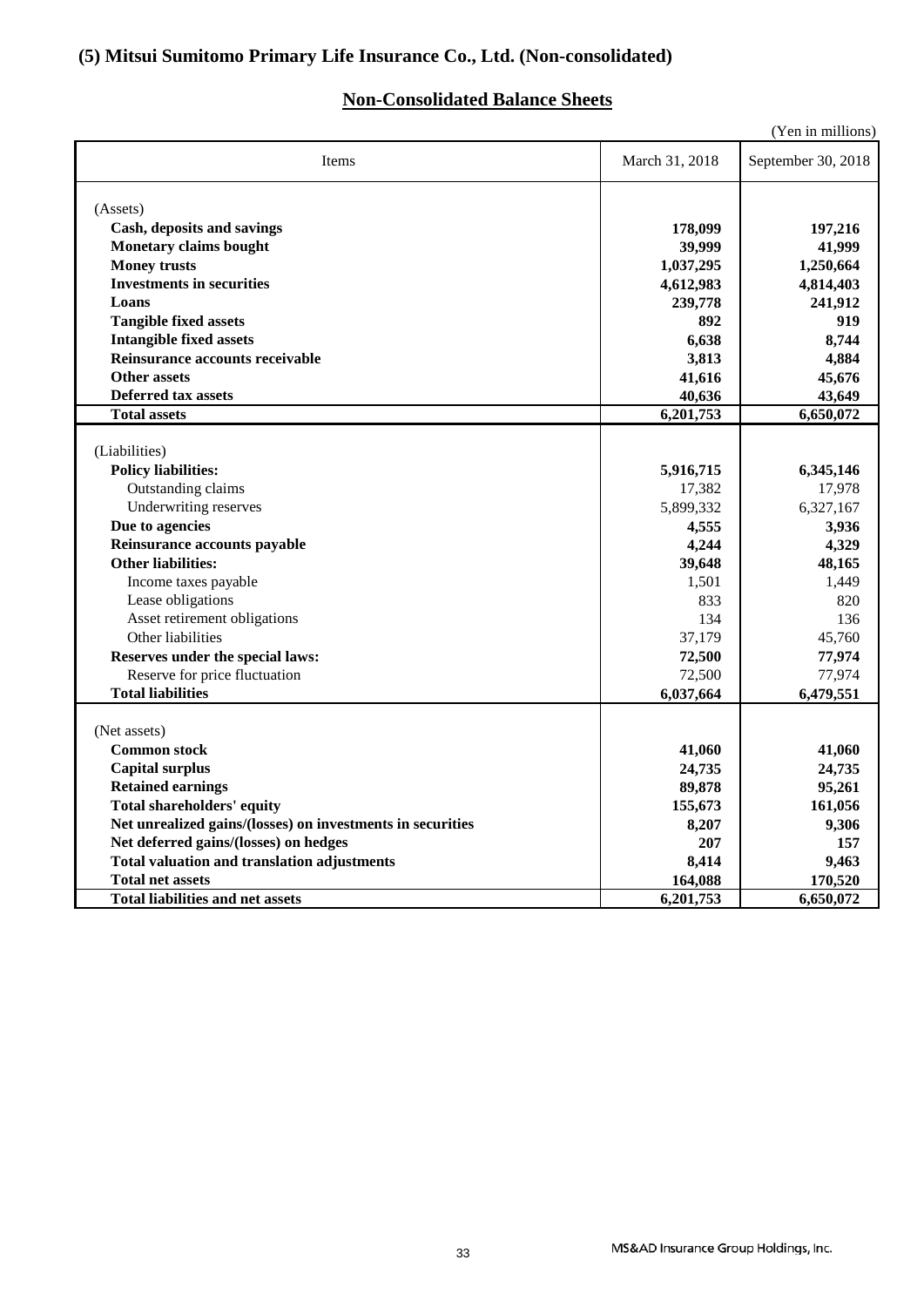### **(5) Mitsui Sumitomo Primary Life Insurance Co., Ltd. (Non-consolidated)**

### **Non-Consolidated Balance Sheets**

|                                                            |                | (Yen in millions)  |
|------------------------------------------------------------|----------------|--------------------|
| Items                                                      | March 31, 2018 | September 30, 2018 |
| (Assets)                                                   |                |                    |
| Cash, deposits and savings                                 | 178,099        | 197,216            |
| <b>Monetary claims bought</b>                              | 39,999         | 41,999             |
| <b>Money trusts</b>                                        | 1,037,295      | 1,250,664          |
| <b>Investments in securities</b>                           | 4,612,983      | 4,814,403          |
| Loans                                                      | 239,778        | 241,912            |
| <b>Tangible fixed assets</b>                               | 892            | 919                |
| <b>Intangible fixed assets</b>                             | 6,638          | 8,744              |
| Reinsurance accounts receivable                            | 3,813          | 4,884              |
| <b>Other assets</b>                                        | 41,616         | 45,676             |
| <b>Deferred tax assets</b>                                 | 40,636         | 43,649             |
| <b>Total assets</b>                                        | 6,201,753      | 6,650,072          |
|                                                            |                |                    |
| (Liabilities)                                              |                |                    |
| <b>Policy liabilities:</b>                                 | 5,916,715      | 6,345,146          |
| Outstanding claims                                         | 17,382         | 17,978             |
| Underwriting reserves                                      | 5,899,332      | 6,327,167          |
| Due to agencies                                            | 4,555          | 3,936              |
| Reinsurance accounts payable                               | 4,244          | 4,329              |
| <b>Other liabilities:</b>                                  | 39,648         | 48,165             |
| Income taxes payable                                       | 1,501          | 1,449              |
| Lease obligations                                          | 833            | 820                |
| Asset retirement obligations                               | 134            | 136                |
| Other liabilities                                          | 37,179         | 45,760             |
| Reserves under the special laws:                           | 72,500         | 77,974             |
| Reserve for price fluctuation                              | 72,500         | 77,974             |
| <b>Total liabilities</b>                                   | 6,037,664      | 6,479,551          |
|                                                            |                |                    |
| (Net assets)                                               |                |                    |
| <b>Common stock</b>                                        | 41,060         | 41,060             |
| <b>Capital surplus</b>                                     | 24,735         | 24,735             |
| <b>Retained earnings</b>                                   | 89,878         | 95,261             |
| Total shareholders' equity                                 | 155,673        | 161,056            |
| Net unrealized gains/(losses) on investments in securities | 8,207          | 9,306              |
| Net deferred gains/(losses) on hedges                      | 207            | 157                |
| <b>Total valuation and translation adjustments</b>         | 8,414          | 9,463              |
| <b>Total net assets</b>                                    | 164,088        | 170,520            |
| <b>Total liabilities and net assets</b>                    | 6,201,753      | 6,650,072          |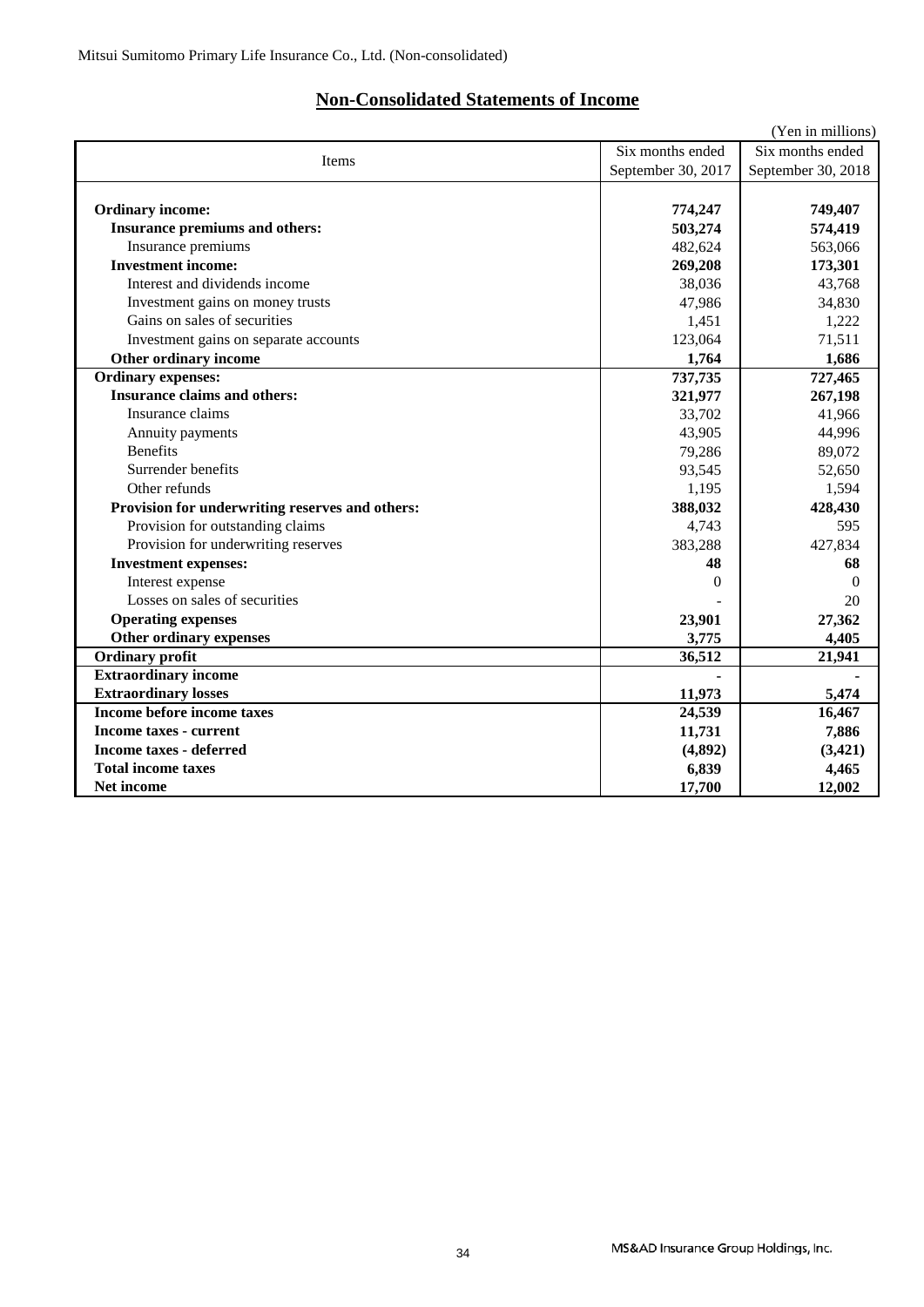### **Non-Consolidated Statements of Income**

|                                                 |                    | (Yen in millions)  |
|-------------------------------------------------|--------------------|--------------------|
| Items                                           | Six months ended   | Six months ended   |
|                                                 | September 30, 2017 | September 30, 2018 |
|                                                 |                    |                    |
| <b>Ordinary income:</b>                         | 774,247            | 749,407            |
| Insurance premiums and others:                  | 503,274            | 574,419            |
| Insurance premiums                              | 482,624            | 563,066            |
| <b>Investment income:</b>                       | 269,208            | 173,301            |
| Interest and dividends income                   | 38.036             | 43,768             |
| Investment gains on money trusts                | 47,986             | 34,830             |
| Gains on sales of securities                    | 1,451              | 1,222              |
| Investment gains on separate accounts           | 123,064            | 71,511             |
| Other ordinary income                           | 1,764              | 1,686              |
| <b>Ordinary expenses:</b>                       | 737,735            | 727,465            |
| <b>Insurance claims and others:</b>             | 321,977            | 267,198            |
| Insurance claims                                | 33,702             | 41,966             |
| Annuity payments                                | 43,905             | 44,996             |
| <b>Benefits</b>                                 | 79,286             | 89,072             |
| Surrender benefits                              | 93,545             | 52,650             |
| Other refunds                                   | 1,195              | 1,594              |
| Provision for underwriting reserves and others: | 388,032            | 428,430            |
| Provision for outstanding claims                | 4,743              | 595                |
| Provision for underwriting reserves             | 383,288            | 427,834            |
| <b>Investment expenses:</b>                     | 48                 | 68                 |
| Interest expense                                | $\Omega$           | $\Omega$           |
| Losses on sales of securities                   |                    | 20                 |
| <b>Operating expenses</b>                       | 23,901             | 27,362             |
| Other ordinary expenses                         | 3,775              | 4,405              |
| <b>Ordinary profit</b>                          | 36,512             | 21,941             |
| <b>Extraordinary income</b>                     |                    |                    |
| <b>Extraordinary losses</b>                     | 11,973             | 5,474              |
| Income before income taxes                      | 24,539             | 16,467             |
| <b>Income taxes - current</b>                   | 11,731             | 7,886              |
| <b>Income taxes - deferred</b>                  | (4,892)            | (3,421)            |
| <b>Total income taxes</b>                       | 6,839              | 4,465              |
| Net income                                      | 17,700             | 12,002             |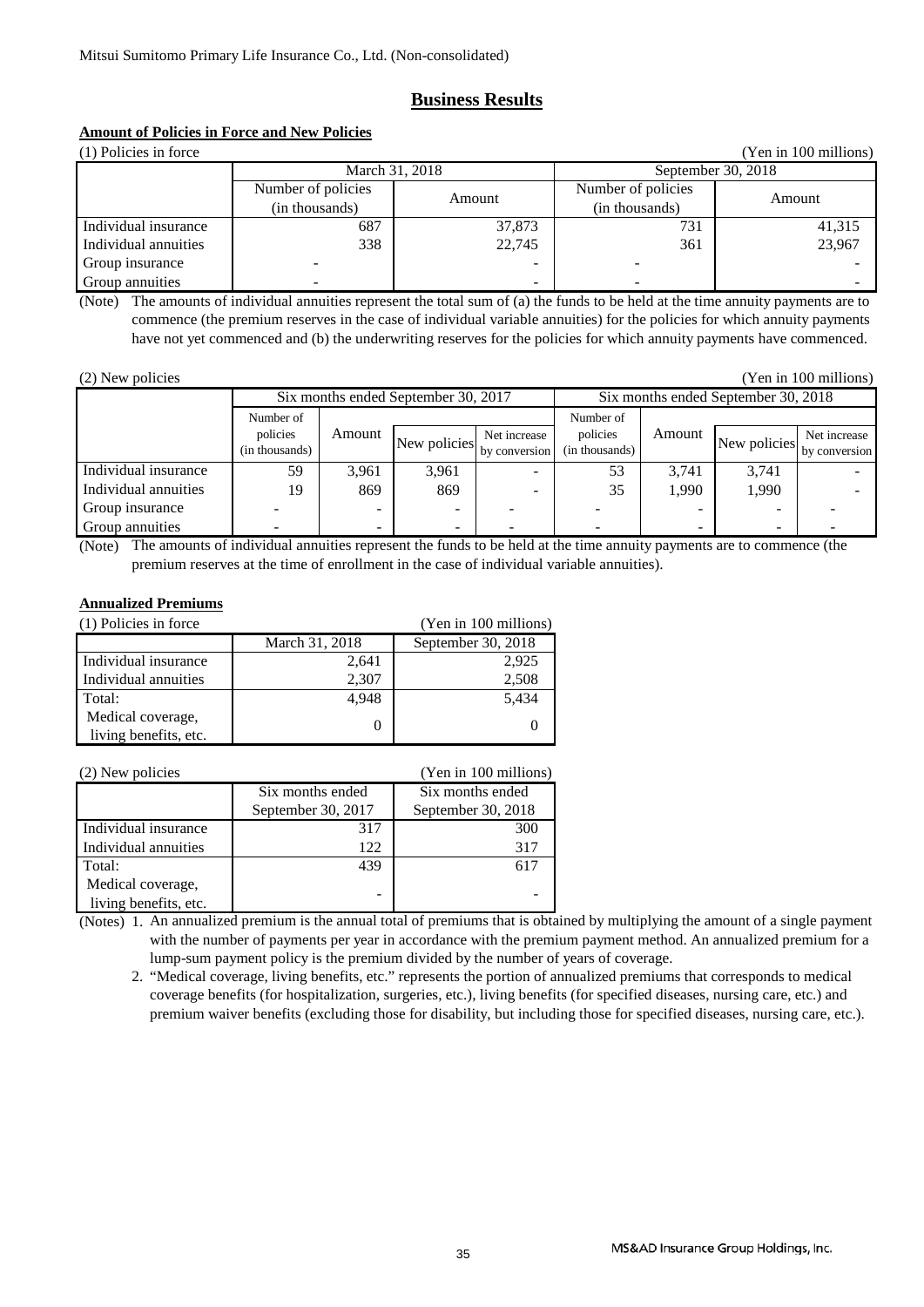### **Business Results**

### **Amount of Policies in Force and New Policies**

| (1) Policies in force<br>(Yen in 100 millions) |                    |        |                    |                    |  |  |  |
|------------------------------------------------|--------------------|--------|--------------------|--------------------|--|--|--|
|                                                | March 31, 2018     |        |                    | September 30, 2018 |  |  |  |
|                                                | Number of policies | Amount | Number of policies | Amount             |  |  |  |
|                                                | (in thousands)     |        | (in thousands)     |                    |  |  |  |
| Individual insurance                           | 687                | 37,873 | 731                | 41,315             |  |  |  |
| Individual annuities                           | 338                | 22,745 | 361                | 23,967             |  |  |  |
| Group insurance                                |                    |        |                    |                    |  |  |  |
| Group annuities                                |                    |        |                    |                    |  |  |  |

(Note) The amounts of individual annuities represent the total sum of (a) the funds to be held at the time annuity payments are to commence (the premium reserves in the case of individual variable annuities) for the policies for which annuity payments have not yet commenced and (b) the underwriting reserves for the policies for which annuity payments have commenced.

| (2) New policies |  |
|------------------|--|
|------------------|--|

(Yen in 100 millions)

|                      | Six months ended September 30, 2017 |                          |              |               | Six months ended September 30, 2018 |           |              |               |
|----------------------|-------------------------------------|--------------------------|--------------|---------------|-------------------------------------|-----------|--------------|---------------|
|                      | Number of                           |                          |              |               |                                     | Number of |              |               |
|                      | policies                            | Amount                   | New policies | Net increase  | policies                            | Amount    | New policies | Net increase  |
|                      | (in thousands)                      |                          |              | by conversion | (in thousands)                      |           |              | by conversion |
| Individual insurance | 59                                  | 3.961                    | 3,961        |               | 53                                  | 3.741     | 3.741        |               |
| Individual annuities | 19                                  | 869                      | 869          |               | 35                                  | 1.990     | 1,990        |               |
| Group insurance      |                                     | -                        |              |               |                                     | -         |              |               |
| Group annuities      |                                     | $\overline{\phantom{0}}$ |              |               |                                     | -         | -            |               |

(Note) The amounts of individual annuities represent the funds to be held at the time annuity payments are to commence (the premium reserves at the time of enrollment in the case of individual variable annuities).

### **Annualized Premiums**

| (1) Policies in force | (Yen in 100 millions) |                    |
|-----------------------|-----------------------|--------------------|
|                       | March 31, 2018        | September 30, 2018 |
| Individual insurance  | 2,641                 | 2,925              |
| Individual annuities  | 2,307                 | 2,508              |
| Total:                | 4,948                 | 5,434              |
| Medical coverage,     |                       |                    |
| living benefits, etc. |                       |                    |

| (2) New policies      |                    | (Yen in 100 millions) |
|-----------------------|--------------------|-----------------------|
|                       | Six months ended   | Six months ended      |
|                       | September 30, 2017 | September 30, 2018    |
| Individual insurance  | 317                | 300                   |
| Individual annuities  | 122                | 317                   |
| Total:                | 439                | 617                   |
| Medical coverage,     |                    |                       |
| living benefits, etc. | -                  |                       |

(Notes) 1. An annualized premium is the annual total of premiums that is obtained by multiplying the amount of a single payment with the number of payments per year in accordance with the premium payment method. An annualized premium for a lump-sum payment policy is the premium divided by the number of years of coverage.

 2. "Medical coverage, living benefits, etc." represents the portion of annualized premiums that corresponds to medical coverage benefits (for hospitalization, surgeries, etc.), living benefits (for specified diseases, nursing care, etc.) and premium waiver benefits (excluding those for disability, but including those for specified diseases, nursing care, etc.).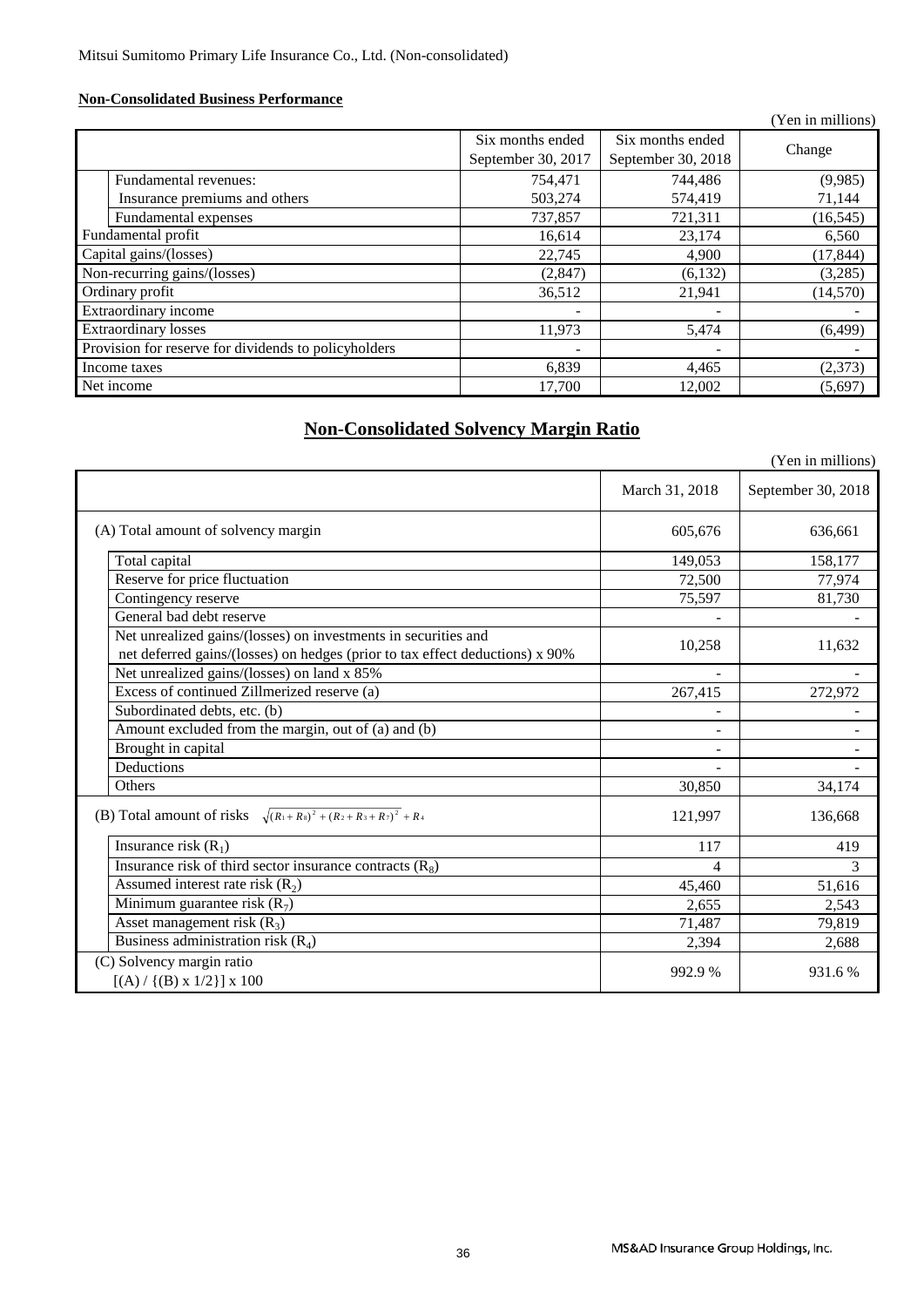### **Non-Consolidated Business Performance**

|                                                      |                                        |                                        | (Yen in millions) |
|------------------------------------------------------|----------------------------------------|----------------------------------------|-------------------|
|                                                      | Six months ended<br>September 30, 2017 | Six months ended<br>September 30, 2018 | Change            |
| Fundamental revenues:                                | 754,471                                | 744,486                                | (9,985)           |
| Insurance premiums and others                        | 503,274                                | 574,419                                | 71,144            |
| Fundamental expenses                                 | 737,857                                | 721,311                                | (16, 545)         |
| Fundamental profit                                   | 16,614                                 | 23,174                                 | 6,560             |
| Capital gains/(losses)                               | 22,745                                 | 4,900                                  | (17, 844)         |
| Non-recurring gains/(losses)                         | (2,847)                                | (6,132)                                | (3,285)           |
| Ordinary profit                                      | 36,512                                 | 21,941                                 | (14, 570)         |
| Extraordinary income                                 |                                        |                                        |                   |
| <b>Extraordinary losses</b>                          | 11,973                                 | 5,474                                  | (6, 499)          |
| Provision for reserve for dividends to policyholders |                                        |                                        |                   |
| Income taxes                                         | 6,839                                  | 4,465                                  | (2,373)           |
| Net income                                           | 17.700                                 | 12,002                                 | (5,697)           |

### **Non-Consolidated Solvency Margin Ratio**

|                                                                                                                                                |                | (Yen in millions)  |
|------------------------------------------------------------------------------------------------------------------------------------------------|----------------|--------------------|
|                                                                                                                                                | March 31, 2018 | September 30, 2018 |
| (A) Total amount of solvency margin                                                                                                            | 605,676        | 636,661            |
| Total capital                                                                                                                                  | 149,053        | 158,177            |
| Reserve for price fluctuation                                                                                                                  | 72,500         | 77,974             |
| Contingency reserve                                                                                                                            | 75,597         | 81,730             |
| General bad debt reserve                                                                                                                       |                |                    |
| Net unrealized gains/(losses) on investments in securities and<br>net deferred gains/(losses) on hedges (prior to tax effect deductions) x 90% | 10,258         | 11,632             |
| Net unrealized gains/(losses) on land x 85%                                                                                                    |                |                    |
| Excess of continued Zillmerized reserve (a)                                                                                                    | 267,415        | 272,972            |
| Subordinated debts, etc. (b)                                                                                                                   |                |                    |
| Amount excluded from the margin, out of (a) and (b)                                                                                            | ۰              |                    |
| Brought in capital                                                                                                                             |                |                    |
| Deductions                                                                                                                                     |                |                    |
| Others                                                                                                                                         | 30,850         | 34,174             |
| (B) Total amount of risks $\sqrt{(R_1+R_3)^2+(R_2+R_3+R_7)^2}$ + R <sub>4</sub>                                                                | 121,997        | 136,668            |
| Insurance risk $(R_1)$                                                                                                                         | 117            | 419                |
| Insurance risk of third sector insurance contracts $(R_8)$                                                                                     | 4              | 3                  |
| Assumed interest rate risk $(R_2)$                                                                                                             | 45,460         | 51,616             |
| Minimum guarantee risk $(R_7)$                                                                                                                 | 2,655          | 2,543              |
| Asset management risk $(R_3)$                                                                                                                  | 71,487         | 79,819             |
| Business administration risk $(R_4)$                                                                                                           | 2,394          | 2,688              |
| (C) Solvency margin ratio<br>$[(A) / {(B) x 1/2}] x 100$                                                                                       | 992.9 %        | 931.6%             |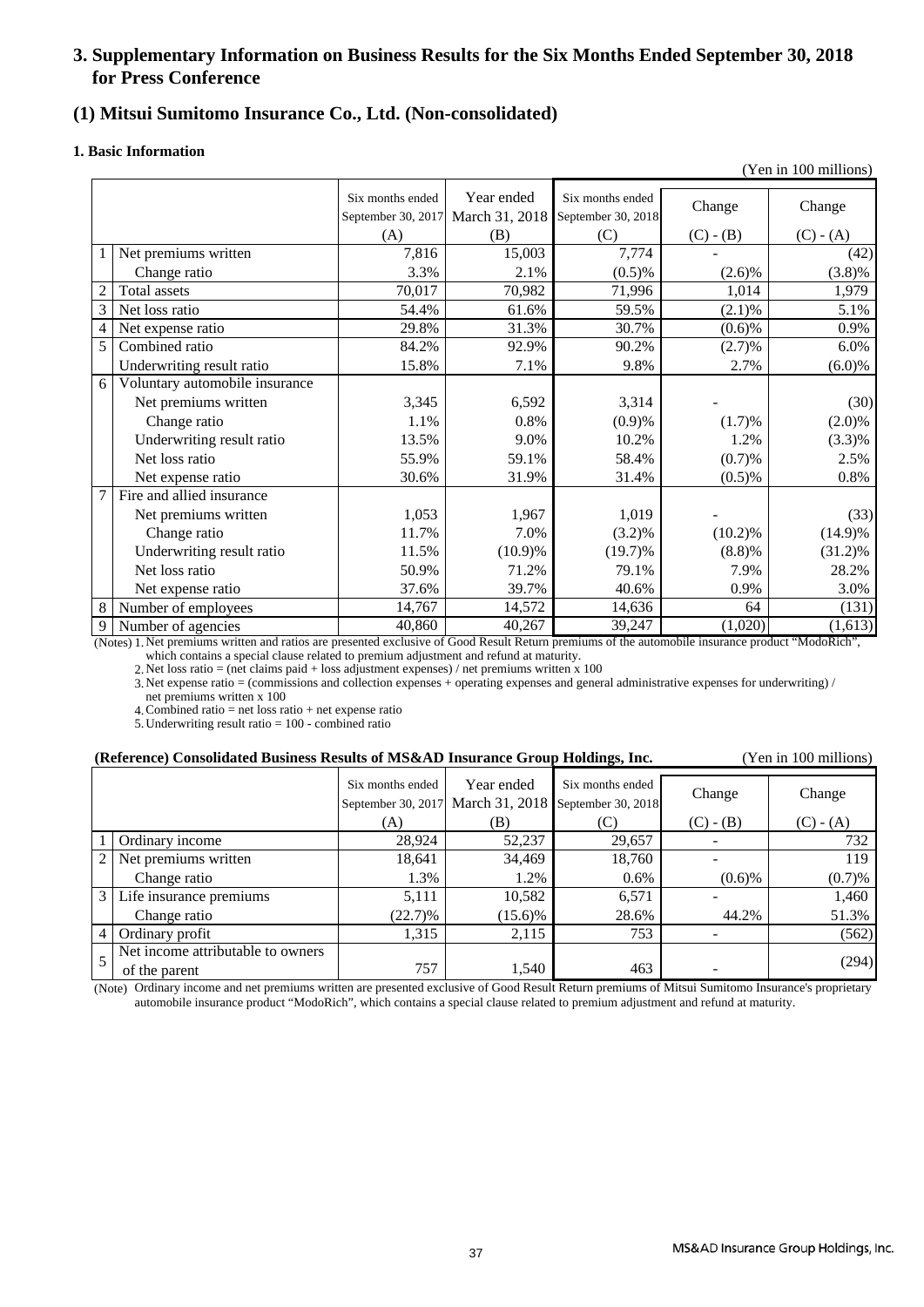### **3. Supplementary Information on Business Results for the Six Months Ended September 30, 2018 for Press Conference**

### **(1) Mitsui Sumitomo Insurance Co., Ltd. (Non-consolidated)**

### **1. Basic Information**

|                |                                |                                        |                              |                                        |             | (Yen in 100 millions) |
|----------------|--------------------------------|----------------------------------------|------------------------------|----------------------------------------|-------------|-----------------------|
|                |                                | Six months ended<br>September 30, 2017 | Year ended<br>March 31, 2018 | Six months ended<br>September 30, 2018 | Change      | Change                |
|                |                                | (A)                                    | (B)                          | (C)                                    | $(C) - (B)$ | $(C) - (A)$           |
| 1              | Net premiums written           | 7,816                                  | 15,003                       | 7,774                                  |             | (42)                  |
|                | Change ratio                   | 3.3%                                   | 2.1%                         | (0.5)%                                 | $(2.6)\%$   | (3.8)%                |
| $\overline{c}$ | Total assets                   | 70,017                                 | 70,982                       | 71,996                                 | 1,014       | 1,979                 |
| 3              | Net loss ratio                 | 54.4%                                  | 61.6%                        | 59.5%                                  | (2.1)%      | 5.1%                  |
| $\overline{4}$ | Net expense ratio              | 29.8%                                  | 31.3%                        | 30.7%                                  | (0.6)%      | 0.9%                  |
| 5              | Combined ratio                 | 84.2%                                  | 92.9%                        | 90.2%                                  | (2.7)%      | 6.0%                  |
|                | Underwriting result ratio      | 15.8%                                  | 7.1%                         | 9.8%                                   | 2.7%        | $(6.0)\%$             |
| 6              | Voluntary automobile insurance |                                        |                              |                                        |             |                       |
|                | Net premiums written           | 3,345                                  | 6,592                        | 3,314                                  |             | (30)                  |
|                | Change ratio                   | 1.1%                                   | 0.8%                         | (0.9)%                                 | (1.7)%      | $(2.0)\%$             |
|                | Underwriting result ratio      | 13.5%                                  | 9.0%                         | 10.2%                                  | 1.2%        | $(3.3)\%$             |
|                | Net loss ratio                 | 55.9%                                  | 59.1%                        | 58.4%                                  | (0.7)%      | 2.5%                  |
|                | Net expense ratio              | 30.6%                                  | 31.9%                        | 31.4%                                  | $(0.5)$ %   | 0.8%                  |
| 7              | Fire and allied insurance      |                                        |                              |                                        |             |                       |
|                | Net premiums written           | 1,053                                  | 1,967                        | 1,019                                  |             | (33)                  |
|                | Change ratio                   | 11.7%                                  | 7.0%                         | $(3.2)\%$                              | (10.2)%     | $(14.9)\%$            |
|                | Underwriting result ratio      | 11.5%                                  | $(10.9)\%$                   | $(19.7)\%$                             | (8.8)%      | $(31.2)\%$            |
|                | Net loss ratio                 | 50.9%                                  | 71.2%                        | 79.1%                                  | 7.9%        | 28.2%                 |
|                | Net expense ratio              | 37.6%                                  | 39.7%                        | 40.6%                                  | 0.9%        | 3.0%                  |
| 8              | Number of employees            | 14,767                                 | 14,572                       | 14,636                                 | 64          | (131)                 |
| 9              | Number of agencies             | 40,860                                 | 40,267                       | 39,247                                 | (1,020)     | (1,613)               |

(Notes) 1. Net premiums written and ratios are presented exclusive of Good Result Return premiums of the automobile insurance product "ModoRich", which contains a special clause related to premium adjustment and refund at maturity.

2. Net loss ratio = (net claims paid + loss adjustment expenses) / net premiums written x 100

3. Net expense ratio = (commissions and collection expenses + operating expenses and general administrative expenses for underwriting) / net premiums written x 100

4. Combined ratio = net loss ratio + net expense ratio

5. Underwriting result ratio = 100 - combined ratio

| (Reference) Consolidated Business Results of MS&AD Insurance Group Holdings, Inc. | (Yen in 100 millions) |
|-----------------------------------------------------------------------------------|-----------------------|
|-----------------------------------------------------------------------------------|-----------------------|

|                |                                   | Six months ended     | Year ended     | Six months ended   | Change      | Change      |
|----------------|-----------------------------------|----------------------|----------------|--------------------|-------------|-------------|
|                |                                   | September 30, $2017$ | March 31, 2018 | September 30, 2018 |             |             |
|                |                                   | (A)                  | (B)            | (C)                | $(C) - (B)$ | $(C) - (A)$ |
|                | Ordinary income                   | 28.924               | 52,237         | 29,657             |             | 732         |
| 2 <sub>1</sub> | Net premiums written              | 18,641               | 34,469         | 18,760             |             | 119         |
|                | Change ratio                      | 1.3%                 | 1.2%           | $0.6\%$            | $(0.6)$ %   | (0.7)%      |
| 3 <sub>1</sub> | Life insurance premiums           | 5,111                | 10,582         | 6,571              |             | 1,460       |
|                | Change ratio                      | $(22.7)\%$           | $(15.6)\%$     | 28.6%              | 44.2%       | 51.3%       |
| $\overline{4}$ | Ordinary profit                   | 1,315                | 2,115          | 753                |             | (562)       |
|                | Net income attributable to owners |                      |                |                    |             |             |
|                | of the parent                     | 757                  | 1,540          | 463                |             | (294)       |

(Note) Ordinary income and net premiums written are presented exclusive of Good Result Return premiums of Mitsui Sumitomo Insurance's proprietary automobile insurance product "ModoRich", which contains a special clause related to premium adjustment and refund at maturity.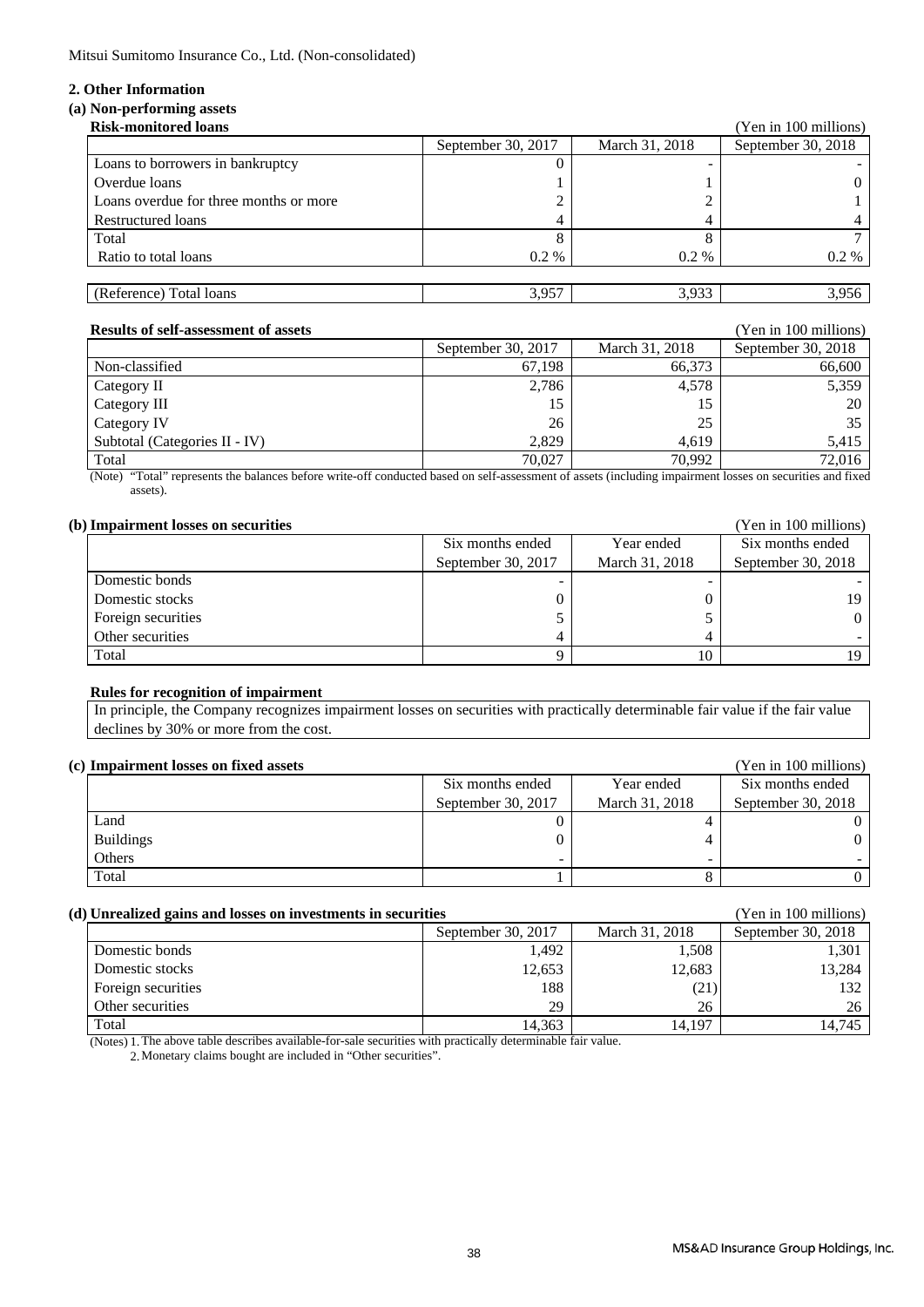Mitsui Sumitomo Insurance Co., Ltd. (Non-consolidated)

### **2. Other Information**

### **(a) Non-performing assets**

| <b>Risk-monitored loans</b>            |                    |                | (Yen in 100 millions) |
|----------------------------------------|--------------------|----------------|-----------------------|
|                                        | September 30, 2017 | March 31, 2018 | September 30, 2018    |
| Loans to borrowers in bankruptcy       |                    |                |                       |
| Overdue loans                          |                    |                |                       |
| Loans overdue for three months or more |                    |                |                       |
| Restructured loans                     |                    |                |                       |
| Total                                  |                    |                |                       |
| Ratio to total loans                   | $0.2\%$            | $0.2\%$        | $0.2 \%$              |
|                                        |                    |                |                       |
| (Reference) Total loans                | 3,957              | 3,933          | 3,956                 |

| <b>Results of self-assessment of assets</b> |                    |                | (Yen in 100 millions) |
|---------------------------------------------|--------------------|----------------|-----------------------|
|                                             | September 30, 2017 | March 31, 2018 | September 30, 2018    |
| Non-classified                              | 67.198             | 66,373         | 66,600                |
| Category II                                 | 2,786              | 4,578          | 5,359                 |
| Category III                                | 15                 |                | 20                    |
| Category IV                                 | 26                 | 25             | 35                    |
| Subtotal (Categories II - IV)               | 2.829              | 4.619          | 5.415                 |
| Total                                       | 70.027             | 70.992         | 72.016                |

(Note) "Total" represents the balances before write-off conducted based on self-assessment of assets (including impairment losses on securities and fixed assets).

| (b) Impairment losses on securities |                    |                | (Yen in 100 millions) |  |
|-------------------------------------|--------------------|----------------|-----------------------|--|
|                                     | Six months ended   | Year ended     | Six months ended      |  |
|                                     | September 30, 2017 | March 31, 2018 | September 30, 2018    |  |
| Domestic bonds                      |                    |                |                       |  |
| Domestic stocks                     |                    |                | 19                    |  |
| Foreign securities                  |                    |                | $\Omega$              |  |
| Other securities                    |                    |                |                       |  |
| Total                               |                    | 10             | 19                    |  |

### **Rules for recognition of impairment**

 In principle, the Company recognizes impairment losses on securities with practically determinable fair value if the fair value declines by 30% or more from the cost.

| (c) Impairment losses on fixed assets |                    |                | (Yen in 100 millions) |  |  |
|---------------------------------------|--------------------|----------------|-----------------------|--|--|
|                                       | Six months ended   | Year ended     | Six months ended      |  |  |
|                                       | September 30, 2017 | March 31, 2018 | September 30, 2018    |  |  |
| Land                                  |                    |                |                       |  |  |
| <b>Buildings</b>                      |                    |                | 0                     |  |  |
| Others                                | -                  | -              |                       |  |  |
| Total                                 |                    |                |                       |  |  |

| (d) Unrealized gains and losses on investments in securities | (Yen in 100 millions) |        |        |
|--------------------------------------------------------------|-----------------------|--------|--------|
|                                                              | September 30, 2018    |        |        |
| Domestic bonds                                               | 1,492                 | 1.508  | 1.301  |
| Domestic stocks                                              | 12,653                | 12,683 | 13,284 |
| Foreign securities                                           | 188                   | (21)   | 132    |
| Other securities                                             | 29                    | 26     | 26     |
| Total                                                        | 14.363                | 14.197 | 14.745 |

(Notes) 1. The above table describes available-for-sale securities with practically determinable fair value.

2.Monetary claims bought are included in "Other securities".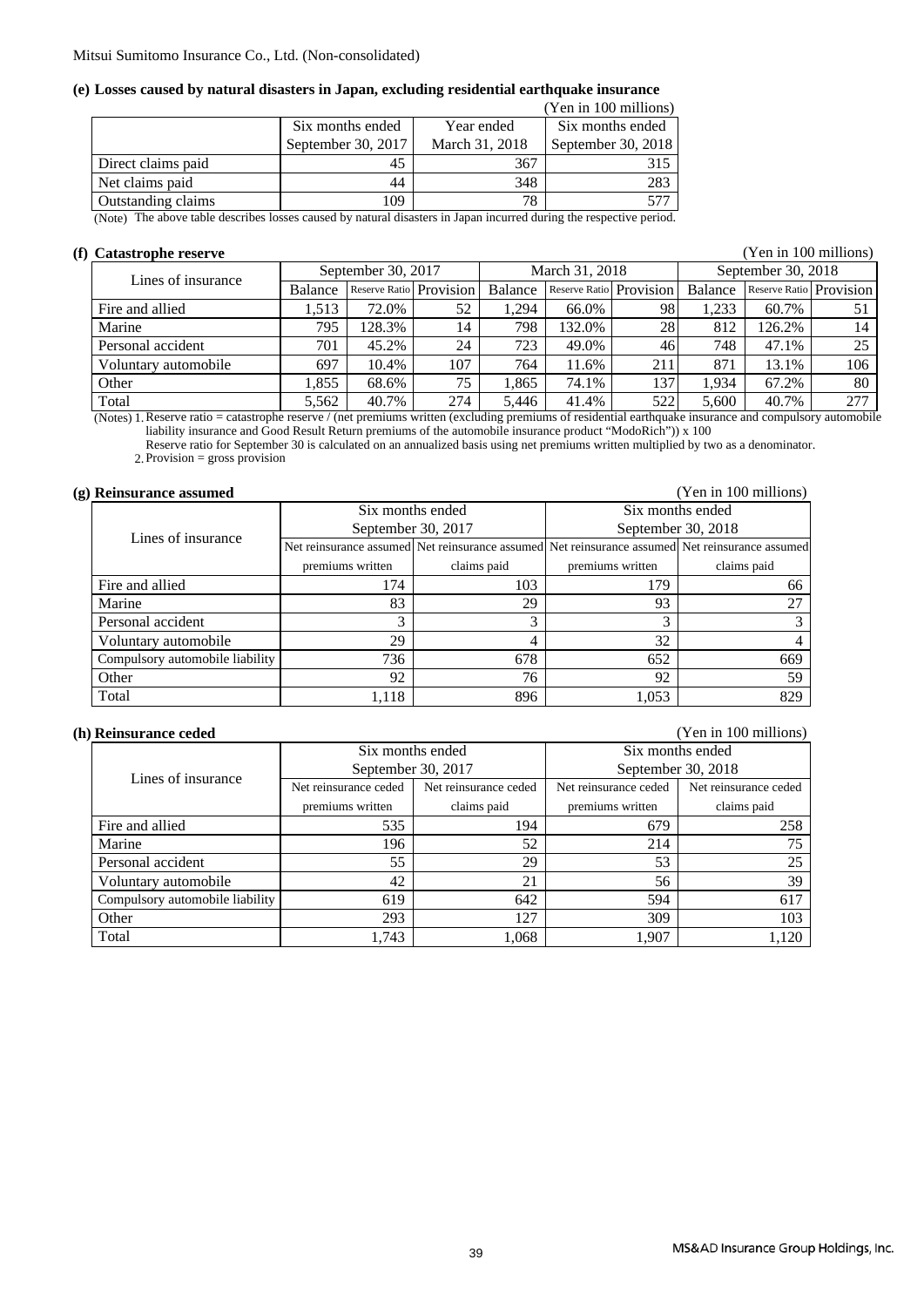### **(e) Losses caused by natural disasters in Japan, excluding residential earthquake insurance**

|                                                           |                            |                | (Yen in 100 millions) |
|-----------------------------------------------------------|----------------------------|----------------|-----------------------|
|                                                           | Six months ended           | Year ended     | Six months ended      |
|                                                           | September 30, 2017         | March 31, 2018 | September 30, 2018    |
| Direct claims paid                                        | 45                         | 367            | 315                   |
| Net claims paid                                           | 44                         | 348            | 283                   |
| Outstanding claims                                        | 109                        | 78             |                       |
| $^{\bullet}$<br>$-2$ $-2$ $-2$ $-2$<br>$\sim$ $\sim$<br>. | $\cdots$<br>$\blacksquare$ | $\cdots$       | $\sim$ 1              |

(Note) The above table describes losses caused by natural disasters in Japan incurred during the respective period.

### **(f) Catastrophe reserve** (Yen in 100 millions)

| Lines of insurance   | September 30, 2017 |                         | March 31, 2018 |         |                         | September 30, 2018 |         |                         |     |
|----------------------|--------------------|-------------------------|----------------|---------|-------------------------|--------------------|---------|-------------------------|-----|
|                      | Balance            | Reserve Ratio Provision |                | Balance | Reserve Ratio Provision |                    | Balance | Reserve Ratio Provision |     |
| Fire and allied      | .513               | 72.0%                   | 52             | 1.294   | 66.0%                   | 98                 | .233    | 60.7%                   |     |
| Marine               | 795                | 128.3%                  | 14             | 798     | 132.0%                  | 28                 | 812     | 126.2%                  | 14  |
| Personal accident    | 701                | 45.2%                   | 24             | 723     | 49.0%                   | 46                 | 748     | 47.1%                   | 25  |
| Voluntary automobile | 697                | 10.4%                   | 107            | 764     | 11.6%                   | 211                | 871     | 13.1%                   | 106 |
| Other                | .855               | 68.6%                   | 75             | 1.865   | 74.1%                   | 137                | .934    | 67.2%                   | 80  |
| Total                | 5.562              | 40.7%                   | 274            | 5.446   | 41.4%                   | 522                | 5.600   | 40.7%                   | 277 |

(Notes) 1. Reserve ratio = catastrophe reserve / (net premiums written (excluding premiums of residential earthquake insurance and compulsory automobile liability insurance and Good Result Return premiums of the automobile insurance product "ModoRich")) x 100

Reserve ratio for September 30 is calculated on an annualized basis using net premiums written multiplied by two as a denominator.

2. Provision = gross provision

### **(g) Reinsurance assumed** (Yen in 100 millions)

|                                 |                  | Six months ended   | Six months ended |                                                                                                 |  |  |
|---------------------------------|------------------|--------------------|------------------|-------------------------------------------------------------------------------------------------|--|--|
| Lines of insurance              |                  | September 30, 2017 |                  | September 30, 2018                                                                              |  |  |
|                                 |                  |                    |                  | Net reinsurance assumed Net reinsurance assumed Net reinsurance assumed Net reinsurance assumed |  |  |
|                                 | premiums written | claims paid        | premiums written | claims paid                                                                                     |  |  |
| Fire and allied                 | 174              | 103                | 179              | 66                                                                                              |  |  |
| Marine                          | 83               | 29                 | 93               | 27                                                                                              |  |  |
| Personal accident               | 3                |                    |                  |                                                                                                 |  |  |
| Voluntary automobile            | 29               |                    | 32               |                                                                                                 |  |  |
| Compulsory automobile liability | 736              | 678                | 652              | 669                                                                                             |  |  |
| Other                           | 92               | 76                 | 92               | 59                                                                                              |  |  |
| Total                           | 1,118            | 896                | 1,053            | 829                                                                                             |  |  |

#### **(h) Reinsurance ceded** (Yen in 100 millions)

|                                 |                       | Six months ended      | Six months ended      |                       |  |
|---------------------------------|-----------------------|-----------------------|-----------------------|-----------------------|--|
| Lines of insurance              | September 30, 2017    |                       |                       | September 30, 2018    |  |
|                                 | Net reinsurance ceded | Net reinsurance ceded | Net reinsurance ceded | Net reinsurance ceded |  |
|                                 | premiums written      | claims paid           | premiums written      | claims paid           |  |
| Fire and allied                 | 535                   | 194                   | 679                   | 258                   |  |
| Marine                          | 196                   | 52                    | 214                   | 75                    |  |
| Personal accident               | 55                    | 29                    | 53                    | 25                    |  |
| Voluntary automobile            | 42                    | 21                    | 56                    | 39                    |  |
| Compulsory automobile liability | 619                   | 642                   | 594                   | 617                   |  |
| Other                           | 293                   | 127                   | 309                   | 103                   |  |
| Total                           | 1,743                 | 1,068                 | 1,907                 | 1,120                 |  |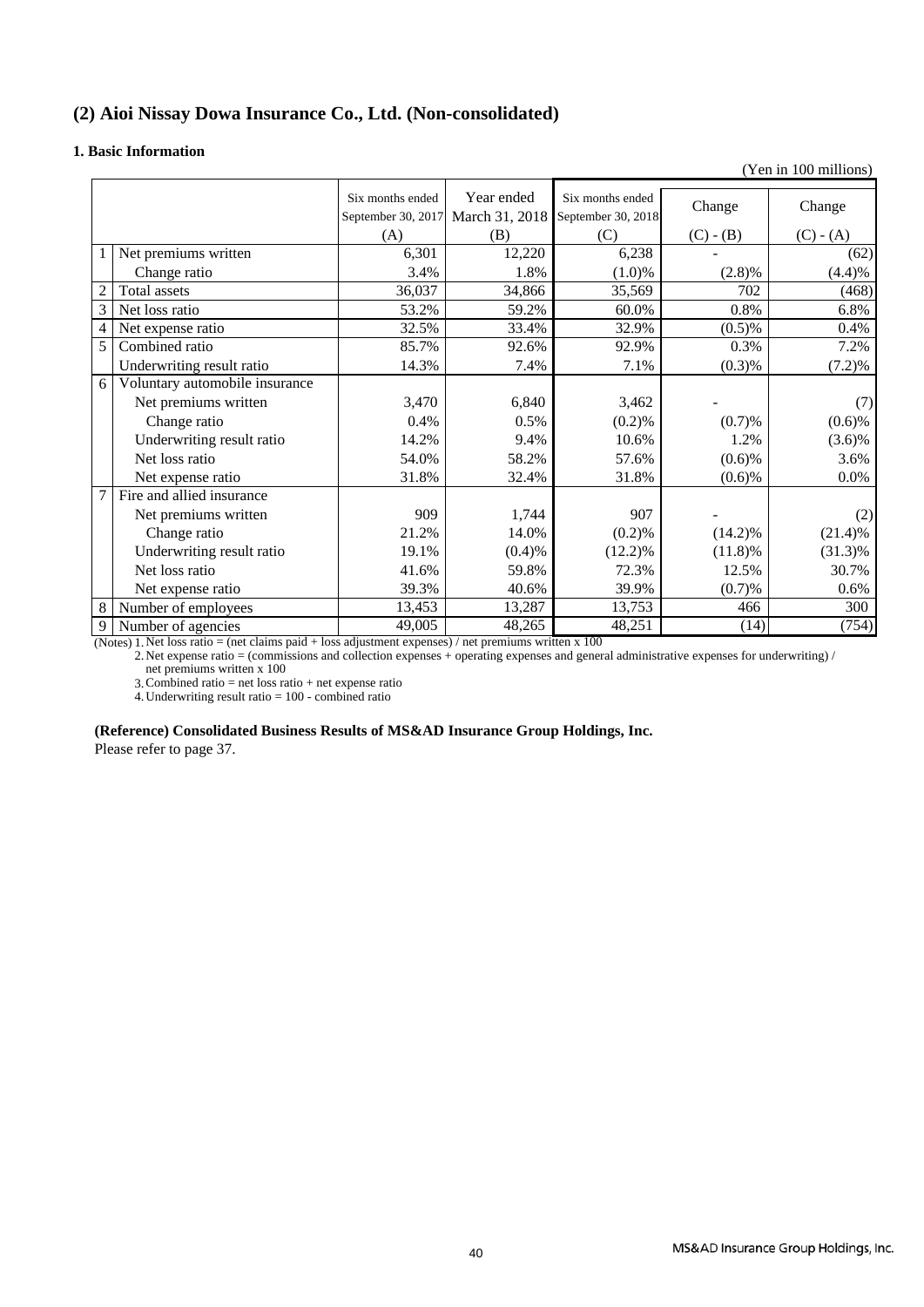### **(2) Aioi Nissay Dowa Insurance Co., Ltd. (Non-consolidated)**

### **1. Basic Information**

|                          |                                |                                        |                              |                                        |             | (Yen in 100 millions) |
|--------------------------|--------------------------------|----------------------------------------|------------------------------|----------------------------------------|-------------|-----------------------|
|                          |                                | Six months ended<br>September 30, 2017 | Year ended<br>March 31, 2018 | Six months ended<br>September 30, 2018 | Change      | Change                |
|                          |                                | (A)                                    | (B)                          | (C)                                    | $(C) - (B)$ | $(C) - (A)$           |
|                          | Net premiums written           | 6,301                                  | 12,220                       | 6,238                                  |             | (62)                  |
|                          | Change ratio                   | 3.4%                                   | 1.8%                         | $(1.0)\%$                              | (2.8)%      | (4.4)%                |
| $\overline{c}$           | Total assets                   | 36,037                                 | 34,866                       | 35,569                                 | 702         | (468)                 |
| 3                        | Net loss ratio                 | 53.2%                                  | 59.2%                        | 60.0%                                  | 0.8%        | 6.8%                  |
| $\overline{\mathcal{L}}$ | Net expense ratio              | 32.5%                                  | 33.4%                        | 32.9%                                  | (0.5)%      | 0.4%                  |
| 5                        | Combined ratio                 | 85.7%                                  | 92.6%                        | 92.9%                                  | 0.3%        | 7.2%                  |
|                          | Underwriting result ratio      | 14.3%                                  | 7.4%                         | 7.1%                                   | (0.3)%      | (7.2)%                |
| 6                        | Voluntary automobile insurance |                                        |                              |                                        |             |                       |
|                          | Net premiums written           | 3,470                                  | 6,840                        | 3,462                                  |             | (7)                   |
|                          | Change ratio                   | 0.4%                                   | 0.5%                         | (0.2)%                                 | (0.7)%      | (0.6)%                |
|                          | Underwriting result ratio      | 14.2%                                  | 9.4%                         | 10.6%                                  | 1.2%        | $(3.6)\%$             |
|                          | Net loss ratio                 | 54.0%                                  | 58.2%                        | 57.6%                                  | $(0.6)$ %   | 3.6%                  |
|                          | Net expense ratio              | 31.8%                                  | 32.4%                        | 31.8%                                  | $(0.6)$ %   | $0.0\%$               |
| 7                        | Fire and allied insurance      |                                        |                              |                                        |             |                       |
|                          | Net premiums written           | 909                                    | 1,744                        | 907                                    |             | (2)                   |
|                          | Change ratio                   | 21.2%                                  | 14.0%                        | (0.2)%                                 | $(14.2)\%$  | (21.4)%               |
|                          | Underwriting result ratio      | 19.1%                                  | (0.4)%                       | (12.2)%                                | $(11.8)\%$  | $(31.3)\%$            |
|                          | Net loss ratio                 | 41.6%                                  | 59.8%                        | 72.3%                                  | 12.5%       | 30.7%                 |
|                          | Net expense ratio              | 39.3%                                  | 40.6%                        | 39.9%                                  | (0.7)%      | $0.6\%$               |
| 8                        | Number of employees            | 13,453                                 | 13,287                       | 13,753                                 | 466         | 300                   |
| 9                        | Number of agencies             | 49,005                                 | 48,265                       | 48,251                                 | (14)        | (754)                 |

(Notes) 1. Net loss ratio = (net claims paid + loss adjustment expenses) / net premiums written x 100

2. net premiums written x 100 Net expense ratio = (commissions and collection expenses + operating expenses and general administrative expenses for underwriting) /

3. Combined ratio  $=$  net loss ratio  $+$  net expense ratio

4. Underwriting result ratio  $= 100$  - combined ratio

### **(Reference) Consolidated Business Results of MS&AD Insurance Group Holdings, Inc.**

Please refer to page 37.

MS&AD Insurance Group Holdings, Inc.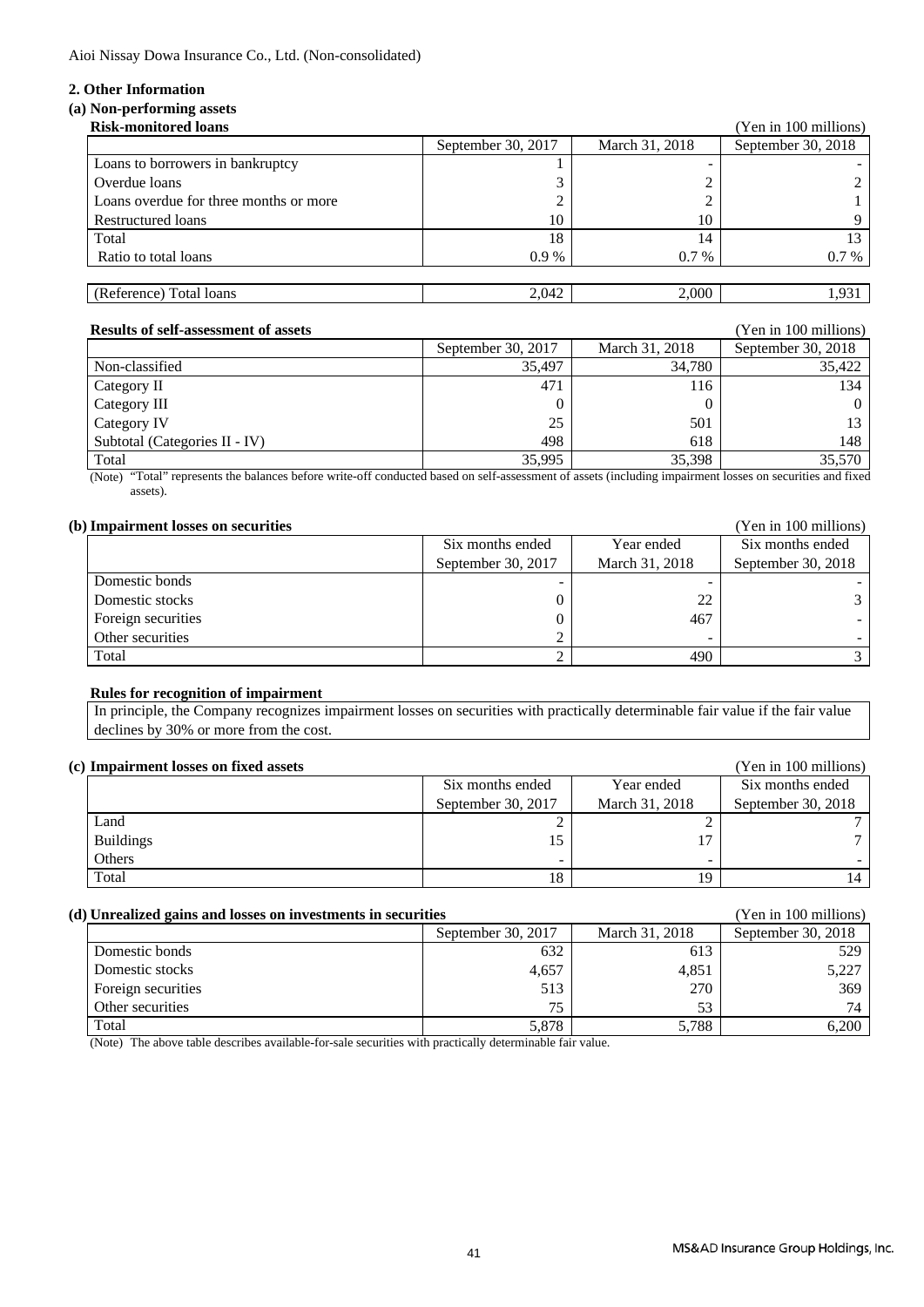Aioi Nissay Dowa Insurance Co., Ltd. (Non-consolidated)

### **2. Other Information**

### **(a) Non-performing assets**

| <b>Risk-monitored loans</b>            |                    |                | (Yen in 100 millions) |
|----------------------------------------|--------------------|----------------|-----------------------|
|                                        | September 30, 2017 | March 31, 2018 | September 30, 2018    |
| Loans to borrowers in bankruptcy       |                    |                |                       |
| Overdue loans                          |                    |                |                       |
| Loans overdue for three months or more |                    |                |                       |
| Restructured loans                     | 10                 | 10             |                       |
| Total                                  | 18                 | 14             |                       |
| Ratio to total loans                   | $0.9\%$            | $0.7\%$        | $0.7\%$               |
|                                        |                    |                |                       |
| (Reference) Total loans                | 2.042              | 2,000          | 1.931                 |

| <b>Results of self-assessment of assets</b> |                    |                | (Yen in 100 millions) |
|---------------------------------------------|--------------------|----------------|-----------------------|
|                                             | September 30, 2017 | March 31, 2018 | September 30, 2018    |
| Non-classified                              | 35.497             | 34.780         | 35,422                |
| Category II                                 | 471                | 116            | 134                   |
| Category III                                |                    |                | $\Omega$              |
| Category IV                                 | 25                 | 501            | 13                    |
| Subtotal (Categories II - IV)               | 498                | 618            | 148                   |
| Total                                       | 35,995             | 35.398         | 35.570                |

(Note) "Total" represents the balances before write-off conducted based on self-assessment of assets (including impairment losses on securities and fixed assets).

| (b) Impairment losses on securities |                    |                | (Yen in 100 millions) |
|-------------------------------------|--------------------|----------------|-----------------------|
|                                     | Six months ended   | Year ended     | Six months ended      |
|                                     | September 30, 2017 | March 31, 2018 | September 30, 2018    |
| Domestic bonds                      |                    |                |                       |
| Domestic stocks                     |                    | 22             |                       |
| Foreign securities                  |                    | 467            |                       |
| Other securities                    |                    |                |                       |
| Total                               |                    | 490            |                       |

### **Rules for recognition of impairment**

 declines by 30% or more from the cost. In principle, the Company recognizes impairment losses on securities with practically determinable fair value if the fair value

### **(c) Impairment losses on fixed assets** (Yen in 100 millions)

| THIPAII IIICHU IOSSUS UII IIAUU ASSUIS |                    | <b>TVII III TOO IIIIIIIOII</b> S |                    |
|----------------------------------------|--------------------|----------------------------------|--------------------|
|                                        | Six months ended   | Year ended                       | Six months ended   |
|                                        | September 30, 2017 | March 31, 2018                   | September 30, 2018 |
| Land                                   |                    |                                  |                    |
| <b>Buildings</b>                       |                    |                                  |                    |
| Others                                 |                    |                                  |                    |
| Total                                  | 18                 |                                  |                    |

### **(d) Unrealized gains and losses on investments in securities** (Yen in 100 millions)

|                    | September 30, 2017 | March 31, 2018 | September 30, 2018 |  |
|--------------------|--------------------|----------------|--------------------|--|
| Domestic bonds     | 632                | 613            | 529                |  |
| Domestic stocks    | 4,657              | 4,851          | 5,227              |  |
| Foreign securities | 513                | 270            | 369                |  |
| Other securities   | 75                 |                | 74                 |  |
| Total              | 5,878              | 5,788          | 6.200              |  |

(Note) The above table describes available-for-sale securities with practically determinable fair value.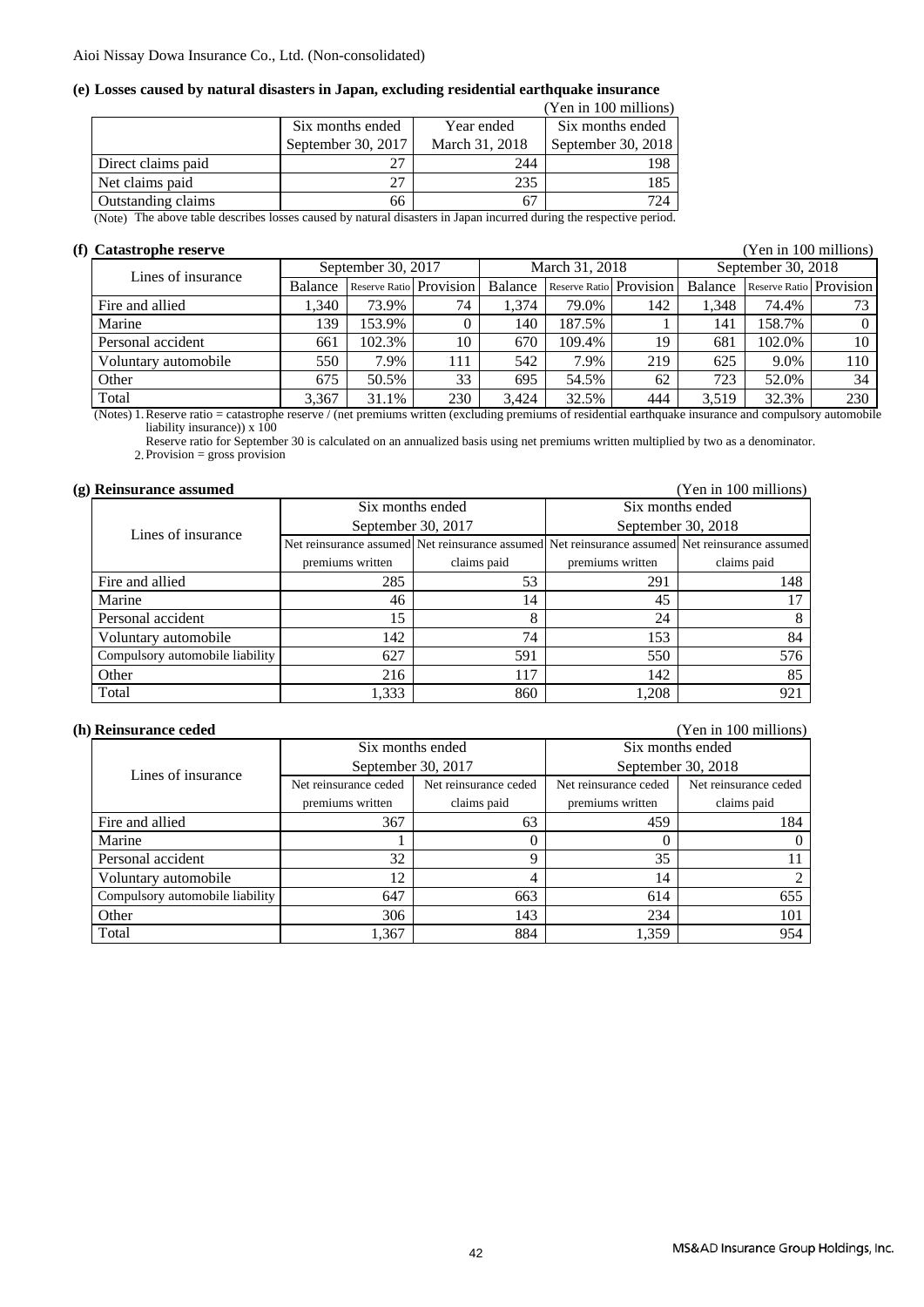### **(e) Losses caused by natural disasters in Japan, excluding residential earthquake insurance**

|                    |                                           |                | (Yen in 100 millions) |
|--------------------|-------------------------------------------|----------------|-----------------------|
|                    | Six months ended                          | Year ended     | Six months ended      |
|                    | September 30, 2017                        | March 31, 2018 | September 30, 2018    |
| Direct claims paid |                                           | 244            | 198                   |
| Net claims paid    | 27                                        | 235            | 185                   |
| Outstanding claims | 66                                        |                | 724                   |
| .                  | $\sim$ $\sim$<br>$\overline{\phantom{a}}$ | .              |                       |

(Note) The above table describes losses caused by natural disasters in Japan incurred during the respective period.

### **(f) Catastrophe reserve** (Yen in 100 millions)

Balance Reserve Ratio Provision Balance Reserve Ratio Provision Balance Reserve Ratio Provision Fire and allied 1,340 73.9% 74 1,374 79.0% 142 1,348 74.4% 73 Marine 139 153.9% 0 140 187.5% 1 141 158.7% 0 Personal accident 10 661 | 102.3% | 10 | 670 | 109.4% | 19 | 681 | 102.0% | 10 Voluntary automobile 550 7.9% 111 542 7.9% 219 625 9.0% 110 Other 675 60.5% 33 695 54.5% 62 723 52.0% 34 3,367 31.1% 230 3,424 32.5% 444 3,519 32.3% 230 September 30, 2018 Total Lines of insurance March 31, 2018 September 30, 2017

(Notes) 1. Reserve ratio = catastrophe reserve / (net premiums written (excluding premiums of residential earthquake insurance and compulsory automobile liability insurance))  $x 100$ 

2. Provision = gross provision Reserve ratio for September 30 is calculated on an annualized basis using net premiums written multiplied by two as a denominator.

| (g) Reinsurance assumed         |                    |             |                  | (Yen in 100 millions)                                                                           |  |
|---------------------------------|--------------------|-------------|------------------|-------------------------------------------------------------------------------------------------|--|
| Six months ended                |                    |             | Six months ended |                                                                                                 |  |
| Lines of insurance              | September 30, 2017 |             |                  | September 30, 2018                                                                              |  |
|                                 |                    |             |                  | Net reinsurance assumed Net reinsurance assumed Net reinsurance assumed Net reinsurance assumed |  |
|                                 | premiums written   | claims paid | premiums written | claims paid                                                                                     |  |
| Fire and allied                 | 285                | 53          | 291              | 148                                                                                             |  |
| Marine                          | 46                 | 14          | 45               |                                                                                                 |  |
| Personal accident               | 15                 | 8           | 24               |                                                                                                 |  |
| Voluntary automobile            | 142                | 74          | 153              | 84                                                                                              |  |
| Compulsory automobile liability | 627                | 591         | 550              | 576                                                                                             |  |
| Other                           | 216                | 117         | 142              | 85                                                                                              |  |
| Total                           | 1,333              | 860         | 1,208            | 921                                                                                             |  |

### **(h) Reinsurance ceded** (Yen in 100 millions)

|                                 |                       | Six months ended      | Six months ended      |                       |  |
|---------------------------------|-----------------------|-----------------------|-----------------------|-----------------------|--|
| Lines of insurance              |                       | September 30, 2017    |                       | September 30, 2018    |  |
|                                 | Net reinsurance ceded | Net reinsurance ceded | Net reinsurance ceded | Net reinsurance ceded |  |
|                                 | premiums written      | claims paid           | premiums written      | claims paid           |  |
| Fire and allied                 | 367                   | 63                    | 459                   | 184                   |  |
| Marine                          |                       |                       |                       |                       |  |
| Personal accident               | 32                    | Q                     | 35                    |                       |  |
| Voluntary automobile            | 12                    | 4                     | 14                    |                       |  |
| Compulsory automobile liability | 647                   | 663                   | 614                   | 655                   |  |
| Other                           | 306                   | 143                   | 234                   | 101                   |  |
| Total                           | 1,367                 | 884                   | 1,359                 | 954                   |  |